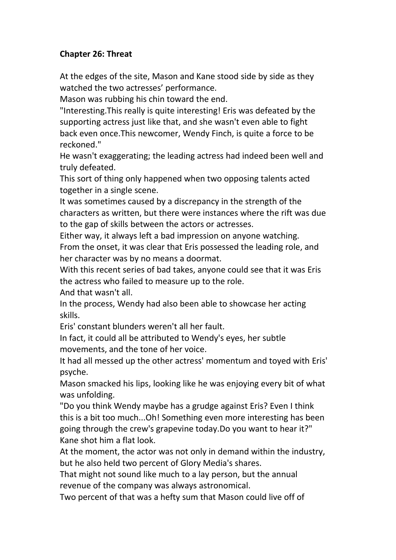## **Chapter 26:Threat**

At the edges of the site, Mason and Kane stood side by side as they watched the two actresses' performance.

Mason was rubbing his chin toward the end.

"Interesting.This really is quite interesting! Eris was defeated by the supporting actress just like that, and she wasn't even able to fight back even once.This newcomer, Wendy Finch, is quite a force to be reckoned."

He wasn't exaggerating; the leading actress had indeed been well and truly defeated.

This sort of thing only happened when two opposing talents acted together in a single scene.

It was sometimes caused by a discrepancy in the strength of the characters as written, but there were instances where the rift was due to the gap of skills between the actors or actresses.

Either way, it always left a bad impression on anyone watching.

From the onset, it was clear that Eris possessed the leading role, and her character was by no means a doormat.

With this recent series of bad takes, anyone could see that it was Eris the actress who failed to measure up to the role.

And that wasn't all.

In the process, Wendy had also been able to showcase her acting skills.

Eris' constant blunders weren't all her fault.

In fact, it could all be attributed to Wendy's eyes, her subtle movements, and the tone of her voice.

It had all messed up the other actress' momentum and toyed with Eris' psyche.

Mason smacked his lips, looking like he was enjoying every bit of what was unfolding.

"Do you think Wendy maybe has a grudge against Eris? Even I think this is a bit too much...Oh! Something even more interesting has been going through the crew's grapevine today.Do you want to hear it?" Kane shot him a flat look.

At the moment, the actor was not only in demand within the industry, but he also held two percent of Glory Media's shares.

That might not sound like much to a lay person, but the annual revenue of the company was always astronomical.

Two percent of that was a hefty sum that Mason could live off of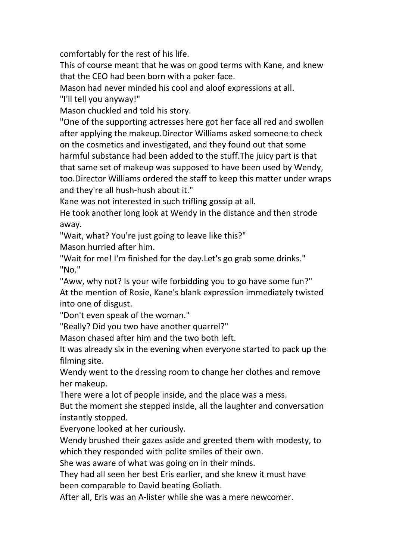comfortably for the rest of his life.

This of course meant that he was on good terms with Kane, and knew that the CEO had been born with a poker face.

Mason had never minded his cool and aloof expressions at all.

"I'll tell you anyway!"

Mason chuckled and told his story.

"One of the supporting actresses here got her face all red and swollen after applying the makeup.Director Williams asked someone to check on the cosmetics and investigated, and they found out that some harmful substance had been added to the stuff.The juicy part is that that same set of makeup was supposed to have been used by Wendy, too.Director Williams ordered the staff to keep this matter under wraps and they're all hush-hush about it."

Kane was not interested in such trifling gossip at all.

He took another long look at Wendy in the distance and then strode away.

"Wait, what? You're just going to leave like this?"

Mason hurried after him.

"Wait for me! I'm finished for the day.Let's go grab some drinks." "No."

"Aww, why not? Is your wife forbidding you to go have some fun?" At the mention of Rosie, Kane's blank expression immediately twisted into one of disgust.

"Don't even speak of the woman."

"Really? Did you two have another quarrel?"

Mason chased after him and the two both left.

It was already six in the evening when everyone started to pack up the filming site.

Wendy went to the dressing room to change her clothes and remove her makeup.

There were a lot of people inside, and the place was a mess.

But the moment she stepped inside, all the laughter and conversation instantly stopped.

Everyone looked at her curiously.

Wendy brushed their gazes aside and greeted them with modesty, to which they responded with polite smiles of their own.

She was aware of what was going on in their minds.

They had all seen her best Eris earlier, and she knew it must have been comparable to David beating Goliath.

After all, Eris was an A-lister while she was a mere newcomer.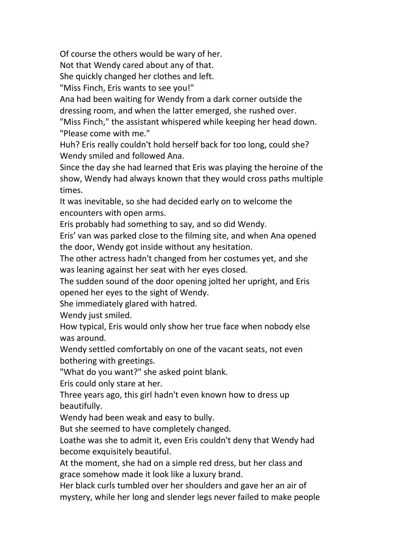Of course the others would be wary of her.

Not that Wendy cared about any of that.

She quickly changed her clothes and left.

"Miss Finch, Eris wants to see you!"

Ana had been waiting for Wendy from a dark corner outside the dressing room, and when the latter emerged, she rushed over.

"Miss Finch," the assistant whispered while keeping her head down. "Please come with me."

Huh? Eris really couldn't hold herself back for too long, could she? Wendy smiled and followed Ana.

Since the day she had learned that Eris was playing the heroine of the show, Wendy had always known that they would cross paths multiple times.

It was inevitable, so she had decided early on to welcome the encounters with open arms.

Eris probably had something to say, and so did Wendy.

Eris' van was parked close to the filming site, and when Ana opened the door, Wendy got inside without any hesitation.

The other actress hadn't changed from her costumes yet, and she was leaning against her seat with her eyes closed.

The sudden sound of the door opening jolted her upright, and Eris opened her eyes to the sight of Wendy.

She immediately glared with hatred.<br>Wendy just smiled.

How typical, Eris would only show her true face when nobody else was around.

Wendy settled comfortably on one of the vacant seats, not even bothering with greetings.

"What do you want?" she asked point blank.

Eris could only stare at her.

Three years ago, this girl hadn't even known how to dress up beautifully.

Wendy had been weak and easy to bully.

But she seemed to have completely changed.

Loathe was she to admit it, even Eris couldn't deny that Wendy had become exquisitely beautiful.

At the moment, she had on a simple red dress, but her class and grace somehow made it look like a luxury brand.

Her black curls tumbled over her shoulders and gave her an air of mystery, while her long and slender legs never failed to make people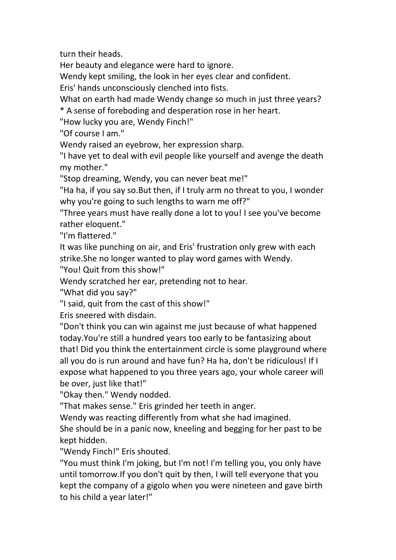turn their heads.

Her beauty and elegance were hard to ignore.

Wendy kept smiling, the look in her eyes clear and confident.

Eris' hands unconsciously clenched into fists.

What on earth had made Wendy change so much in just three years?

\* A sense of foreboding and desperation rose in her heart.

"How lucky you are, Wendy Finch!"

"Of course I am."

Wendy raised an eyebrow, her expression sharp.

"I have yet to deal with evil people like yourself and avenge the death my mother."

"Stop dreaming, Wendy, you can never beat me!"

"Ha ha, if you say so. But then, if I truly arm no threat to you, I wonder why you're going to such lengths to warn me off?"

"Three years must have really done a lot to you! I see you've become rather eloquent."

"I'm flattered."

It was like punching on air, and Eris' frustration only grew with each strike.She no longer wanted to play word games with Wendy.

"You! Quit from this show!"

Wendy scratched her ear, pretending not to hear.

"What did you say?"

"I said, quit from the cast of this show!"

Eris sneered with disdain.

"Don't think you can win against me just because of what happened today.You're still a hundred years too early to be fantasizing about that! Did you think the entertainment circle is some playground where all you do is run around and have fun? Ha ha, don't be ridiculous! If I expose what happened to you three years ago, your whole career will be over, just like that!"

"Okay then." Wendy nodded.

"That makes sense." Eris grinded her teeth in anger.

Wendy was reacting differently from what she had imagined.

She should be in a panic now, kneeling and begging for her past to be kept hidden.

"Wendy Finch!" Eris shouted.

"You must think I'm joking, but I'm not! I'm telling you, you only have until tomorrow.If you don't quit by then, I will tell everyone that you kept the company of a gigolo when you were nineteen and gave birth to his child a year later!"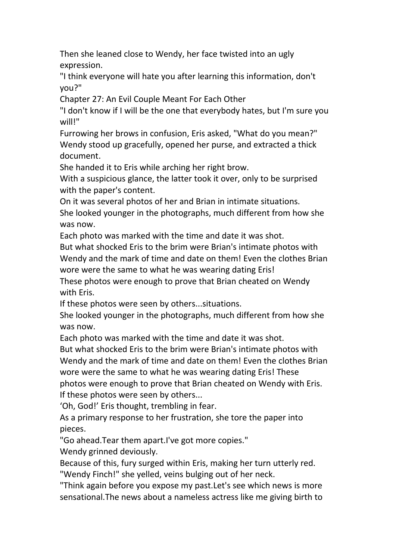Then she leaned close to Wendy, her face twisted into an ugly expression.

"I think everyone will hate you after learning this information, don't you?"

Chapter 27:An Evil Couple Meant For Each Other

"I don't know if I will be the one that everybody hates, but I'm sure you will!"

Furrowing her brows in confusion, Eris asked, "What do you mean?" Wendy stood up gracefully, opened her purse, and extracted a thick document.

She handed it to Eris while arching her right brow.

With a suspicious glance, the latter took it over, only to be surprised with the paper's content.

On it was several photos of her and Brian in intimate situations. She looked younger in the photographs, much different from how she was now.

Each photo was marked with the time and date it was shot.

But what shocked Eris to the brim were Brian's intimate photos with Wendy and the mark of time and date on them! Even the clothes Brian wore were the same to what he was wearing dating Eris!

These photos were enough to prove that Brian cheated on Wendy with Eris.

If these photos were seen by others...situations.

She looked younger in the photographs, much different from how she was now.

Each photo was marked with the time and date it was shot.

But what shocked Eris to the brim were Brian's intimate photos with Wendy and the mark of time and date on them! Even the clothes Brian wore were the same to what he was wearing dating Eris! These photos were enough to prove that Brian cheated on Wendy with Eris. If these photos were seen by others...

'Oh, God!' Eris thought, trembling in fear.

As a primary response to her frustration, she tore the paper into pieces.

"Go ahead.Tear them apart.I've got more copies."

Wendy grinned deviously.

Because of this, fury surged within Eris, making her turn utterly red. "Wendy Finch!" she yelled, veins bulging out of her neck.

"Think again before you expose my past.Let's see which news is more sensational.The news about a nameless actress like me giving birth to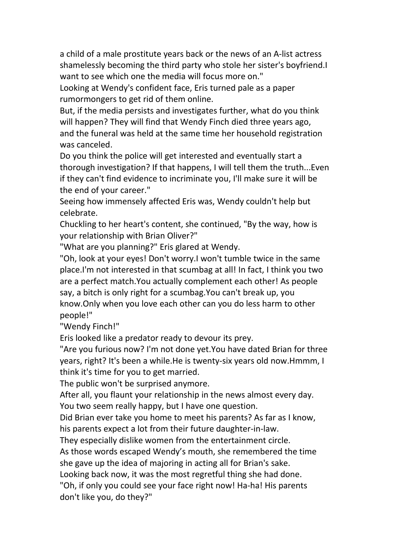a child of a male prostitute years back or the news of an A-list actress shamelessly becoming the third party who stole her sister's boyfriend.I want to see which one the media will focus more on."

Looking at Wendy's confident face, Eris turned pale as a paper rumormongers to get rid of them online.

But, if the media persists and investigates further, what do you think will happen? They will find that Wendy Finch died three years ago, and the funeral was held at the same time her household registration was canceled.

Do you think the police will get interested and eventually start a thorough investigation? If that happens, I will tell them the truth...Even if they can't find evidence to incriminate you, I'll make sure it will be the end of your career."

Seeing how immensely affected Eris was, Wendy couldn't help but celebrate.

Chuckling to her heart's content, she continued, "By the way, how is your relationship with Brian Oliver?"

"What are you planning?" Eris glared at Wendy.

"Oh, look at your eyes! Don't worry.I won't tumble twice in the same place.I'm not interested in that scumbag at all! In fact, I think you two are a perfect match.You actually complement each other! As people say, a bitch is only right for a scumbag.You can't break up, you know.Only when you love each other can you do less harm to other people!"

"Wendy Finch!"

Eris looked like a predator ready to devour its prey.

"Are you furious now? I'm not done yet.You have dated Brian for three years, right? It's been a while.He is twenty-six years old now.Hmmm, I think it's time for you to get married.

The public won't be surprised anymore.

After all, you flaunt your relationship in the news almost every day. You two seem really happy, but I have one question.

Did Brian ever take you home to meet his parents? As far as I know, his parents expect a lot from their future daughter-in-law.

They especially dislike women from the entertainment circle.

As those words escaped Wendy's mouth, she remembered the time she gave up the idea of majoring in acting all for Brian's sake.

Looking back now, it was the most regretful thing she had done.

"Oh, if only you could see your face right now! Ha-ha! His parents don't like you, do they?"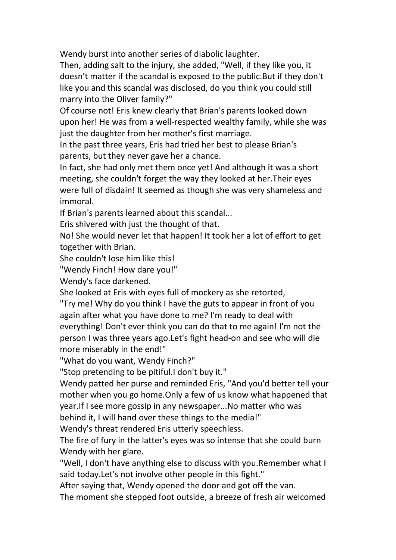Wendy burst into another series of diabolic laughter.

Then, adding salt to the injury, she added, "Well, if they like you, it doesn't matter if the scandal is exposed to the public.But if they don't like you and this scandal was disclosed, do you think you could still marry into the Oliver family?"

Of course not! Eris knew clearly that Brian's parents looked down upon her! He was from a well-respected wealthy family, while she was just the daughter from her mother's first marriage.

In the past three years, Eris had tried her best to please Brian's parents, but they never gave her a chance.

In fact, she had only met them once yet! And although it was a short meeting, she couldn't forget the way they looked at her.Their eyes were full of disdain! It seemed as though she was very shameless and immoral.

If Brian's parents learned about this scandal...

Eris shivered with just the thought of that.

No! She would never let that happen! It took her a lot of effort to get together with Brian.

She couldn't lose him like this!

"Wendy Finch! How dare you!"

Wendy's face darkened.

She looked at Eris with eyes full of mockery as she retorted,

"Try me! Why do you think I have the guts to appear in front of you again after what you have done to me? I'm ready to deal with everything! Don't ever think you can do that to me again! I'm not the person I was three years ago.Let's fight head-on and see who will die more miserably in the end!"

"What do you want, Wendy Finch?"

"Stop pretending to be pitiful.I don't buy it."

Wendy patted her purse and reminded Eris, "And you'd better tell your mother when you go home.Only a few of us know what happened that year.If I see more gossip in any newspaper...No matter who was behind it, I will hand over these things to the media!"

Wendy's threat rendered Eris utterly speechless.

The fire of fury in the latter's eyes was so intense that she could burn Wendy with her glare.

"Well, I don't have anything else to discuss with you.Remember what I said today.Let's not involve other people in this fight."

After saying that, Wendy opened the door and got off the van.

The moment she stepped foot outside, a breeze of fresh air welcomed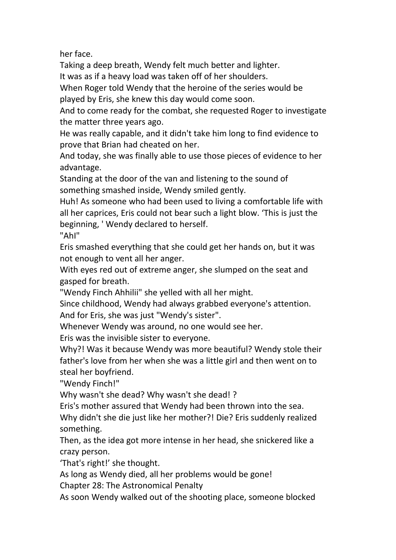her face.

Taking a deep breath, Wendy felt much better and lighter.

It was as if a heavy load was taken off of her shoulders.

When Roger told Wendy that the heroine of the series would be played by Eris, she knew this day would come soon.

And to come ready for the combat, she requested Roger to investigate the matter three years ago.

He was really capable, and it didn't take him long to find evidence to prove that Brian had cheated on her.

And today, she was finally able to use those pieces of evidence to her advantage.

Standing at the door of the van and listening to the sound of something smashed inside, Wendy smiled gently.

Huh! As someone who had been used to living a comfortable life with all her caprices, Eris could not bear such a light blow. 'This is just the beginning, ' Wendy declared to herself.

"AhI"

Eris smashed everything that she could get her hands on, but it was not enough to vent all her anger.

With eyes red out of extreme anger, she slumped on the seat and gasped for breath.

"Wendy Finch Ahhilii" she yelled with all her might.

Since childhood, Wendy had always grabbed everyone's attention. And for Eris, she was just "Wendy's sister".

Whenever Wendy was around, no one would see her.

Eris was the invisible sister to everyone.

Why?! Was it because Wendy was more beautiful? Wendy stole their father's love from her when shewas a little girl and then went on to steal her boyfriend.

"Wendy Finch!"

Why wasn't she dead? Why wasn't she dead! ?

Eris's mother assured that Wendy had been thrown into the sea.

Why didn't she die just like her mother?! Die? Eris suddenly realized something.

Then, as the idea got more intense in her head, she snickered like a crazy person.

'That's right!' she thought.

As long as Wendy died, all her problems would be gone!

Chapter 28:The Astronomical Penalty

As soon Wendy walked out of the shooting place, someone blocked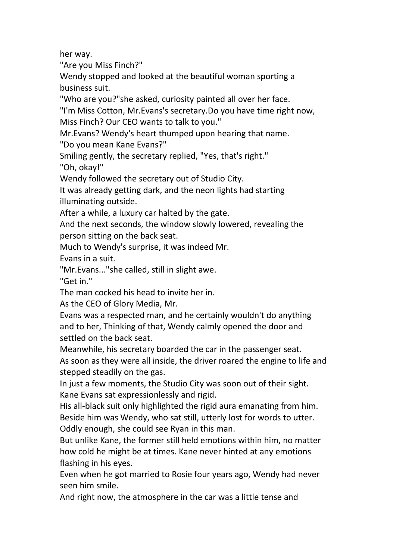her way.

"Are you Miss Finch?"

Wendy stopped and looked at the beautiful woman sporting a business suit.

"Who are you?"she asked, curiosity painted all over her face.

"I'm Miss Cotton, Mr.Evans's secretary.Do you have time right now,

Miss Finch? Our CEO wants to talk to you."<br>Mr.Evans? Wendy's heart thumped upon hearing that name.

"Do you mean Kane Evans?"

Smiling gently, the secretary replied, "Yes, that's right."

"Oh, okay!"

Wendy followed the secretary out of Studio City.

It was already getting dark, and the neon lights had starting illuminating outside.

After a while, a luxury car halted by the gate.<br>And the next seconds, the window slowly lowered, revealing the person sitting on the back seat.

Much to Wendy's surprise, it was indeed Mr.

Evans in a suit.

"Mr.Evans..."she called, still in slight awe.

"Get in."

The man cocked his head to invite her in.

As the CEO of Glory Media, Mr.

Evans was a respected man, and he certainly wouldn't do anything and to her, Thinking of that, Wendy calmly opened the door and settled on the back seat.

Meanwhile, his secretary boarded the car in the passenger seat. As soon as they were all inside, the driver roared the engine to life and stepped steadily on the gas.

In just a few moments, the Studio City was soon out of their sight. Kane Evans sat expressionlessly and rigid.

His all-black suit only highlighted the rigid aura emanating from him. Beside him was Wendy, who sat still, utterly lost for words to utter. Oddly enough, she could see Ryan in this man.

But unlike Kane, the former still held emotions within him, no matter how cold he might be at times. Kane never hinted at any emotions flashing in his eyes.

Even when he got married to Rosie four years ago, Wendy had never seen him smile.

And right now, the atmosphere in the car was a little tense and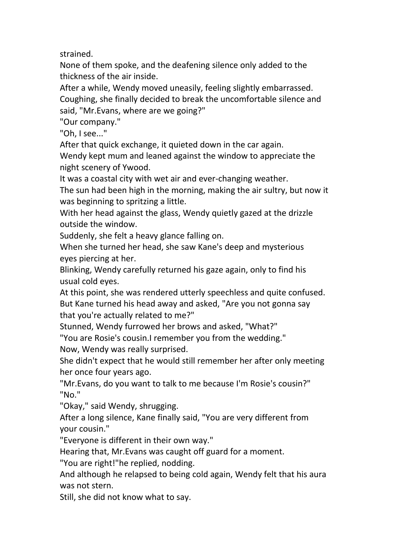strained.

None of them spoke, and the deafening silence only added to the thickness of the air inside.

After a while, Wendy moved uneasily, feeling slightly embarrassed. Coughing, she finally decided to break the uncomfortable silence and said, "Mr.Evans, where are we going?"

"Our company."

"Oh, I see..."

After that quick exchange, it quieted down in the car again.

Wendy kept mum and leaned against the window to appreciate the night scenery of Ywood.

It was a coastal city with wet air and ever-changing weather.

The sun had been high in the morning, making the air sultry, but now it was beginning to spritzing a little.

With her head against the glass, Wendy quietly gazed at the drizzle outside the window.

Suddenly, she felt a heavy glance falling on.

When she turned her head, she saw Kane's deep and mysterious eyes piercing at her.

Blinking, Wendy carefully returned his gaze again, only to find his usual cold eyes.

At this point, she was rendered utterly speechless and quite confused. But Kane turned his head away and asked, "Are you not gonna say that you're actually related to me?"

Stunned, Wendy furrowed her brows and asked, "What?"

"You are Rosie's cousin.I remember you from the wedding."

Now, Wendy was really surprised.

She didn't expect that he would still remember her after only meeting her once four years ago.

"Mr.Evans, do you want to talk to me because I'm Rosie's cousin?" "No."

"Okay," said Wendy, shrugging.

After a long silence, Kane finally said, "You are very different from your cousin."

"Everyone is different in their own way."

Hearing that, Mr.Evans was caught off guard for a moment.

"You are right!"he replied, nodding.

And although he relapsed to being cold again, Wendy felt that his aura was not stern.

Still, she did not know what to say.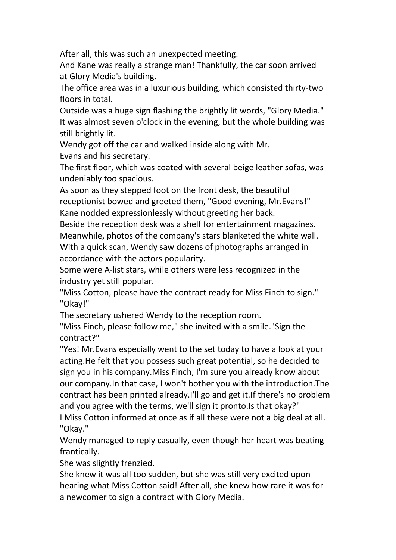After all, this was such an unexpected meeting.

And Kane was really a strange man! Thankfully, the car soon arrived at Glory Media's building.

The office area was in a luxurious building, which consisted thirty-two floors in total.

Outside was a huge sign flashing the brightly lit words, "Glory Media." It was almost seven o'clock in the evening, but the whole building was still brightly lit.

Wendy got off the car and walked inside along with Mr. Evans and his secretary.

The first floor, which was coated with several beige leather sofas, was undeniably too spacious.

As soon as they stepped foot on the front desk, the beautiful receptionist bowed and greeted them, "Good evening, Mr.Evans!" Kane nodded expressionlessly without greeting her back.

Beside the reception desk was a shelf for entertainment magazines. Meanwhile, photos of the company's stars blanketed the white wall.<br>With a quick scan, Wendy saw dozens of photographs arranged in accordance with the actors popularity.

Some were A-list stars, while others were less recognized in the industry yet still popular.

"Miss Cotton, please have the contract ready for Miss Finch to sign." "Okay!"

The secretary ushered Wendy to the reception room.

"Miss Finch, please follow me," she invited with a smile."Sign the contract?"

"Yes! Mr. Evans especially went to the set today to have a look at your acting.He felt that you possess such great potential, so he decided to sign you in his company.Miss Finch, I'm sure you already know about our company.In that case, I won't bother you with the introduction.The contract has been printed already.I'll go and get it.If there's no problem and you agree with the terms, we'll sign it pronto.Is that okay?"

I Miss Cotton informed at once as if all these were not a big deal at all. "Okay."

Wendy managed to reply casually, even though her heart was beating frantically.

She was slightly frenzied.<br>She knew it was all too sudden, but she was still very excited upon hearing what Miss Cotton said! After all, she knew how rare it was for a newcomer to sign a contract with Glory Media.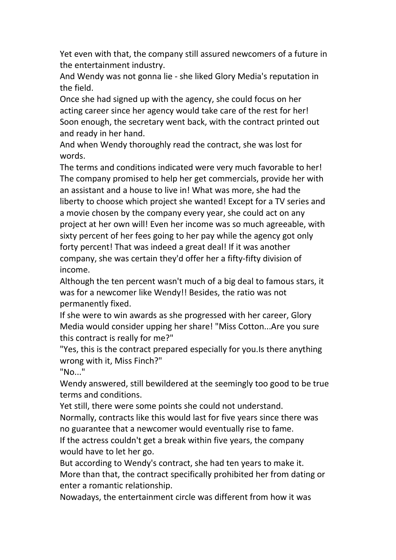Yet even with that, the company still assured newcomers of a future in the entertainment industry.

And Wendy was not gonna lie - she liked Glory Media's reputation in the field.

Once she had signed up with the agency, she could focus on her acting career since her agency would take care of the rest for her! Soon enough, the secretary went back, with the contract printed out and ready in her hand.

And when Wendy thoroughly read the contract, she was lost for words.

The terms and conditions indicated were very much favorable to her! The company promised to help her get commercials, provide her with an assistant and a house to live in! What was more, she had the liberty to choose which project she wanted! Except for a TV series and a movie chosen by the company every year, she could act on any project at her own will! Even her income was so much agreeable, with sixty percent of her fees going to her pay while the agency got only forty percent! That was indeed a great deal! If it was another company, she was certain they'd offer her a fifty-fifty division of income.

Although the ten percent wasn't much of a big deal to famous stars, it was for a newcomer like Wendy!! Besides, the ratio was not permanently fixed.

If she were to win awards as she progressed with her career, Glory Media would consider upping her share! "Miss Cotton...Are you sure this contract is really for me?"

"Yes, this is the contract prepared especially for you.Is there anything wrong with it, Miss Finch?"

"No..."

Wendy answered, still bewildered at the seemingly too good to be true terms and conditions.

Yet still, there were some points she could not understand.

Normally, contracts like this would last for five years since there was no guarantee that a newcomer would eventually rise to fame.

If the actress couldn't get a break within five years, the company would have to let her go.

But according to Wendy's contract, she had ten years to make it. More than that, the contract specifically prohibited her from dating or enter a romantic relationship.

Nowadays, the entertainment circle was different from how it was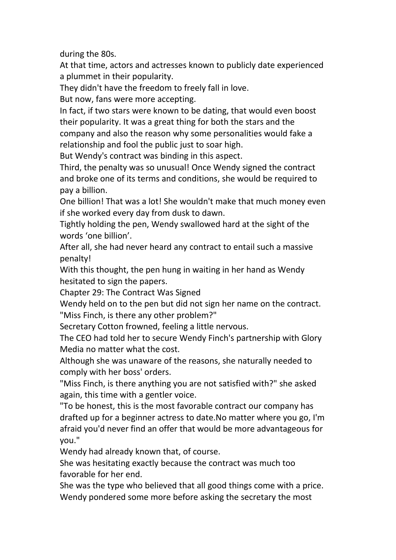during the 80s.

At that time, actors and actresses known to publicly date experienced a plummet in their popularity.

They didn't have the freedom to freely fall in love.

But now, fans were more accepting.

In fact, if two stars were known to be dating, that would even boost their popularity. It was a great thing for both the stars and the company and also the reason why some personalities would fake a relationship and fool the public just to soar high.

But Wendy's contract was binding in this aspect.

Third, the penalty was so unusual! Once Wendy signed the contract and broke one of its terms and conditions, she would be required to pay a billion.

One billion! That was a lot! She wouldn't make that much money even

if she worked every day from dusk to dawn.<br>Tightly holding the pen, Wendy swallowed hard at the sight of the words 'one billion'.

After all, she had never heard any contract to entail such a massive penalty!

With this thought, the pen hung in waiting in her hand as Wendy hesitated to sign the papers.

Chapter 29: The Contract Was Signed

Wendy held on to the pen but did not sign her name on the contract. "Miss Finch, is there any other problem?"

Secretary Cotton frowned, feeling a little nervous.

The CEO had told her to secure Wendy Finch's partnership with Glory Media no matter what the cost.

Although she was unaware of the reasons, she naturally needed to comply with her boss' orders.

"Miss Finch, is there anything you are not satisfied with?" she asked again, this time with a gentler voice.

"To be honest, this is the most favorable contract our company has drafted up for a beginner actress to date.No matter where you go, I'm afraid you'd never find an offer that would be more advantageous for you."

Wendy had already known that, of course.

She was hesitating exactly because the contract was much too favorable for her end.

She was the type who believed that all good things come with a price. Wendy pondered some more before asking the secretary the most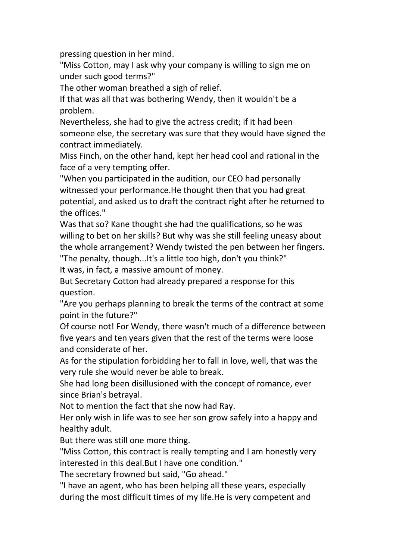pressing question in her mind.

"Miss Cotton, may I ask why your company is willing to sign me on under such good terms?"

The other woman breathed a sigh of relief.

If that was all that was bothering Wendy, then it wouldn't be a problem.

Nevertheless, she had to give the actress credit; if it had been someone else, the secretary was sure that they would have signed the contract immediately.

Miss Finch, on the other hand, kept her head cool and rational in the face of a very tempting offer.

"When you participated in the audition, our CEO had personally witnessed your performance.He thought then that you had great potential, and asked us to draft the contract right after he returned to the offices."

Was that so? Kane thought she had the qualifications, so he was willing to bet on her skills? But why was she still feeling uneasy about the whole arrangement? Wendy twisted the pen between her fingers.

"The penalty, though...It's a little too high, don't you think?"

It was, in fact, a massive amount of money.

But Secretary Cotton had already prepared a response for this question.

"Are you perhaps planning to break the terms of the contract at some point in the future?"

Of course not! For Wendy, there wasn't much of a difference between five years and ten years given that the rest of the terms were loose and considerate of her.

As for the stipulation forbidding her to fall in love, well, that was the very rule she would never be able to break.

She had long been disillusioned with the concept of romance, ever since Brian's betrayal.

Not to mention the fact that she now had Ray.

Her only wish in life was to see her son grow safely into a happy and healthy adult.

But there was still one more thing.

"Miss Cotton, this contract is really tempting and I am honestly very interested in this deal.But I have one condition."

The secretary frowned but said, "Go ahead."

"I have an agent, who has been helping all these years, especially during the most difficult times of my life.He is very competent and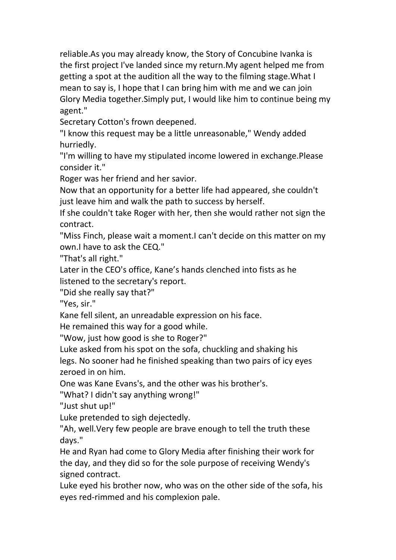reliable.As you may already know, the Story of Concubine Ivanka is the first project I've landed since my return.My agent helped me from getting a spot at the audition all the way to the filming stage.What I mean to say is, I hope that I can bring him with me and we can join Glory Media together.Simply put, I would like him to continue being my agent."

Secretary Cotton's frown deepened.

"I know this request may be a little unreasonable," Wendy added hurriedly.

"I'm willing to have my stipulated income lowered in exchange.Please consider it."

Roger was her friend and her savior.

Now that an opportunity for a better life had appeared, she couldn't just leave him and walk the path to success by herself.

If she couldn't take Roger with her, then she would rather not sign the contract.

"Miss Finch, please wait a moment.I can't decide on this matter on my own.I have to ask the CEQ."

"That's all right."

Later in the CEO's office, Kane's hands clenched into fists as he listened to the secretary's report.

"Did she really say that?"

"Yes, sir."

Kane fell silent, an unreadable expression on his face.

He remained this way for a good while.

"Wow, just how good is she to Roger?"

Luke asked from his spot on the sofa, chuckling and shaking his

legs. No sooner had he finished speaking than two pairs of icy eyes zeroed in on him.

One was Kane Evans's, and the other was his brother's.

"What? I didn't say anything wrong!"

"Just shut up!"

Luke pretended to sigh dejectedly.

"Ah, well.Very few people are brave enough to tell the truth these days."

He and Ryan had come to Glory Media after finishing their work for the day, and they did so for the sole purpose of receiving Wendy's signed contract.

Luke eyed his brother now, who was on the other side of the sofa, his eyes red-rimmed and his complexion pale.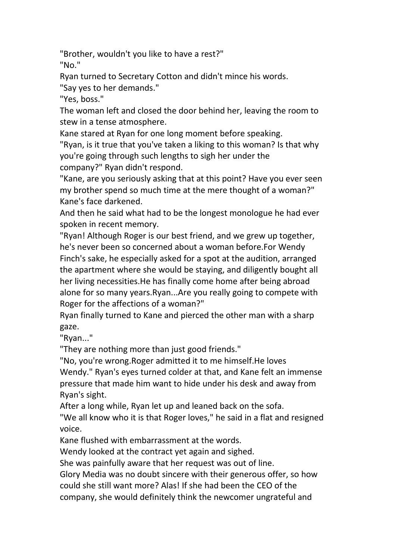"Brother, wouldn't you like to have a rest?" "No."

Ryan turned to Secretary Cotton and didn't mince his words.

"Say yes to her demands."

"Yes, boss."

The woman left and closed the door behind her, leaving the room to stew in a tense atmosphere.

Kane stared at Ryan for one long moment before speaking.

"Ryan, is it true that you've taken a liking to this woman? Is that why you're going through such lengths to sigh her under the company?" Ryan didn't respond.

"Kane, are you seriously asking that at this point? Have you ever seen my brother spend so much time at the mere thought of a woman?" Kane's face darkened.

And then he said what had to be the longest monologue he had ever spoken in recent memory.

"Ryan! Although Roger is our best friend, and we grew up together, he's never been so concerned about a woman before.For Wendy Finch's sake, he especially asked for a spot at the audition, arranged the apartment where she would be staying, and diligently bought all her living necessities.He has finally come home after being abroad alone for so many years.Ryan...Are you really going to compete with Roger for the affections of a woman?"

Ryan finally turned to Kane and pierced the other man with a sharp gaze.

"Ryan..."

"They are nothing more than just good friends."

"No, you're wrong.Roger admitted it to me himself.He loves Wendy." Ryan's eyes turned colder at that, and Kane felt an immense pressure that made him want to hide under his desk and away from Ryan's sight.

After a long while, Ryan let up and leaned back on the sofa.

"We all know who it is that Roger loves," he said in a flat and resigned voice.

Kane flushed with embarrassment at the words.

Wendy looked at the contract yet again and sighed.

She was painfully aware that her request was out of line.

Glory Media was no doubt sincere with their generous offer, so how could she still want more? Alas! If she had been the CEO of the company, she would definitely think the newcomer ungrateful and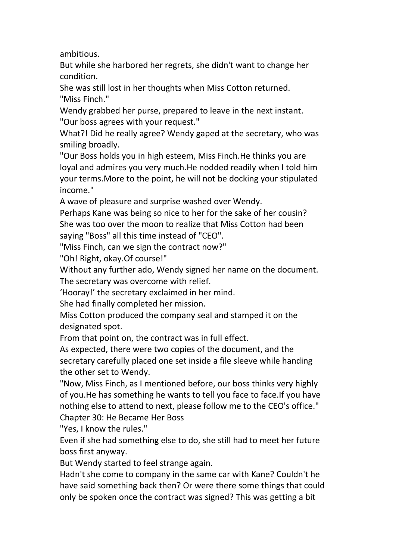ambitious.

But while she harbored her regrets, she didn't want to change her condition.

She was still lost in her thoughts when Miss Cotton returned. "Miss Finch."

Wendy grabbed her purse, prepared to leave in the next instant. "Our boss agrees with your request."

What?! Did he really agree? Wendy gaped at the secretary, who was smiling broadly.

"Our Boss holds you in high esteem, Miss Finch.He thinks you are loyal and admires you very much.He nodded readily when I told him your terms.More to the point, he will not be docking your stipulated income."

A wave of pleasure and surprise washed over Wendy.

Perhaps Kane was being so nice to her for the sake of her cousin? She was too over the moon to realize that Miss Cotton had been saying "Boss" all this time instead of "CEO".

"Miss Finch, can we sign the contract now?"

"Oh! Right, okay.Of course!"

Without any further ado, Wendy signed her name on the document. The secretary was overcome with relief.

'Hooray!' the secretary exclaimed in her mind.

She had finally completed her mission.

Miss Cotton produced the company seal and stamped it on the designated spot.

From that point on, the contract was in full effect.

As expected, there were two copies of the document, and the secretary carefully placed one set inside a file sleeve while handing the other set to Wendy.

"Now, Miss Finch, as I mentioned before, our boss thinks very highly of you.He has something he wants to tell you face to face.If you have nothing else to attend to next, please follow me to the CEO's office." Chapter 30: He Became Her Boss

"Yes, I know the rules."

Even if she had something else to do, she still had to meet her future boss first anyway.

But Wendy started to feel strange again.

Hadn't she come to company in the same car with Kane? Couldn't he have said something back then? Or were there some things that could only be spoken once the contract was signed? This was getting a bit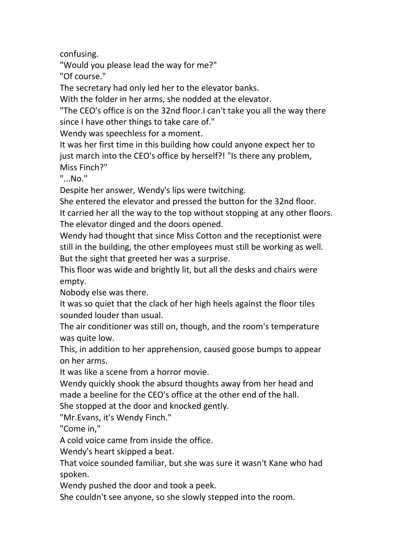confusing.

"Would you please lead the way for me?"

"Of course."

The secretary had only led her to the elevator banks.

With the folder in her arms, she nodded at the elevator.

"The CEO's office is on the 32nd floor.I can't take you all the way there since I have other things to take care of."

Wendy was speechless for a moment.

It was her first time in this building how could anyone expect her to just march into the CEO's office by herself?! "Is there any problem,<br>Miss Finch?"

"...No."

Despite her answer, Wendy's lips were twitching.

She entered the elevator and pressed the button for the 32nd floor. It carried her all the way to the top without stopping at any other floors. The elevator dinged and the doors opened.

Wendy had thought that since Miss Cotton and the receptionist were still in the building, the other employees must still be working as well. But the sight that greeted her was a surprise.

This floor was wide and brightly lit, but all the desks and chairs were empty.

Nobody else was there.

It was so quiet that the clack of her high heels against the floor tiles sounded louder than usual.

The air conditioner was still on, though, and the room's temperature was quite low.

This, in addition to her apprehension, caused goose bumps to appear on her arms.

It was like a scene from a horror movie.

Wendy quickly shook the absurd thoughts away from her head and made a beeline for the CEO's office at the other end of the hall. She stopped at the door and knocked gently.

"Mr.Evans, it's Wendy Finch."

"Come in,"

A cold voice came from inside the office.

Wendy's heart skipped a beat.

That voice sounded familiar, but she was sure it wasn't Kane who had spoken.

Wendy pushed the door and took a peek.<br>She couldn't see anyone, so she slowly stepped into the room.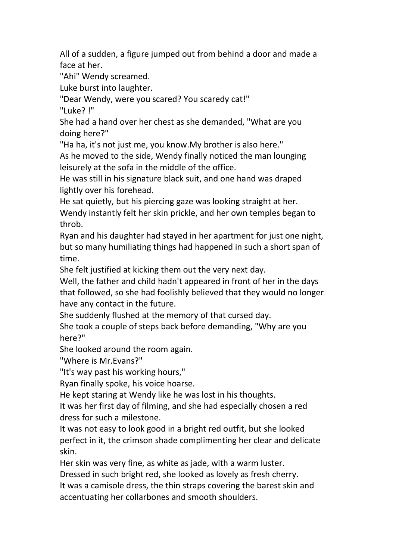All of a sudden, a figure jumped out from behind a door and made a face at her.

"Ahi" Wendy screamed.

Luke burst into laughter.

"Dear Wendy, were you scared? You scaredy cat!"

"Luke? !"

She had a hand over her chest as she demanded, "What are you doing here?"

"Ha ha, it's not just me, you know.My brother is also here."

As he moved to the side, Wendy finally noticed the man lounging leisurely at the sofa in the middle of the office.

He was still in his signature black suit, and one hand was draped lightly over his forehead.

He sat quietly, but his piercing gaze was looking straight at her. Wendy instantly felt her skin prickle, and her own temples began to throb.

Ryan and his daughter had stayed in her apartment for just one night, but so many humiliating things had happened in such a short span of time.

She felt justified at kicking them out the very next day.

Well, the father and child hadn't appeared in front of her in the days that followed, so she had foolishly believed that they would no longer have any contact in the future.

She suddenly flushed at the memory of that cursed day.

She took a couple of steps back before demanding, "Why are you here?"

She looked around the room again.

"Where is Mr.Evans?"

"It's way past his working hours,"

Ryan finally spoke, his voice hoarse.

He kept staring at Wendy like he was lost in his thoughts.

It was her first day of filming, and she had especially chosen a red dress for such a milestone.

It was not easy to look good in a bright red outfit, but she looked perfect in it, the crimson shade complimenting her clear and delicate skin.

Her skin was very fine, as white as jade, with a warm luster.

Dressed in such bright red, she looked as lovely as fresh cherry.

It was a camisole dress, the thin straps covering the barest skin and accentuating her collarbones and smooth shoulders.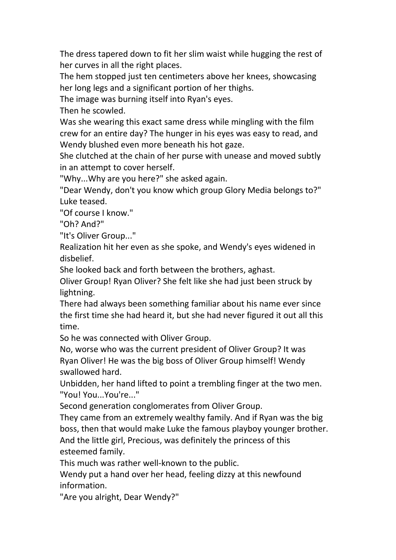The dress tapered down to fit her slim waist while hugging the rest of her curves in all the right places.

The hem stopped just ten centimeters above her knees, showcasing her long legs and a significant portion of her thighs.

The image was burning itself into Ryan's eyes.

Then he scowled.

Was she wearing this exact same dress while mingling with the film crew for an entire day? The hunger in his eyes was easy to read, and Wendy blushed even more beneath his hot gaze.

She clutched at the chain of her purse with unease and moved subtly in an attempt to cover herself.

"Why...Why are you here?" she asked again.

"Dear Wendy, don't you know which group Glory Media belongs to?" Luke teased.

"Of course I know."

"Oh? And?"

"It's Oliver Group..."

Realization hit her even as she spoke, and Wendy's eyes widened in disbelief.

She looked back and forth between the brothers, aghast.

Oliver Group! Ryan Oliver? She felt like she had just been struck by lightning.

There had always been something familiar about his name ever since the first time she had heard it, but she had never figured it out all this time.

So he was connected with Oliver Group.

No, worse who was the current president of Oliver Group? It was Ryan Oliver! He was the big boss of Oliver Group himself! Wendy swallowed hard.

Unbidden, her hand lifted to point a trembling finger at the two men. "You! You...You're..."

Second generation conglomerates from Oliver Group.

They came from an extremely wealthy family. And if Ryan was the big boss, then that would make Luke the famous playboy younger brother. And the little girl, Precious, was definitely the princess of this esteemed family.

This much was rather well-known to the public.

Wendy put a hand over her head, feeling dizzy at this newfound information.

"Are you alright, Dear Wendy?"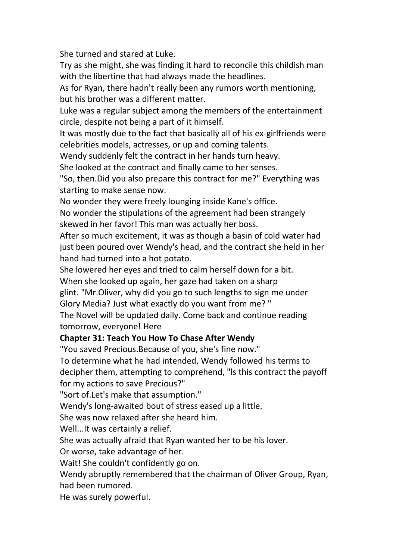She turned and stared at Luke.

Try as she might, she was finding it hard to reconcile this childish man with the libertine that had always made the headlines.

As for Ryan, there hadn't really been any rumors worth mentioning, but his brother was a different matter.

Luke was a regular subject among the members of the entertainment circle, despite not being a part of it himself.

It was mostly due to the fact that basically all of his ex-girlfriends were celebrities models, actresses, or up and coming talents.

Wendy suddenly felt the contract in her hands turn heavy.

She looked at the contract and finally came to her senses.

"So, then.Did you also prepare this contract for me?" Everything was starting to make sense now.

No wonder they were freely lounging inside Kane's office.

No wonder the stipulations of the agreement had been strangely skewed in her favor! This man was actually her boss.

After so much excitement, it was as though a basin of cold water had just been poured over Wendy's head, and the contract she held in her hand had turned into a hot potato.

She lowered her eyes and tried to calm herself down for a bit.

When she looked up again, her gaze had taken on a sharp

glint. "Mr.Oliver, why did you go to such lengths to sign me under

Glory Media? Just what exactly do you want from me? "

The Novel will be updated daily. Come back and continue reading tomorrow, everyone! Here

## **Chapter 31:Teach You How To Chase After Wendy**

"You saved Precious.Because of you, she's fine now."

To determine what he had intended, Wendy followed his terms to decipher them, attempting to comprehend, "ls this contract the payoff for my actions to save Precious?"

"Sort of.Let's make that assumption."

Wendy's long-awaited bout of stress eased up a little.

She was now relaxed after she heard him.<br>Well...It was certainly a relief.

She was actually afraid that Ryan wanted her to be his lover.

Or worse, take advantage of her.

Wait! She couldn't confidently go on.

Wendy abruptly remembered that the chairman of Oliver Group, Ryan, had been rumored.

He was surely powerful.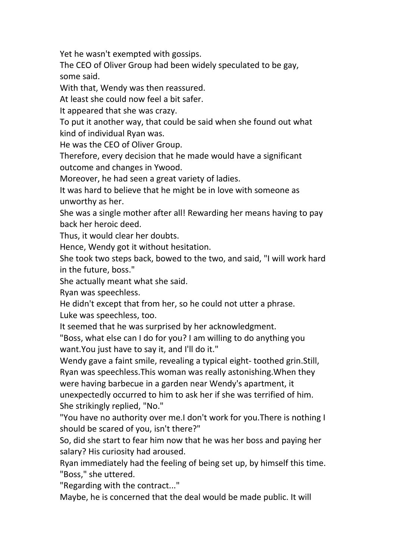Yet he wasn't exempted with gossips.

The CEO of Oliver Group had been widely speculated to be gay, some said.

With that, Wendy was then reassured.

At least she could now feel a bit safer.

It appeared that she was crazy.

To put it another way, that could be said when she found out what kind of individual Ryan was.

He was the CEO of Oliver Group.

Therefore, every decision that he made would have a significant outcome and changes in Ywood.

Moreover, he had seen a great variety of ladies.

It was hard to believe that he might be in love with someone as unworthy as her.

She was a single mother after all! Rewarding her means having to pay back her heroic deed.

Thus, it would clear her doubts.

Hence, Wendy got it without hesitation.

She took two steps back, bowed to the two, and said, "I will work hard in the future, boss."

She actually meant what she said.

Ryan was speechless.

He didn't except that from her, so he could not utter a phrase. Luke was speechless, too.

It seemed that he was surprised by her acknowledgment.

"Boss, what else can I do for you? I am willing to do anything you want. You just have to say it, and I'll do it."

Wendy gave a faint smile, revealing a typical eight- toothed grin.Still,

Ryan was speechless.This woman was really astonishing.When they were having barbecue in a garden near Wendy's apartment, it unexpectedly occurred to him to ask her if she was terrified of him.

She strikingly replied, "No."

"You have no authority over me.I don't work for you.There is nothing I should be scared of you, isn't there?"

So, did she start to fear him now that he was her boss and paying her salary? His curiosity had aroused.

Ryan immediately had the feeling of being set up, by himself this time. "Boss," she uttered.

"Regarding with the contract..."

Maybe, he is concerned that the deal would be made public. It will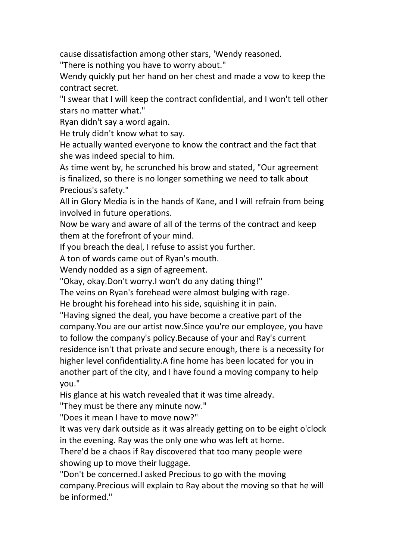cause dissatisfaction among other stars, 'Wendy reasoned.

"There is nothing you have to worry about."

Wendy quickly put her hand on her chest and made a vow to keep the contract secret.

"I swear that I will keep the contract confidential, and I won't tell other stars no matter what."

Ryan didn't say a word again.

He truly didn't know what to say.

He actually wanted everyone to know the contract and the fact that she was indeed special to him.

As time went by, he scrunched his brow and stated, "Our agreement is finalized, so there is no longer something we need to talk about Precious's safety."

All in Glory Media is in the hands of Kane, and I will refrain from being involved in future operations.

Now be wary and aware of all of the terms of the contract and keep them at the forefront of your mind.

If you breach the deal, I refuse to assist you further.

A ton of words came out of Ryan's mouth.

Wendy nodded as a sign of agreement.

"Okay, okay.Don't worry.I won't do any dating thing!"

The veins on Ryan's forehead were almost bulging with rage.

He brought his forehead into his side, squishing it in pain.

"Having signed the deal, you have become a creative part of the company.You are our artist now.Since you're our employee, you have to follow the company's policy.Because of your and Ray's current residence isn't that private and secure enough, there is a necessity for higher level confidentiality.A fine home has been located for you in another part of the city, and I have found a moving company to help you."

His glance at his watch revealed that it was time already.

"They must be there any minute now."

"Does it mean I have to move now?"

It was very dark outside as it was already getting on to be eight o'clock in the evening. Ray was the only one who was left at home.

There'd be a chaos if Ray discovered that too many people were showing up to move their luggage.

"Don't be concerned.I asked Precious to go with the moving company.Precious will explain to Ray about the moving so that he will be informed."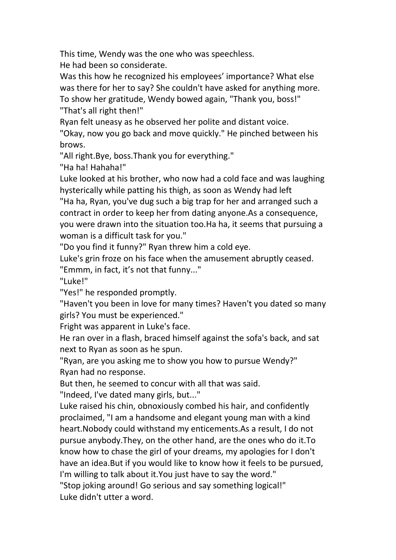This time, Wendy was the one who was speechless.

He had been so considerate.<br>Was this how he recognized his employees' importance? What else was there for her to say? She couldn't have asked for anything more. To show her gratitude, Wendy bowed again, "Thank you, boss!" "That's all right then!"

Ryan felt uneasy as he observed her polite and distant voice.

"Okay, now you go back and move quickly." He pinched between his brows.

"All right.Bye, boss.Thank you for everything."

"Ha ha! Hahaha!"

Luke looked at his brother, who now had a cold face and was laughing hysterically while patting his thigh, as soon as Wendy had left

"Ha ha, Ryan, you've dug such a big trap for her and arranged such a contract in order to keep her from dating anyone.As a consequence, you were drawn into the situation too.Ha ha, it seems that pursuing a woman is a difficult task for you."

"Do you find it funny?" Ryan threw him a cold eye.

Luke's grin froze on his face when the amusement abruptly ceased.

"Emmm, in fact, it's not that funny..."

"Luke!"

"Yes!" he responded promptly.

"Haven't you been in love for many times? Haven't you dated so many girls? You must be experienced."

Fright was apparent in Luke's face.

He ran over in a flash, braced himself against the sofa's back, and sat next to Ryan as soon as he spun.

"Ryan, are you asking me to show you how to pursue Wendy?" Ryan had no response.

But then, he seemed to concur with all that was said.

"Indeed, I've dated many girls, but..."

Luke raised his chin, obnoxiously combed his hair, and confidently proclaimed, "I am a handsome and elegant young man with a kind heart.Nobody could withstand my enticements.As a result, I do not pursue anybody.They, on the other hand, are the ones who do it.To know how to chase the girl of your dreams, my apologies for I don't have an idea.But if you would like to know how it feels to be pursued, I'm willing to talk about it.You just have to say the word."

"Stop joking around! Go serious and say something logical!" Luke didn't utter a word.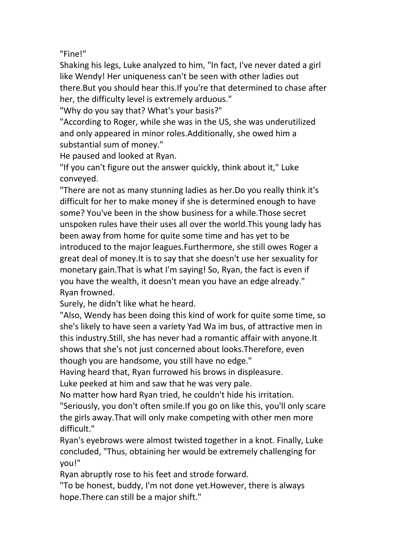"Fine!"

Shaking his legs, Luke analyzed to him, "In fact, I've never dated a girl like Wendy! Her uniqueness can't be seen with other ladies out there.But you should hear this.If you're that determined to chase after her, the difficulty level is extremely arduous."

"Why do you say that? What's your basis?"

"According to Roger, while she was in the US, she was underutilized and only appeared in minor roles.Additionally, she owed him a substantial sum of money."

He paused and looked at Ryan.

"If you can't figure out the answer quickly, think about it," Luke conveyed.

"There are not as many stunning ladies as her.Do you really think it's difficult for her to make money if she is determined enough to have some? You've been in the show business for a while.Those secret unspoken rules have their uses all over the world.This young lady has been away from home for quite some time and has yet to be introduced to the major leagues.Furthermore, she still owes Roger a great deal of money.It is to say that she doesn't use her sexuality for monetary gain.That is what I'm saying! So, Ryan, the fact is even if you have the wealth, it doesn't mean you have an edge already." Ryan frowned.

Surely, he didn't like what he heard.

"Also, Wendy has been doing this kind of work for quite some time, so she's likely to have seen a variety Yad Wa im bus, of attractive men in this industry.Still, she has never had a romantic affair with anyone.It shows that she's not just concerned about looks.Therefore, even though you are handsome, you still have no edge."

Having heard that, Ryan furrowed his brows in displeasure.

Luke peeked at him and saw that he was very pale.

No matter how hard Ryan tried, he couldn't hide his irritation.

"Seriously, you don't often smile.If you go on like this, you'll only scare the girls away.That will only make competing with other men more difficult."

Ryan's eyebrows were almost twisted together in a knot. Finally, Luke concluded, "Thus, obtaining her would be extremely challenging for you!"

Ryan abruptly rose to his feet and strode forward.

"To be honest, buddy, I'm not done yet.However, there is always hope.There can still be a major shift."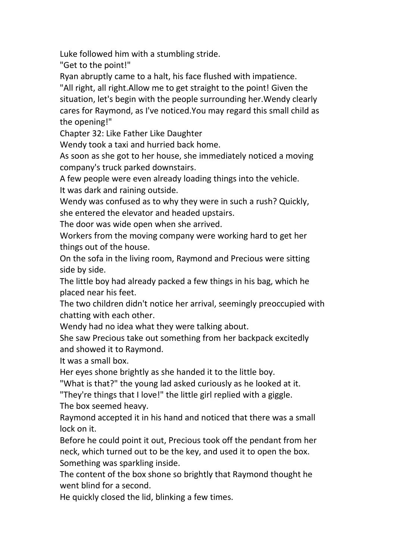Luke followed him with a stumbling stride.

"Get to the point!"

Ryan abruptly came to a halt, his face flushed with impatience.

"All right, all right.Allow me to get straight to the point! Given the situation, let's begin with the people surrounding her.Wendy clearly cares for Raymond, as I've noticed.You may regard this small child as the opening!"

Chapter 32: Like Father Like Daughter

Wendy took a taxi and hurried back home.

As soon as she got to her house, she immediately noticed a moving company's truck parked downstairs.

A few people were even already loading things into the vehicle. It was dark and raining outside.

Wendy was confused as to why they were in such a rush? Quickly, she entered the elevator and headed upstairs.

The door was wide open when she arrived.

Workers from the moving company were working hard to get her things out of the house.

On the sofa in the living room, Raymond and Precious were sitting side by side.

The little boy had already packed a few things in his bag, which he placed near his feet.

The two children didn't notice her arrival, seemingly preoccupied with chatting with each other.

Wendy had no idea what they were talking about.

She saw Precious take out something from her backpack excitedly and showed it to Raymond.

It was a small box.<br>Her eyes shone brightly as she handed it to the little boy.

"What is that?" the young lad asked curiously as he looked at it.

"They're things that I love!" the little girl replied with a giggle. The box seemed heavy.

Raymond accepted it in his hand and noticed that there was a small lock on it.

Before he could point it out, Precious took off the pendant from her neck, which turned out to be the key, and used it to open the box. Something was sparkling inside.

The content of the box shone so brightly that Raymond thought he went blind for a second.

He quickly closed the lid, blinking a few times.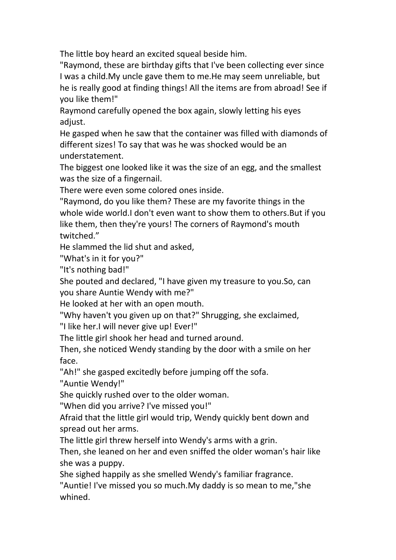The little boy heard an excited squeal beside him.

"Raymond, these are birthday gifts that I've been collecting ever since I was a child.My uncle gave them to me.He may seem unreliable, but he is really good at finding things! All the items are from abroad! See if you like them!"

Raymond carefully opened the box again, slowly letting his eyes adjust.

He gasped when he saw that the container was filled with diamonds of different sizes! To say that was he was shocked would be an understatement.

The biggest one looked like it was the size of an egg, and the smallest

was the size of a fingernail.<br>There were even some colored ones inside.

"Raymond, do you like them? These are my favorite things in the whole wide world.I don't even want to show them to others.But if you like them, then they're yours! The corners of Raymond's mouth twitched."

He slammed the lid shut and asked,

"What's in it for you?"

"It's nothing bad!"

She pouted and declared, "I have given my treasure to you.So, can

you share Auntie Wendy with me?"<br>He looked at her with an open mouth.

"Why haven't you given up on that?" Shrugging, she exclaimed,

"I like her.I will never give up! Ever!"

The little girl shook her head and turned around.

Then, she noticed Wendy standing by the door with a smile on her face.

"Ah!" she gasped excitedly before jumping off the sofa.

"Auntie Wendy!"

She quickly rushed over to the older woman.

"When did you arrive? I've missed you!"

Afraid that the little girl would trip, Wendy quickly bent down and spread out her arms.

The little girl threw herself into Wendy's arms with a grin.

Then, she leaned on her and even sniffed the older woman's hair like she was a puppy.

She sighed happily as she smelled Wendy's familiar fragrance.

"Auntie! I've missed you so much.My daddy is so mean to me,"she whined.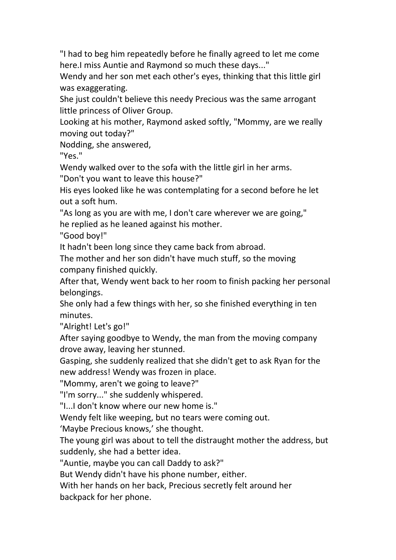"I had to beg him repeatedly before he finally agreed to let me come here.I miss Auntie and Raymond so much these days..."

Wendy and her son met each other's eyes, thinking that this little girl was exaggerating.

She just couldn't believe this needy Precious was the same arrogant little princess of Oliver Group.

Looking at his mother, Raymond asked softly, "Mommy, are we really moving out today?"

Nodding, she answered,

"Yes."

Wendy walked over to the sofa with the little girl in her arms.

"Don't you want to leave this house?"

His eyes looked like he was contemplating for a second before he let out a soft hum.

"As long as you are with me, I don't care wherever we are going," he replied as he leaned against his mother.

"Good boy!"

It hadn't been long since they came back from abroad.

The mother and her son didn't have much stuff, so the moving company finished quickly.

After that, Wendy went back to her room to finish packing her personal belongings.

She only had a few things with her, so she finished everything in ten minutes.

"Alright! Let's go!"

After saying goodbye to Wendy, the man from the moving company drove away, leaving her stunned.

Gasping, she suddenly realized that she didn't get to ask Ryan for the new address! Wendy was frozen in place.

"Mommy, aren't we going to leave?"

"I'm sorry..." she suddenly whispered.

"I...I don't know where our new home is."

Wendy felt like weeping, but no tears were coming out.

'Maybe Precious knows,' she thought.

The young girl was about to tell the distraught mother the address, but suddenly, she had a better idea.

"Auntie, maybe you can call Daddy to ask?"

But Wendy didn't have his phone number, either.

With her hands on her back, Precious secretly felt around her

backpack for her phone.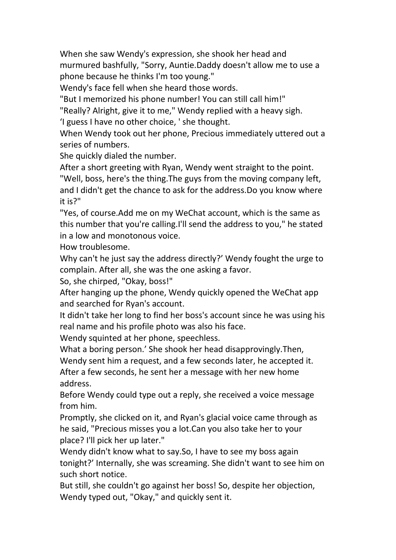When she saw Wendy's expression, she shook her head and murmured bashfully, "Sorry, Auntie.Daddy doesn't allow me to use a phone because he thinks I'm too young."

Wendy's face fell when she heard those words.

"But I memorized his phone number! You can still call him!"

"Really? Alright, give it to me," Wendy replied with a heavy sigh.

'I guess I have no other choice, ' she thought.

When Wendy took out her phone, Precious immediately uttered out a series of numbers.

She quickly dialed the number.

After a short greeting with Ryan, Wendy went straight to the point. "Well, boss, here's the thing.The guys from the moving company left, and I didn't get the chance to ask for the address.Do you know where it is?"

"Yes, of course.Add me on my WeChat account, which is the same as this number that you're calling.I'll send the address to you," he stated in a low and monotonous voice.<br>How troublesome.

Why can't he just say the address directly?' Wendy fought the urge to complain. After all, she was the one asking a favor.

So, she chirped, "Okay, boss!"

After hanging up the phone, Wendy quickly opened the WeChat app and searched for Ryan's account.

It didn't take her long to find her boss's account since he was using his real name and his profile photo was also his face.

Wendy squinted at her phone, speechless.

What a boring person.' She shook her head disapprovingly.Then,

Wendy sent him a request, and a few seconds later, he accepted it.

After a few seconds, he sent her a message with her new home address.

Before Wendy could type out a reply, she received a voice message from him.

Promptly, she clicked on it, and Ryan's glacial voice came through as he said, "Precious misses you a lot.Can you also take her to your place? I'll pick her up later."

Wendy didn't know what to say.So, I have to see my boss again tonight?' Internally, she was screaming. She didn't want to see him on such short notice.

But still, she couldn't go against her boss! So, despite her objection, Wendy typed out, "Okay," and quickly sent it.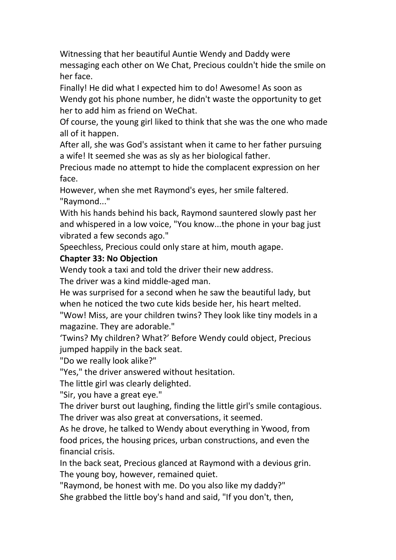Witnessing that her beautiful Auntie Wendy and Daddy were messaging each other on We Chat, Precious couldn't hide the smile on her face.

Finally! He did what I expected him to do! Awesome! As soon as Wendy got his phone number, he didn't waste the opportunity to get her to add him as friend on WeChat.

Of course, the young girl liked to think that she was the one who made all of it happen.

After all, she was God's assistant when it came to her father pursuing a wife! It seemed she was as sly as her biological father.

Precious made no attempt to hide the complacent expression on her face.

However, when she met Raymond's eyes, her smile faltered. "Raymond..."

With his hands behind his back, Raymond sauntered slowly past her and whispered in a low voice, "You know...the phone in your bag just vibrated a few seconds ago."

Speechless, Precious could only stare at him, mouth agape.

## **Chapter 33:No Objection**

Wendy took a taxi and told the driver their new address.

The driver was a kind middle-aged man.

He was surprised for a second when he saw the beautiful lady, but when he noticed the two cute kids beside her, his heart melted.

"Wow! Miss, are your children twins? They look like tiny models in a magazine. They are adorable."

'Twins? My children? What?' Before Wendy could object, Precious jumped happily in the back seat.

"Do we really look alike?"

"Yes," the driver answered without hesitation.

The little girl was clearly delighted.

"Sir, you have a great eye."

The driver burst out laughing, finding the little girl's smile contagious. The driver was also great at conversations, it seemed.

As he drove, he talked to Wendy about everything in Ywood, from food prices, the housing prices, urban constructions, and even the financial crisis.

In the back seat, Precious glanced at Raymond with a devious grin. The young boy, however, remained quiet.

"Raymond, be honest with me. Do you also like my daddy?"

She grabbed the little boy's hand and said, "If you don't, then,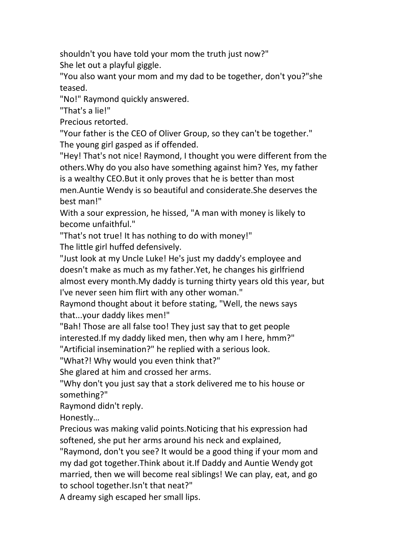shouldn't you have told your mom the truth just now?" She let out a playful giggle.

"You also want your mom and my dad to be together, don't you?"she teased.

"No!" Raymond quickly answered.

"That's a lie!"

Precious retorted.

"Your father is the CEO of Oliver Group, so they can't be together." The young girl gasped as if offended.

"Hey! That's not nice! Raymond, I thought you were different from the others.Why do you also have something against him? Yes, my father is a wealthy CEO.But it only proves that he is better than most men.Auntie Wendy is so beautiful and considerate.She deserves the best man!"

With a sour expression, he hissed, "A man with money is likely to become unfaithful."

"That's not true! It has nothing to do with money!"

The little girl huffed defensively.

"Just look at my Uncle Luke! He's just my daddy's employee and doesn't make as much as my father.Yet, he changes his girlfriend almost every month.My daddy is turning thirty years old this year, but I've never seen him flirt with any other woman."

Raymond thought about it before stating, "Well, the news says that...your daddy likes men!"

"Bah! Those are all false too! They just say that to get people interested.If my daddy liked men, then why am I here, hmm?"

"Artificial insemination?" he replied with a serious look.

"What?! Why would you even think that?"

She glared at him and crossed her arms.

"Why don't you just say that a stork delivered me to his house or something?"

Raymond didn't reply.

Honestly…

Precious was making valid points.Noticing that his expression had softened, she put her arms around his neck and explained,

"Raymond, don't you see? It would be a good thing if your mom and my dad got together.Think about it.If Daddy and Auntie Wendy got married, then we will become real siblings! We can play, eat, and go to school together.Isn't that neat?"

A dreamy sigh escaped her small lips.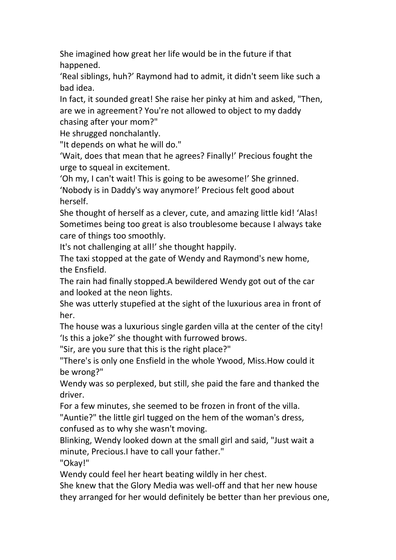She imagined how great her life would be in the future if that happened.

'Real siblings, huh?' Raymond had to admit, it didn't seem like such a bad idea.

In fact, it sounded great! She raise her pinky at him and asked, "Then, are we in agreement? You're not allowed to object to mydaddy chasing after your mom?"

He shrugged nonchalantly.

"It depends on what he will do."

'Wait, does that mean that he agrees? Finally!' Precious fought the urge to squeal in excitement.

'Oh my, I can't wait! This is going to be awesome!' She grinned. 'Nobody is in Daddy's way anymore!' Precious felt good about herself.

She thought of herself as a clever, cute, and amazing little kid! 'Alas! Sometimes being too great is also troublesome because I always take care of things too smoothly.

It's not challenging at all!' she thought happily.

The taxi stopped at the gate of Wendy and Raymond's new home, the Ensfield.

The rain had finally stopped.A bewildered Wendy got out of the car and looked at the neon lights.

She was utterly stupefied at the sight of the luxurious area in front of her.

The house was a luxurious single garden villa at the center of the city! 'Is this a joke?' she thought with furrowed brows.

"Sir, are you sure that this is the right place?"

"There's is only one Ensfield in the whole Ywood, Miss.How could it be wrong?"

Wendy was so perplexed, but still, she paid the fare and thanked the driver.

For a few minutes, she seemed to be frozen in front of the villa.

"Auntie?" the little girl tugged on the hem of the woman's dress, confused as to why she wasn't moving.

Blinking, Wendy looked down at the small girl and said, "Just wait a minute, Precious.I have to call your father."

"Okay!"

Wendy could feel her heart beating wildly in her chest.

She knew that the Glory Media was well-off and that her new house they arranged for her would definitely be better than her previous one,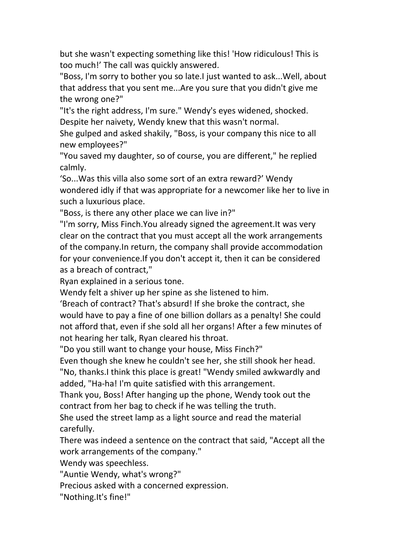but she wasn't expecting something like this! 'How ridiculous! This is too much!' The call was quickly answered.

"Boss, I'm sorry to bother you so late.I just wanted to ask...Well, about that address that you sent me...Are you sure that you didn't give me the wrong one?"

"It's the right address, I'm sure." Wendy's eyes widened, shocked. Despite her naivety, Wendy knew that this wasn't normal.

She gulped and asked shakily, "Boss, is your company this nice to all new employees?"

"You saved my daughter, so of course, you are different," he replied calmly.

'So...Was this villa also some sort of an extra reward?' Wendy wondered idly if that was appropriate for a newcomer like her to live in such a luxurious place.

"Boss, is there any other place we can live in?"

"I'm sorry, Miss Finch.You already signed the agreement.It was very clear on the contract that you must accept all the work arrangements of the company.In return, the company shall provide accommodation for your convenience.If you don't accept it, then it can be considered as a breach of contract,"

Ryan explained in a serious tone.

Wendy felt a shiver up her spine as she listened to him.

'Breach of contract? That's absurd! If she broke the contract, she would have to pay a fine of one billion dollars as a penalty! She could not afford that, even if she sold all her organs! After a few minutes of not hearing her talk, Ryan cleared his throat.

"Do you still want to change your house, Miss Finch?"

Even though she knew he couldn't see her, she still shook her head.

"No, thanks.I think this place is great! "Wendy smiled awkwardly and added, "Ha-ha! I'm quite satisfied with this arrangement.

Thank you, Boss! After hanging up the phone, Wendy took out the contract from her bag to check if he was telling the truth.<br>She used the street lamp as a light source and read the material

carefully.

There was indeed a sentence on the contract that said, "Accept all the work arrangements of the company."

Wendy was speechless.

"Auntie Wendy, what's wrong?"

Precious asked with a concerned expression.

"Nothing.It's fine!"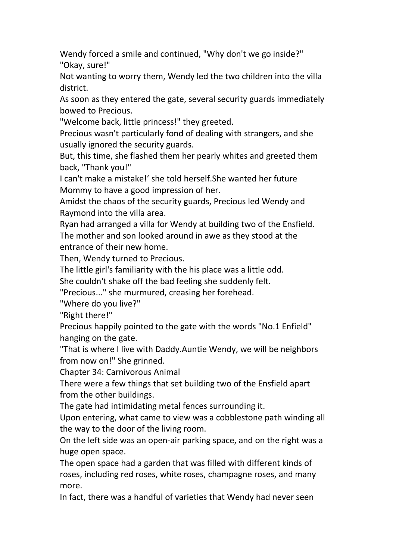Wendy forced a smile and continued, "Why don't we go inside?" "Okay, sure!"

Not wanting to worry them, Wendy led the two children into the villa district.

As soon as they entered the gate, several security guards immediately bowed to Precious.

"Welcome back, little princess!" they greeted.

Precious wasn't particularly fond of dealing with strangers, and she usually ignored the security guards.

But, this time, she flashed them her pearly whites and greeted them back, "Thank you!"

I can't make a mistake!'she told herself.She wanted her future Mommy to have a good impression of her.

Amidst the chaos of the security guards, Precious led Wendy and Raymond into the villa area.

Ryan had arranged a villa for Wendy at building two of the Ensfield. The mother and son looked around in awe as they stood at the entrance of their new home.

Then, Wendy turned to Precious.

The little girl's familiarity with the his place was a little odd.

She couldn't shake off the bad feeling she suddenly felt.

"Precious..." she murmured, creasing her forehead.

"Where do you live?"

"Right there!"

Precious happily pointed to the gate with the words "No.1 Enfield" hanging on the gate.

"That is where I live with Daddy.Auntie Wendy, we will be neighbors from now on!" She grinned.

Chapter 34: Carnivorous Animal

There were a few things that set building two of the Ensfield apart from the other buildings.

The gate had intimidating metal fences surrounding it.

Upon entering, what came to view was a cobblestone path winding all the way to the door of the living room.

On the left side was an open-air parking space, and on the right was a huge open space.

The open space had a garden that was filled with different kinds of roses, including red roses, white roses, champagne roses, and many more.

In fact, there was a handful of varieties that Wendy had never seen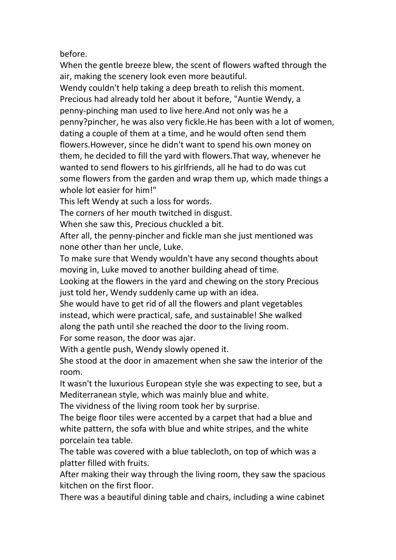before.

When the gentle breeze blew, the scent of flowers wafted through the air, making the scenery look even more beautiful.

Wendy couldn't help taking a deep breath to relish this moment. Precious had already told her about it before, "Auntie Wendy, a penny-pinching man used to live here.And not only was he a penny?pincher, he was also very fickle.He has been with a lot of women, dating a couple of them at a time, and he would often send them flowers.However, since he didn't want to spend his own money on them, he decided to fill the yard with flowers.That way, whenever he wanted to send flowers to his girlfriends, all he had to do was cut some flowers from the garden and wrap them up, which made things a whole lot easier for him!"

This left Wendy at such a loss for words.

The corners of her mouth twitched in disgust.

When she saw this, Precious chuckled a bit.

After all, the penny-pincher and fickle man she just mentioned was none other than her uncle, Luke.

To make sure that Wendy wouldn't have any second thoughts about moving in, Luke moved to another building ahead of time.

Looking at the flowers in the yard and chewing on the story Precious just told her, Wendy suddenly came up with an idea.

She would have to get rid of all the flowers and plant vegetables instead, which were practical, safe, and sustainable! She walked along the path until she reached the door to the living room. For some reason, the door was ajar.

With a gentle push, Wendy slowly opened it.

She stood at the door in amazement when she saw the interior of the room.

It wasn't the luxurious European style she was expecting to see, but a Mediterranean style, which was mainly blue and white.

The vividness of the living room took her by surprise.

The beige floor tiles were accented by a carpet that had a blue and white pattern, the sofa with blue and white stripes, and the white porcelain tea table.

The table was covered with a blue tablecloth, on top of which was a platter filled with fruits.

After making their way through the living room, they saw the spacious kitchen on the first floor.

There was a beautiful dining table and chairs, including a wine cabinet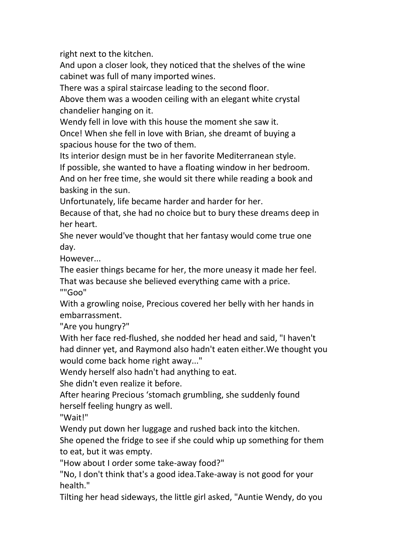right next to the kitchen.

And upon a closer look, they noticed that the shelves of the wine cabinet was full of many imported wines.

There was a spiral staircase leading to the second floor.

Above them was a wooden ceiling with an elegant white crystal chandelier hanging on it.

Wendy fell in love with this house the moment she saw it. Once! When she fell in love with Brian, she dreamt of buying a

spacious house for the two of them.

Its interior design must be in her favorite Mediterranean style.

If possible, she wanted to have a floating window in her bedroom. And on her free time, she would sit there while reading a book and basking in the sun.

Unfortunately, life became harder and harder for her.

Because of that, she had no choice but to bury these dreams deep in her heart.

She never would've thought that her fantasy would come true one day.

However...

The easier things became for her, the more uneasy it made her feel. That was because she believed everything came with a price. ""Goo"

With a growling noise, Precious covered her belly with her hands in embarrassment.

"Are you hungry?"

With her face red-flushed, she nodded her head and said, "I haven't had dinner yet, and Raymond also hadn't eaten either.We thought you would come back home right away..."

Wendy herself also hadn't had anything to eat.

She didn't even realize it before.

After hearing Precious 'stomach grumbling, she suddenly found herself feeling hungry as well.

"Wait!"

Wendy put down her luggage and rushed back into the kitchen.

She opened the fridge to see if she could whip up something for them to eat, but it was empty.

"How about I order some take-away food?"

"No, I don't think that's a good idea.Take-away is not good for your health."

Tilting her head sideways, the little girl asked, "Auntie Wendy, do you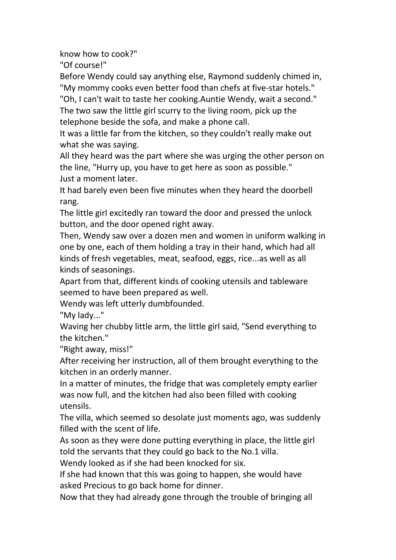know how to cook?"

"Of course!"

Before Wendy could say anything else, Raymond suddenly chimed in, "My mommy cooks even better food than chefs at five-star hotels."

"Oh, I can't wait to taste her cooking.Auntie Wendy, wait a second." The two saw the little girl scurry to the living room, pick up the

telephone beside the sofa, and make a phone call.

It was a little far from the kitchen, so they couldn't really make out what she was saying.

All they heard was the part where she was urging the other person on the line, "Hurry up, you have to get here as soon as possible." Just a moment later.

It had barely even been five minutes when they heard the doorbell rang.

The little girl excitedly ran toward the door and pressed the unlock button, and the door opened right away.

Then, Wendy saw over a dozen men and women in uniform walking in one by one, each of them holding a tray in their hand, which had all kinds of fresh vegetables, meat, seafood, eggs, rice...as well as all kinds of seasonings.

Apart from that, different kinds of cooking utensils and tableware seemed to have been prepared as well.

Wendy was left utterly dumbfounded.

"My lady..."

Waving her chubby little arm, the little girl said, "Send everything to the kitchen."

"Right away, miss!"

After receiving her instruction, all of them brought everything to the kitchen in an orderly manner.

In a matter of minutes, the fridge that was completely empty earlier was now full, and the kitchen had also been filled with cooking utensils.

The villa, which seemed so desolate just moments ago, was suddenly filled with the scent of life.

As soon as they were done putting everything in place, the little girl told the servants that they could go back to the No.1 villa.

Wendy looked as if she had been knocked for six.

If she had known that this was going to happen, she would have asked Precious to go back home for dinner.

Now that they had already gone through the trouble of bringing all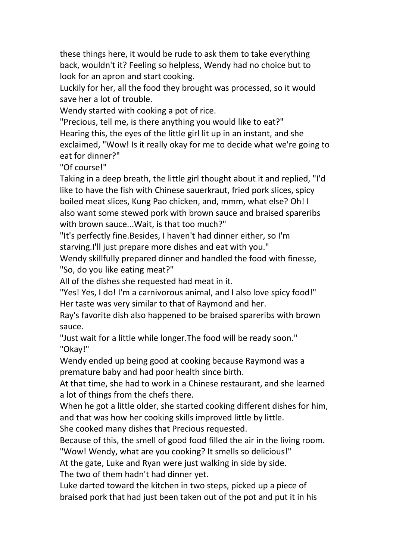these things here, it would be rude to ask them to take everything back, wouldn't it? Feeling so helpless, Wendy had no choice but to look for an apron and start cooking.

Luckily for her, all the food they brought was processed, so it would save her a lot of trouble.

Wendy started with cooking a pot of rice.

"Precious, tell me, is there anything you would like to eat?" Hearing this, the eyes of the little girl lit up in an instant, and she exclaimed, "Wow! Is it really okay for me to decide what we're going to eat for dinner?"

"Of course!"

Taking in a deep breath, the little girl thought about it and replied, "I'd like to have the fish with Chinese sauerkraut, fried pork slices, spicy boiled meat slices, Kung Pao chicken, and, mmm, what else? Oh! I also want some stewed pork with brown sauce and braised spareribs with brown sauce...Wait, is that too much?"

"It's perfectly fine.Besides, I haven't had dinner either, so I'm

starving.I'll just prepare more dishes and eat with you."<br>Wendy skillfully prepared dinner and handled the food with finesse, "So, do you like eating meat?"

All of the dishes she requested had meat in it.

"Yes! Yes, I do! I'm a carnivorous animal, and I also love spicy food!" Her taste was very similar to that of Raymond and her.

Ray's favorite dish also happened to be braised spareribs with brown sauce.

"Just wait for a little while longer.The food will be ready soon." "Okay!"

Wendy ended up being good at cooking because Raymond was a premature baby and had poor health since birth.

At that time, she had to work in a Chinese restaurant, and she learned a lot of things from the chefs there.

When he got a little older, she started cooking different dishes for him, and that was how her cooking skills improved little by little.

She cooked many dishes that Precious requested.

Because of this, the smell of good food filled the air in the living room.

"Wow! Wendy, what are you cooking? It smells so delicious!"

At the gate, Luke and Ryan were just walking in side by side.

The two of them hadn't had dinner yet.

Luke darted toward the kitchen in two steps, picked up a piece of braised pork that had just been taken out of the pot and put it in his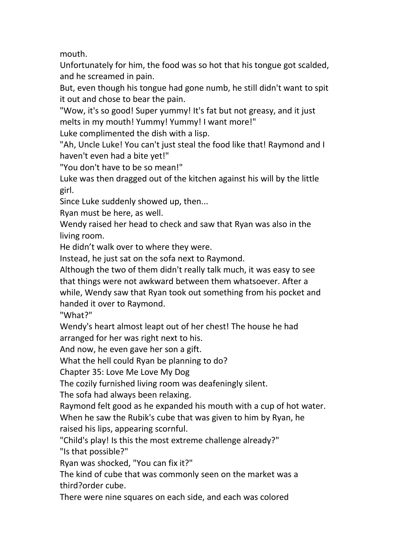mouth.

Unfortunately for him, the food was so hot that his tongue got scalded, and he screamed in pain.

But, even though his tongue had gone numb, he still didn't want to spit it out and chose to bear the pain.

"Wow, it's so good! Super yummy! It's fat but not greasy, and it just melts in my mouth! Yummy! Yummy! I want more!"

Luke complimented the dish with a lisp.

"Ah, Uncle Luke! You can't just steal the food like that! Raymond and I haven't even had a bite yet!"

"You don't have to be so mean!"

Luke was then dragged out of the kitchen against his will by the little girl.

Since Luke suddenly showed up, then...

Ryan must be here, as well.

Wendy raised her head to check and saw that Ryan was also in the living room.

He didn't walk over to where they were.

Instead, he just sat on the sofa next to Raymond.

Although the two of them didn't really talk much, it was easy to see that things were not awkward between them whatsoever. After a while, Wendy saw that Ryan took out something from his pocket and handed it over to Raymond.

"What?"

Wendy's heart almost leapt out of her chest! The house he had arranged for her was right next to his.

And now, he even gave her son a gift.

What the hell could Ryan be planning to do?

Chapter 35:Love Me Love My Dog

The cozily furnished living room was deafeningly silent.

The sofa had always been relaxing.

Raymond felt good as he expanded his mouth with a cup of hot water. When he saw the Rubik's cube that was given to him by Ryan, he

raised his lips, appearing scornful.

"Child's play! Is this the most extreme challenge already?"

"Is that possible?"

Ryan was shocked, "You can fix it?"

The kind of cube that was commonly seen on the market was a third?order cube.

There were nine squares on each side, and each was colored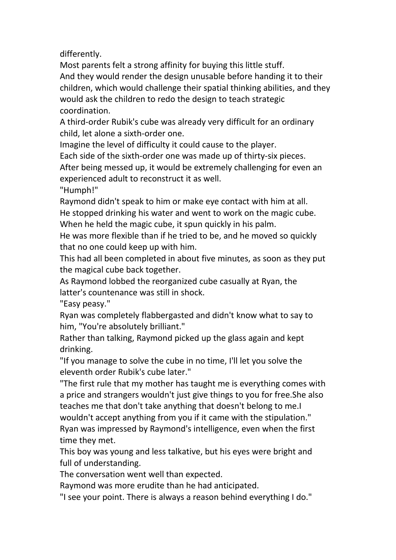differently.

Most parents felt a strong affinity for buying this little stuff. And they would render the design unusable before handing it to their children, which would challenge their spatial thinking abilities, and they would ask the children to redo the design to teach strategic coordination.

A third-order Rubik's cube was already very difficult for an ordinary child, let alone a sixth-order one.

Imagine the level of difficulty it could cause to the player.

Each side of the sixth-order one was made up of thirty-six pieces.

After being messed up, it would be extremely challenging for even an experienced adult to reconstruct it as well.

"Humph!"

Raymond didn't speak to him or make eye contact with him at all. He stopped drinking his water and went to work on the magic cube. When he held the magic cube, it spun quickly in his palm.

He was more flexible than if he tried to be, and he moved so quickly that no one could keep up with him.

This had all been completed in about five minutes, as soon as they put the magical cube back together.

As Raymond lobbed the reorganized cube casually at Ryan, the latter's countenance was still in shock.

"Easy peasy."

Ryan was completely flabbergasted and didn't know what to say to him, "You're absolutely brilliant."

Rather than talking, Raymond picked up the glass again and kept drinking.

"If you manage to solve the cube in no time, I'll let you solve the eleventh order Rubik's cube later."

"The first rule that my mother has taught me is everything comes with a price and strangers wouldn't just give things to you for free.She also teaches me that don't take anything that doesn't belong to me.I wouldn't accept anything from you if it came with the stipulation." Ryan was impressed by Raymond's intelligence, even when the first time they met.

This boy was young and less talkative, but his eyes were bright and full of understanding.

The conversation went well than expected.

Raymond was more erudite than he had anticipated.

"I see your point. There is always a reason behind everything I do."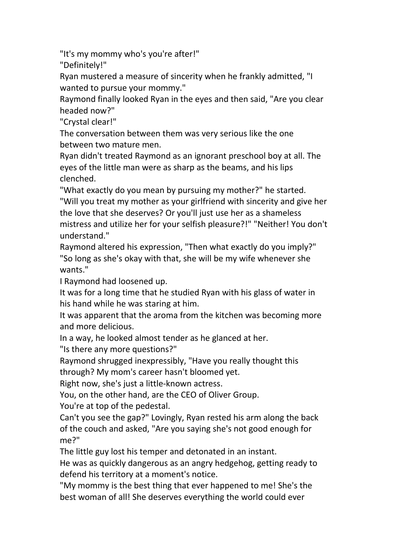"It's my mommy who's you're after!"

"Definitely!"

Ryan mustered a measure of sincerity when he frankly admitted, "I wanted to pursue your mommy."

Raymond finally looked Ryan in the eyesand then said, "Are you clear headed now?"

"Crystal clear!"

The conversation between them was very serious like the one between two mature men.

Ryan didn't treated Raymond as an ignorant preschool boy at all. The eyes of the little man were as sharp as the beams, and his lips clenched.

"What exactly do you mean by pursuing my mother?" he started. "Will you treat my mother as your girlfriend with sincerity and give her the love that she deserves? Or you'll just use her as a shameless mistress and utilize her for your selfish pleasure?!" "Neither! You don't understand."

Raymond altered his expression, "Then what exactly do you imply?" "So long as she's okay with that, she will be my wife whenever she wants."

I Raymond had loosened up.

It was for a long time that he studied Ryan with his glass of water in his hand while he was staring at him.

It was apparent that the aroma from the kitchen was becoming more and more delicious.

In a way, he looked almost tender as he glanced at her.

"Is there any more questions?"

Raymond shrugged inexpressibly, "Have you really thought this through? My mom's career hasn't bloomed yet.

Right now, she's just a little-known actress.

You, on the other hand, are the CEO of Oliver Group.

You're at top of the pedestal.

Can't you see the gap?" Lovingly, Ryan rested his arm along the back of the couch and asked, "Are you saying she's not good enough for me?"

The little guy lost his temper and detonated in an instant.

He was as quickly dangerous as an angry hedgehog, getting ready to defend his territory at a moment's notice.

"My mommy is the best thing that ever happened to me! She's the best woman of all! She deserves everything the world could ever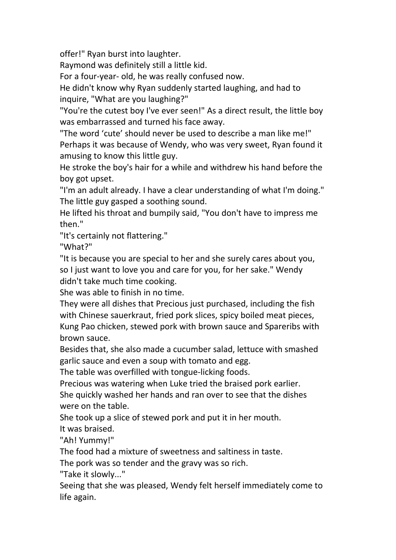offer!" Ryan burst into laughter.

Raymond was definitely still a little kid.

For a four-year- old, he was really confused now.

He didn't know why Ryan suddenly started laughing, and had to inquire, "What are you laughing?"

"You're the cutest boy I've ever seen!" As a direct result, the little boy was embarrassed and turned his face away.

"The word 'cute' should never be used to describe a man like me!" Perhaps it was because of Wendy, who was very sweet, Ryan found it amusing to know this little guy.

He stroke the boy's hair for a while and withdrew his hand before the boy got upset.

"I'm an adult already. I have a clear understanding of what I'm doing." The little guy gasped a soothing sound.

He lifted his throat and bumpily said, "You don't have to impress me then."

"It's certainly not flattering."

"What?"

"It is because you are special to her and she surely cares about you, so I just want to love you and care for you, for her sake." Wendy didn't take much time cooking.

She was able to finish in no time.

They were all dishes that Precious just purchased, including the fish with Chinese sauerkraut, fried pork slices, spicy boiled meat pieces, Kung Pao chicken, stewed pork with brown sauce and Spareribs with brown sauce.

Besides that, she also made a cucumber salad, lettuce with smashed garlic sauce and even a soup with tomato and egg.

The table was overfilled with tongue-licking foods.

Precious was watering when Luke tried the braised pork earlier.

She quickly washed her hands and ran over to see that the dishes were on the table.

She took up a slice of stewed pork and put it in her mouth.

It was braised.

"Ah! Yummy!"

The food had a mixture of sweetness and saltiness in taste.

The pork was so tender and the gravy was so rich.

"Take it slowly..."

Seeing that she was pleased, Wendy felt herself immediately come to life again.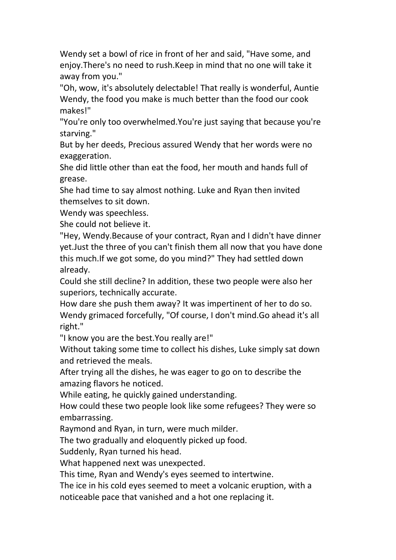Wendy set a bowl of rice in front of her and said, "Have some, and enjoy.There's no need to rush.Keep in mind that no one will take it away from you."

"Oh, wow, it's absolutely delectable! That really is wonderful, Auntie Wendy, the food you make is much better than the food our cook makes!"

"You're only too overwhelmed.You're just saying that because you're starving."

But by her deeds, Precious assured Wendy that her words were no exaggeration.

She did little other than eat the food, her mouth and hands full of grease.

She had time to say almost nothing. Luke and Ryan then invited themselves to sit down.

Wendy was speechless.

She could not believe it.

"Hey, Wendy.Because of your contract, Ryan and I didn't have dinner yet. Just the three of you can't finish them all now that you have done this much.If we got some, do you mind?" They had settled down already.

Could she still decline? In addition, these two people were also her superiors, technically accurate.

How dare she push them away? It was impertinent of her to do so. Wendy grimaced forcefully, "Of course, I don't mind.Go ahead it's all right."

"I know you are the best.You really are!"

Without taking some time to collect his dishes, Luke simply sat down and retrieved the meals.

After trying all the dishes, he was eager to go on to describe the amazing flavors he noticed.

While eating, he quickly gained understanding.

How could these two people look like some refugees? They were so embarrassing.

Raymond and Ryan, in turn, were much milder.

The two gradually and eloquently picked up food.

Suddenly, Ryan turned his head.

What happened next was unexpected.

This time, Ryan and Wendy's eyes seemed to intertwine.

The ice in his cold eyes seemed to meet a volcanic eruption, with a

noticeable pace that vanished and a hot one replacing it.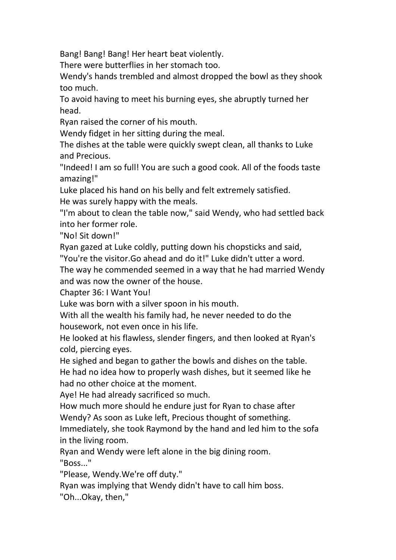Bang! Bang! Bang! Her heart beat violently.

There were butterflies in her stomach too.

Wendy's hands trembled and almost dropped the bowl as they shook too much.

To avoid having to meet his burning eyes, she abruptly turned her head.

Ryan raised the corner of his mouth.

Wendy fidget in her sitting during the meal.

The dishes at the table were quickly swept clean, all thanks to Luke and Precious.

"Indeed! I am so full! You are such a good cook. All of the foods taste amazing!"

Luke placed his hand on his belly and felt extremely satisfied.<br>He was surely happy with the meals.

"I'm about to clean the table now," said Wendy, who had settled back into her former role.

"No! Sit down!"

Ryan gazed at Luke coldly, putting down his chopsticks and said,

"You're the visitor.Go ahead and do it!" Luke didn't utter a word.

The way he commended seemed in a way that he had married Wendy and was now the owner of the house.

Chapter 36:I Want You!

Luke was born with a silver spoon in his mouth.

With all the wealth his family had, he never needed to do the housework, not even once in his life.

He looked at his flawless, slender fingers, and then looked at Ryan's cold, piercing eyes.

He sighed and began to gather the bowls and dishes on the table.

He had no idea how to properly wash dishes, but it seemed like he had no other choice at the moment.

Aye! He had already sacrificed so much.

How much more should he endure just for Ryan to chase after Wendy? As soon as Luke left, Precious thought of something.

Immediately, she took Raymond by the hand and led him to the sofa in the living room.

Ryan and Wendy were left alone in the big dining room. "Boss..."

"Please, Wendy.We're off duty."

Ryan was implying that Wendy didn't have to call him boss.

"Oh...Okay, then,"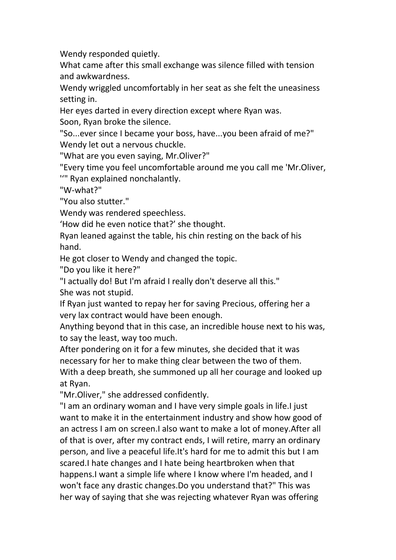Wendy responded quietly.

What came after this small exchange was silence filled with tension and awkwardness.

Wendy wriggled uncomfortably in her seat as she felt the uneasiness setting in.

Her eyes darted in every direction except where Ryan was.

Soon, Ryan broke the silence.

"So...ever since I became your boss, have...you been afraid of me?" Wendy let out a nervous chuckle.

"What are you even saying, Mr.Oliver?"

"Every time you feel uncomfortable around me you call me 'Mr.Oliver,

''" Ryan explained nonchalantly.

"W-what?"

"You also stutter."

Wendy was rendered speechless.

'How did he even notice that?' she thought.

Ryan leaned against the table, his chin resting on the back of his hand.

He got closer to Wendy and changed the topic.

"Do you like it here?"

"I actually do! But I'm afraid I really don't deserve all this." She was not stupid.

If Ryan just wanted to repay her for saving Precious, offering her a very lax contract would have been enough.

Anything beyond that in this case, an incredible house next to his was, to say the least, way too much.

After pondering on it for a few minutes, she decided that it was necessary for her to make thing clear between the two of them.

With a deep breath, she summoned up all her courage and looked up at Ryan.

"Mr.Oliver," she addressed confidently.

"I am an ordinary woman and Ihave very simple goals in life.I just want to make it in the entertainment industry and show how good of an actress I am on screen. I also want to make a lot of money. After all of that is over, after my contract ends, I will retire, marry an ordinary person, and live a peaceful life.It's hard for me to admit this but I am scared.I hate changes and I hate being heartbroken when that happens.I want a simple life where I know where I'm headed, and I won't face any drastic changes.Do you understand that?" This was her way of saying that she was rejecting whatever Ryan was offering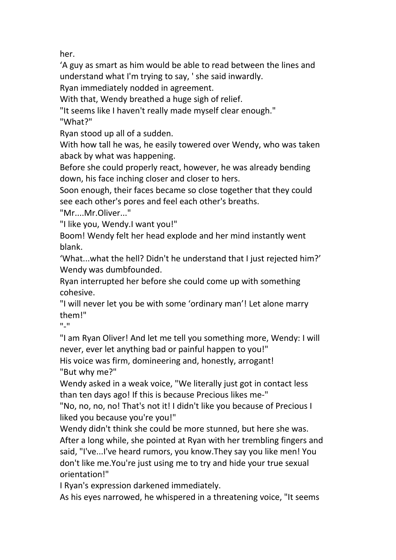her.

'A guy as smart as him would be able to read between the lines and understand what I'm trying to say, ' she said inwardly.

Ryan immediately nodded in agreement.

With that, Wendy breathed a huge sigh of relief.

"It seems like I haven't really made myself clear enough."

"What?"

Ryan stood up all of a sudden.

With how tall he was, he easily towered over Wendy, who was taken aback by what was happening.

Before she could properly react, however, he was already bending down, his face inching closer and closer to hers.

Soon enough, their faces became so close together that they could see each other's pores and feel each other's breaths.

"Mr....Mr.Oliver..."

"I like you, Wendy.I want you!"

Boom! Wendy felt her head explode and her mind instantly went blank.

'What...what the hell? Didn't he understand that I just rejected him?' Wendy was dumbfounded.

Ryan interrupted her before she could come up with something cohesive.

"I will never let you be with some 'ordinary man'! Let alone marry them!"

"-"

"I am Ryan Oliver! And let me tell you something more, Wendy: I will

never, ever let anything bad or painful happen to you!"<br>His voice was firm, domineering and, honestly, arrogant! "But why me?"

Wendy asked in a weak voice, "We literally just got in contact less than ten days ago! If this is because Precious likes me-"

"No, no, no, no! That's not it! I didn't like you because of Precious I liked you because you're you!"

Wendy didn't think she could be more stunned, but here she was. After a long while, she pointed at Ryan with her trembling fingers and said, "I've...I've heard rumors, you know.They say you like men! You don't like me.You're just using me to try and hide your true sexual orientation!"

I Ryan's expression darkened immediately.

As his eyes narrowed, he whispered in a threatening voice, "It seems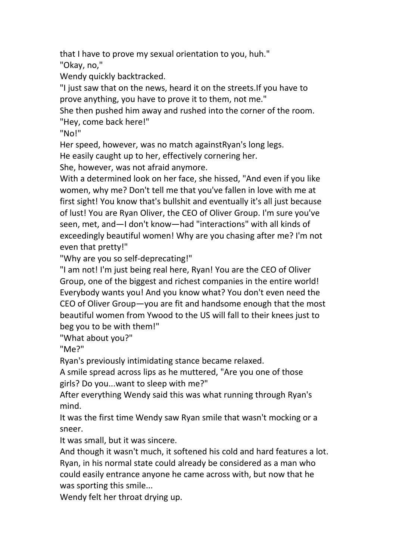that I have to prove my sexual orientation to you, huh."

"Okay, no,"

Wendy quickly backtracked.

"I just saw that on the news, heard it on the streets.If you have to prove anything, you have to prove it to them, not me."

She then pushed him away and rushed into the corner of the room. "Hey, come back here!"

"No!"

Her speed, however, was no match againstRyan's long legs.

He easily caught up to her, effectively cornering her.

She, however, was not afraid anymore.

With a determined look on her face, she hissed, "And even if you like women, why me? Don't tell me that you've fallen in love with me at first sight! You know that's bullshit and eventually it's all just because of lust! You are Ryan Oliver, the CEO of Oliver Group. I'm sure you've seen, met, and—I don't know—had "interactions" with all kinds of exceedingly beautiful women! Why are you chasing after me? I'm not even that pretty!"

"Why are you so self-deprecating!"

"I am not! I'm just being real here, Ryan! You are the CEO of Oliver Group, one of the biggest and richest companies in the entire world! Everybody wants you! And you know what? You don't even need the CEO of Oliver Group—you are fit and handsome enough that the most beautiful women from Ywood to the US willfall to their knees just to beg you to be with them!"

"What about you?"

"Me?"

Ryan's previously intimidating stance became relaxed.

A smile spread across lips as he muttered, "Are you one of those girls? Do you...want to sleep with me?"<br>After everything Wendy said this was what running through Ryan's

mind.

It was the first time Wendy saw Ryan smile that wasn't mocking or a sneer.

It was small, but it was sincere.

And though it wasn't much, it softened his cold and hard features a lot. Ryan, in his normal state could already be considered as a man who could easily entrance anyone he came across with, but now that he was sporting this smile...

Wendy felt her throat drying up.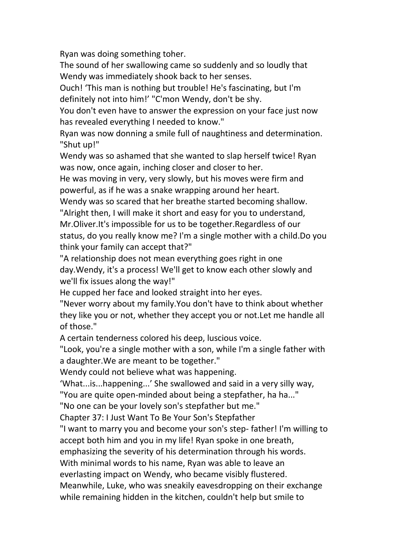Ryan was doing something toher.

The sound of her swallowing came so suddenly and so loudly that Wendy was immediately shook back to her senses.

Ouch! 'This man is nothing but trouble! He's fascinating, but I'm definitely not into him!' "C'mon Wendy, don't be shy.

You don't even have to answer the expression on your face just now has revealed everything I needed to know."

Ryan was now donning a smile full of naughtiness and determination. "Shut up!"

Wendy was so ashamed that she wanted to slap herself twice! Ryan was now, once again, inching closer and closer to her.

He was moving in very, very slowly, but his moves were firm and powerful, as if he was a snake wrapping around her heart.

Wendy was so scared that her breathe started becoming shallow.

"Alright then, I will make it short and easy for you to understand, Mr.Oliver.It's impossible for us to be together.Regardless of our status, do you really know me? I'm a single mother with a child.Do you think your family can accept that?"

"A relationship does not mean everything goes right in one day.Wendy, it's a process! We'll get to know each other slowly and we'll fix issues along the way!"

He cupped her face and looked straight into her eyes.

"Never worry about my family.You don't have to think about whether they like you or not, whether they accept you or not. Let me handle all of those."

A certain tenderness colored his deep, luscious voice.<br>"Look, you're a single mother with a son, while I'm a single father with a daughter.We are meant to be together."

Wendy could not believe what was happening.

'What...is...happening...' She swallowed and said in a very silly way,<br>"You are quite open-minded about being a stepfather, ha ha..."

"No one can be your lovely son's stepfather but me."

Chapter 37:I Just Want To Be Your Son's Stepfather

"I want to marry you and become your son's step- father! I'm willing to accept both him and you in my life! Ryan spoke in one breath,

emphasizing the severity of his determination through his words.

With minimal words to his name, Ryan was able to leave an

everlasting impact on Wendy, who became visibly flustered.

Meanwhile, Luke, who was sneakily eavesdropping on their exchange while remaining hidden in the kitchen, couldn't help but smile to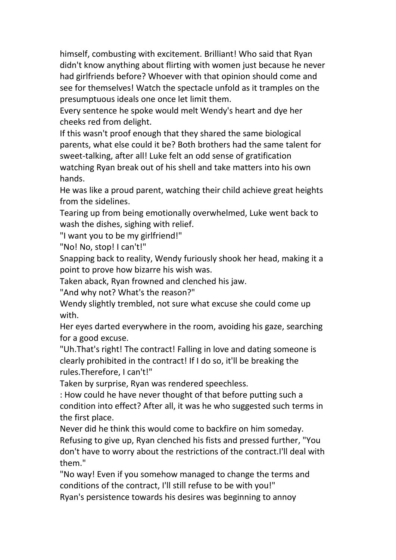himself, combusting with excitement. Brilliant! Who said that Ryan didn't know anything about flirting with women just because he never had girlfriends before? Whoever with that opinion should come and see for themselves! Watch the spectacle unfold as it tramples on the presumptuous ideals one once let limit them.

Every sentence he spoke would melt Wendy's heart and dye her cheeks red from delight.

If this wasn't proof enough that they shared the same biological parents, what else could it be? Both brothers had the same talent for sweet-talking, after all! Luke felt an odd sense of gratification watching Ryan break out of his shell and take matters into his own hands.

He was like a proud parent, watching their child achieve great heights from the sidelines.

Tearing up from being emotionally overwhelmed, Luke went back to wash the dishes, sighing with relief.

"I want you to be my girlfriend!"

"No! No, stop! I can't!"

Snapping back to reality, Wendy furiously shook her head, making it a point to prove how bizarre his wish was.

Taken aback, Ryan frowned and clenched his jaw.

"And why not? What's the reason?"

Wendy slightly trembled, not sure what excuse she could come up with.

Her eyes darted everywhere in the room, avoiding his gaze, searching for a good excuse.

"Uh.That's right! The contract! Falling in love and dating someone is clearly prohibited in the contract! If I do so, it'll be breaking the rules.Therefore, I can't!"

Taken by surprise, Ryan was rendered speechless.

: How could he have never thought of that before putting such a condition into effect? After all, it was he who suggested such terms in the first place.

Never did he think this would come to backfire on him someday. Refusing to give up, Ryan clenched his fists and pressed further, "You don't have to worry about the restrictions of the contract.I'll deal with them."

"No way! Even if you somehow managed to change the terms and conditions of the contract, I'll still refuse to be with you!"

Ryan's persistence towards his desires was beginning to annoy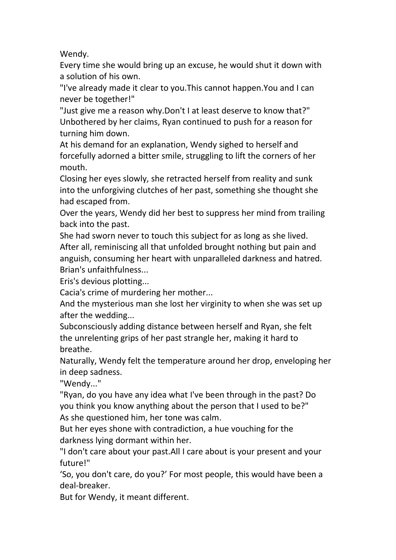Wendy.

Every time she would bring up an excuse, he would shut it down with a solution of his own.

"I've already made it clear to you.This cannot happen.You and I can never be together!"

"Just give me a reason why.Don't I at least deserve to know that?" Unbothered by her claims, Ryan continued to push for a reason for turning him down.

At his demand for an explanation, Wendy sighed to herself and forcefully adorned a bitter smile, struggling to lift the corners of her mouth.

Closing her eyes slowly, she retracted herself from reality and sunk into the unforgiving clutches of her past, something she thought she had escaped from.

Over the years, Wendy did her best to suppress her mind from trailing back into the past.

She had sworn never to touch this subject for as long as she lived. After all, reminiscing all that unfolded brought nothing but pain and anguish, consuming her heart with unparalleled darkness and hatred. Brian's unfaithfulness...

Eris's devious plotting...

Cacia's crime of murdering her mother...

And the mysterious man she lost her virginity to when she was set up after the wedding...

Subconsciously adding distance between herself and Ryan, she felt the unrelenting grips of her past strangle her, making it hard to breathe.

Naturally, Wendy felt the temperature around her drop, enveloping her in deep sadness.

"Wendy..."

"Ryan, do you have any idea what I've been through in the past? Do you think you know anything about the person that I used to be?" As she questioned him, her tone was calm.

But her eyes shone with contradiction, a hue vouching for the darkness lying dormant within her.

"I don't care about your past.All I care about is your present and your future!"

'So, you don't care, do you?' For most people, this would have been a deal-breaker.

But for Wendy, it meant different.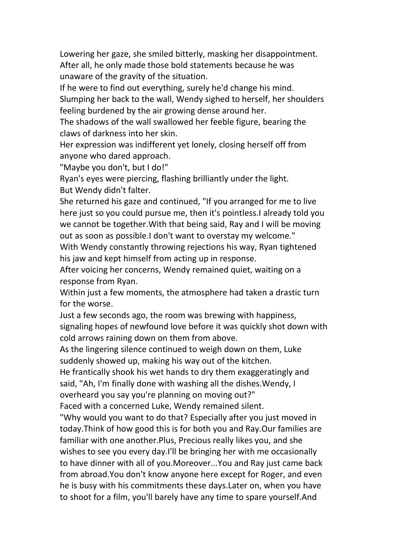Lowering her gaze, she smiled bitterly, masking her disappointment. After all, he only made those bold statements because he was unaware of the gravity of the situation.

If he were to find out everything, surely he'd change his mind. Slumping her back to the wall, Wendy sighed to herself, her shoulders feeling burdened by the air growing dense around her.

The shadows of the wall swallowed her feeble figure, bearing the claws of darkness into her skin.

Her expression was indifferent yet lonely, closing herself off from anyone who dared approach.

"Maybe you don't, but I do!"

Ryan's eyes were piercing, flashing brilliantly under the light. But Wendy didn't falter.

She returned his gaze and continued, "If you arranged for me to live here just so you could pursue me, then it's pointless.I already told you we cannot be together.With that being said, Ray and I will be moving out as soon as possible.I don't want to overstay my welcome."

With Wendy constantly throwing rejections his way, Ryan tightened his jaw and kept himself from acting up in response.

After voicing her concerns, Wendy remained quiet, waiting on a

response from Ryan.<br>Within just a few moments, the atmosphere had taken a drastic turn for the worse.

Just a few seconds ago, the room was brewing with happiness, signaling hopes of newfound love before it was quickly shot down with cold arrows raining down on them from above.

As the lingering silence continued to weigh down on them, Luke suddenly showed up, making his way out of the kitchen.

He frantically shook his wet hands to dry them exaggeratingly and said, "Ah, I'm finally done with washing all the dishes.Wendy, I overheard you say you're planning on moving out?"

Faced with a concerned Luke, Wendy remained silent.

"Why would you want to do that? Especially after you just moved in today.Think of how good this isfor both you and Ray.Our families are familiar with one another.Plus, Precious really likes you, and she wishes to see you every day.I'll be bringing her with me occasionally to have dinner with all of you.Moreover...You and Ray just came back from abroad.You don't know anyone here except for Roger, and even he is busy with his commitments these days.Later on, when you have to shoot for a film, you'll barely have any time to spare yourself.And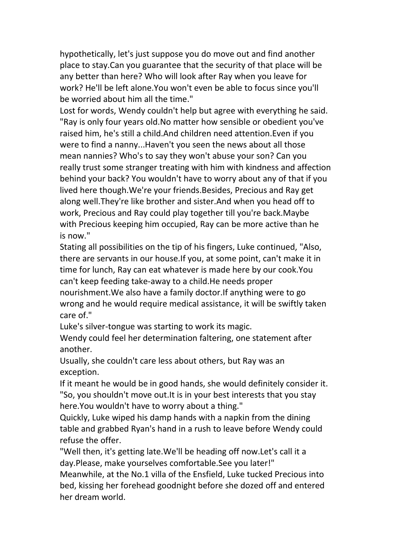hypothetically, let's just suppose you do move out and find another place to stay.Can you guarantee that the security of that place will be any better than here? Who will look after Ray when you leave for work? He'll be left alone.You won't even be able to focus since you'll be worried about him all the time."

Lost for words, Wendy couldn't help but agree with everything he said. "Ray is only four years old.No matter how sensible or obedient you've raised him, he's still a child.And children need attention.Even if you were to find a nanny...Haven't you seen the news about all those mean nannies? Who's to say they won't abuse your son? Can you really trust some stranger treating with him with kindness and affection behind your back? You wouldn't have to worry about any of that if you lived here though.We're your friends.Besides, Precious and Ray get along well.They're like brother and sister.And when you head off to work, Precious and Ray could play together till you're back.Maybe with Precious keeping him occupied, Ray can be more active than he is now."

Stating all possibilities on the tip of his fingers, Luke continued, "Also, there are servants in our house.If you, at some point, can't make it in time for lunch, Ray can eat whatever is made here by our cook.You can't keep feeding take-away to a child.He needs proper nourishment.We also have a family doctor.If anything were to go wrong and he would require medical assistance, it will be swiftly taken care of."

Luke's silver-tongue was starting to work its magic.

Wendy could feel her determination faltering, one statement after another.

Usually, she couldn't care less about others, but Ray was an exception.

If it meant he would be in good hands, she would definitely consider it. "So, you shouldn't move out.It is in your best interests that you stay here.You wouldn't have to worry about a thing."

Quickly, Luke wiped his damp hands with a napkin from the dining table and grabbed Ryan's hand in a rush to leave before Wendy could refuse the offer.

"Well then, it's getting late.We'll be heading off now.Let's call it a day.Please, make yourselves comfortable.See you later!"

Meanwhile, at the No.1 villa of the Ensfield, Luke tucked Precious into bed, kissing her forehead goodnight before she dozed off and entered her dream world.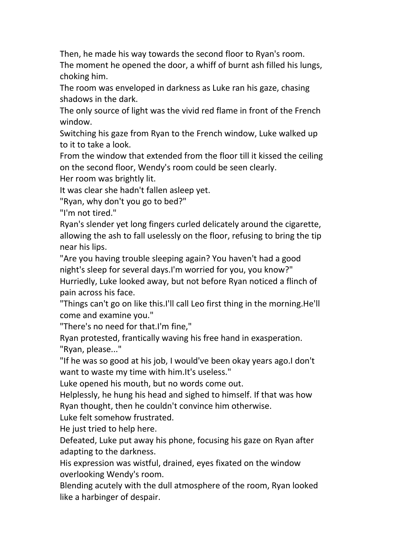Then, he made his way towards the second floor to Ryan's room.

The moment he opened the door, a whiff of burnt ash filled his lungs, choking him.

The room was enveloped in darkness as Luke ran his gaze, chasing shadows in the dark.

The only source of light was the vivid red flame in front of the French window.

Switching his gaze from Ryan to the French window, Luke walked up to it to take a look.

From the window that extended from the floor till it kissed the ceiling on the second floor, Wendy's room could be seen clearly.

Her room was brightly lit.

It was clear she hadn't fallen asleep yet.

"Ryan, why don't you go to bed?"

"I'm not tired."

Ryan's slender yet long fingers curled delicately around the cigarette, allowing the ash to fall uselessly on the floor, refusing to bring the tip near his lips.

"Are you having trouble sleeping again? You haven't had a good night's sleep for several days.I'm worried for you, you know?" Hurriedly, Luke looked away, but not before Ryan noticed a flinch of pain across his face.

"Things can't go on like this.I'll call Leo first thing in the morning.He'll come and examine you."

"There's no need for that.I'm fine,"

Ryan protested, frantically waving his free hand in exasperation. "Ryan, please..."

"If he was so good at his job, I would've been okay years ago.I don't want to waste my time with him. It's useless."

Luke opened his mouth, but no words come out.

Helplessly, he hung his head and sighed to himself. If that was how Ryan thought, then he couldn't convince him otherwise.

Luke felt somehow frustrated.

He just tried to help here.

Defeated, Luke put away his phone, focusing his gaze on Ryan after adapting to the darkness.

His expression was wistful, drained, eyes fixated on the window

overlooking Wendy's room.<br>Blending acutely with the dull atmosphere of the room, Ryan looked like a harbinger of despair.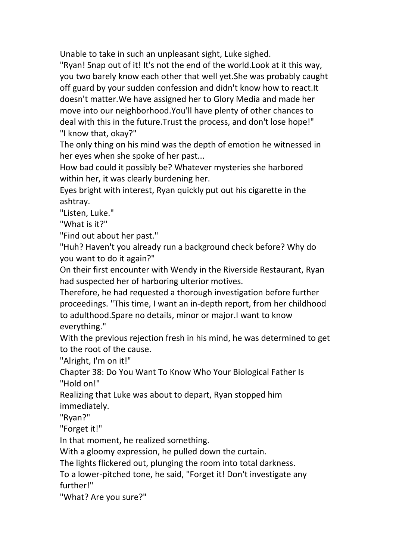Unable to take in such an unpleasant sight, Luke sighed.

"Ryan! Snap out of it! It's not the end of the world.Look at it this way, you two barely know each other that well yet.She was probably caught off guard by your sudden confession and didn't know how to react.It doesn't matter.We have assigned her to Glory Media and made her move into our neighborhood.You'll have plenty of other chances to deal with this in the future.Trust the process, and don't lose hope!" "I know that, okay?"

The only thing on his mind was the depth of emotion he witnessed in her eyes when she spoke of her past...

How bad could it possibly be? Whatever mysteries she harbored within her, it was clearly burdening her.

Eyes bright with interest, Ryan quickly put out his cigarette in the ashtray.

"Listen, Luke."

"What is it?"

"Find out about her past."

"Huh? Haven't you already run a background check before? Why do you want to do it again?"

On their first encounter with Wendy in the Riverside Restaurant, Ryan had suspected her of harboring ulterior motives.

Therefore, he had requested a thorough investigation before further proceedings. "This time, I want an in-depth report, from her childhood to adulthood.Spare no details, minor or major.I want to know everything."

With the previous rejection fresh in his mind, he was determined to get to the root of the cause.

"Alright, I'm on it!"

Chapter 38:Do You Want To Know Who Your Biological Father Is "Hold on!"

Realizing that Luke was about to depart, Ryan stopped him immediately.

"Ryan?"

"Forget it!"

In that moment, he realized something.

With a gloomy expression, he pulled down the curtain.

The lights flickered out, plunging the room into total darkness.

To a lower-pitched tone, he said, "Forget it! Don't investigate any further!"

"What? Are you sure?"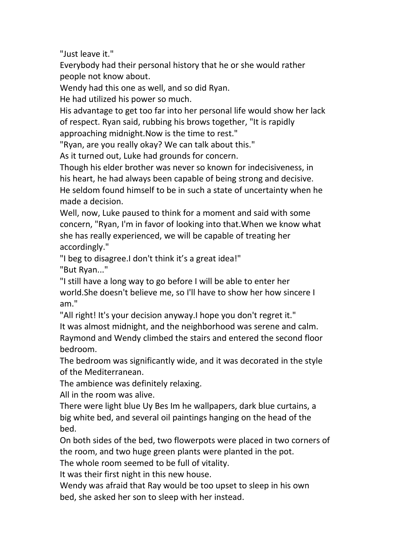"Just leave it."

Everybody had their personal history that he or she would rather people not know about.

Wendy had this one as well, and so did Ryan.

He had utilized his power so much.

His advantage to get too far into her personal life would show her lack of respect. Ryan said, rubbing his brows together, "It is rapidly approaching midnight.Now is the time to rest."

"Ryan, are you really okay? We can talk about this."

As it turned out, Luke had grounds for concern.

Though his elder brother was never so known for indecisiveness, in his heart, he had always been capable of being strong and decisive. He seldom found himself to be in such a state of uncertainty when he made a decision.

Well, now, Luke paused to think for a moment and said with some concern, "Ryan, I'm in favor of looking into that.When we know what she has really experienced, we will be capable of treating her accordingly."

"I beg to disagree.I don't think it's a great idea!" "But Ryan..."

"I still have a long way to go before I will be able to enter her world.She doesn't believe me, so I'll have to show her how sincere I am."

"All right! It's your decision anyway.I hope you don't regret it."

It was almost midnight, and the neighborhood was serene and calm. Raymond and Wendy climbed the stairs and entered the second floor bedroom.

The bedroom was significantly wide, and it was decorated in the style of the Mediterranean.

The ambience was definitely relaxing.

All in the room was alive.

There were light blue Uy Bes Im he wallpapers, dark blue curtains, a big white bed, and several oil paintings hanging on the head of the bed.

On both sides of the bed, two flowerpots were placed in two corners of the room, and two huge green plants were planted in the pot.

The whole room seemed to be full of vitality.

It was their first night in this new house.

Wendy was afraid that Ray would be too upset to sleep in his own bed, she asked her son to sleep with her instead.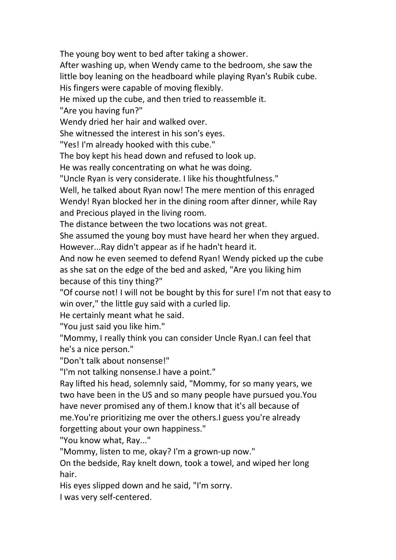The young boy went to bed after taking a shower.<br>After washing up, when Wendy came to the bedroom, she saw the little boy leaning on the headboard while playing Ryan's Rubik cube. His fingers were capable of moving flexibly.

He mixed up the cube, and then tried to reassemble it.

"Are you having fun?"

Wendy dried her hair and walked over.

She witnessed the interest in his son's eyes.

"Yes! I'm already hooked with this cube."

The boy kept his head down and refused to look up.

He was really concentrating on what he was doing.

"Uncle Ryan is very considerate. I like his thoughtfulness."

Well, he talked about Ryan now! The mere mention of this enraged Wendy! Ryan blocked her in the dining room after dinner, while Ray and Precious played in the living room.

The distance between the two locations was not great.

She assumed the young boy must have heard her when they argued. However...Ray didn't appear as if he hadn't heard it.

And now he even seemed to defend Ryan! Wendy picked up the cube as she sat on the edge of the bed and asked, "Are you liking him because of this tiny thing?"

"Of course not! I will not be bought by this for sure! I'm not that easy to win over," the little guy said with a curled lip.

He certainly meant what he said.

"You just said you like him."

"Mommy, I really think you can consider Uncle Ryan.I can feel that he's a nice person."

"Don't talk about nonsense!"

"I'm not talking nonsense.I have a point."

Ray lifted his head, solemnly said, "Mommy, for so many years, we two have been in the US and so many people have pursued you.You have never promised any of them.I know that it's all because of me.You're prioritizing me over the others.I guess you're already forgetting about your own happiness."

"You know what, Ray..."

"Mommy, listen to me, okay? I'm a grown-up now."

On the bedside, Ray knelt down, took a towel, and wiped her long hair.

His eyes slipped down and he said, "I'm sorry.

I was very self-centered.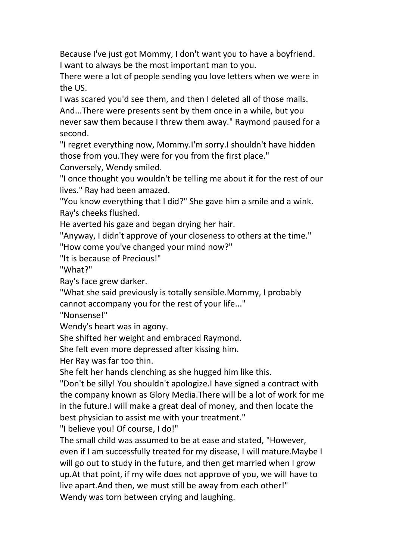Because I've just got Mommy, I don't want you to have a boyfriend. I want to always be the most important man to you.

There were a lot of people sending you love letters when we were in the US.

I was scared you'd see them, and then I deleted all of those mails. And...There were presents sent by them once in a while, but you never saw them because I threw them away." Raymond paused for a second.

"I regret everything now, Mommy.I'm sorry.I shouldn't have hidden those from you.They were for you from the first place."

Conversely, Wendy smiled.

"I once thought you wouldn't be telling me about it for the rest of our lives." Ray had been amazed.

"You know everything that I did?" She gave him a smile and a wink. Ray's cheeks flushed.

He averted his gaze and began drying her hair.

"Anyway, I didn't approve of your closeness to others at the time."

"How come you've changed your mind now?"

"It is because of Precious!"

"What?"

Ray's face grew darker.

"What she said previously is totally sensible.Mommy, I probably cannot accompany you for the rest of your life..."

"Nonsense!"

Wendy's heart was in agony.

She shifted her weight and embraced Raymond.

She felt even more depressed after kissing him.

Her Ray was far too thin.

She felt her hands clenching as she hugged him like this.

"Don't be silly! You shouldn't apologize.I have signed a contract with the company known as Glory Media.There will be a lot of work for me in the future. I will make a great deal of money, and then locate the best physician to assist me with your treatment."

"I believe you! Of course, I do!"

The small child was assumed to be at ease and stated,"However, even if I am successfully treated for my disease, I will mature.Maybe I will go out to study in the future, and then get married when I grow up.At that point, if my wife does not approve of you, we will have to live apart.And then, we must still be away from each other!" Wendy was torn between crying and laughing.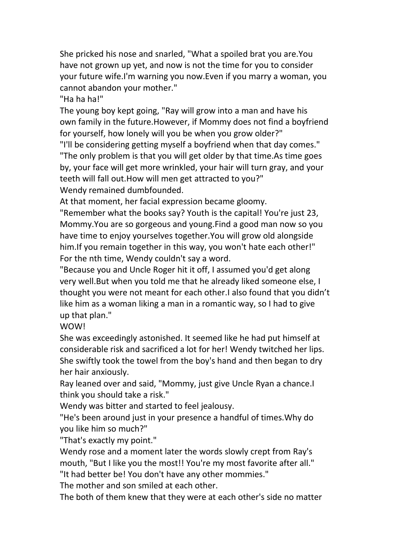She pricked his nose and snarled, "What a spoiled brat you are.You have not grown up yet, and now is not the time for you to consider your future wife.I'm warning you now.Even if you marry a woman, you cannot abandon your mother."

"Ha ha ha!"

The young boy kept going, "Ray will grow into a man and have his own family in the future.However, if Mommy does not find a boyfriend for yourself, how lonely will you be when you grow older?"

"I'll be considering getting myself a boyfriend when that day comes." "The only problem is that you will get older by that time.As time goes by, your face will get more wrinkled, your hair will turn gray, and your teeth will fall out.How will men get attracted to you?" Wendy remained dumbfounded.

At that moment, her facial expression became gloomy.

"Remember what the books say? Youth is the capital! You're just 23, Mommy.You are so gorgeous and young.Find a good man now so you have time to enjoy yourselves together.You will grow old alongside him.If you remain together in this way, you won't hate each other!" For the nth time, Wendy couldn't say a word.

"Because you and Uncle Roger hit it off, I assumed you'd get along very well.But when you told me that he already liked someone else, I thought you were not meant for each other.I also found that you didn't like him as a woman liking a man in a romantic way, so I had to give up that plan."

WOW!

She was exceedingly astonished. It seemed like he had put himself at considerable risk and sacrificed a lot for her! Wendy twitched her lips.<br>She swiftly took the towel from the boy's hand and then began to dry her hair anxiously.

Ray leaned over and said, "Mommy, just give Uncle Ryan a chance.I think you should take a risk."

Wendy was bitter and started to feel jealousy.

"He's been around just in your presence a handful of times.Why do you like him so much?"

"That's exactly my point."

Wendy rose and a moment later the words slowly crept from Ray's mouth, "But I like you the most!! You're my most favorite after all."

"It had better be! You don't have any other mommies."

The mother and son smiled at each other.

The both of them knew that they were at each other's side no matter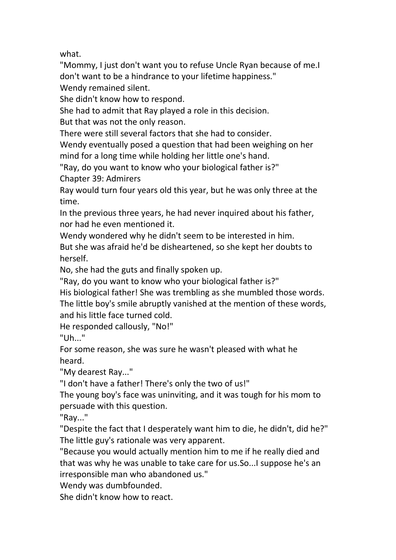what.

"Mommy, I just don't want you to refuse Uncle Ryan because of me.I don't want to be a hindrance to your lifetime happiness."

Wendy remained silent.

She didn't know how to respond.

She had to admit that Ray played a role in this decision.

But that was not the only reason.

There were still several factors that she had to consider.

Wendy eventually posed a question that had been weighing on her mind for a long time while holding her little one's hand.

"Ray, do you want to know who your biological father is?"

Chapter 39: Admirers

Ray would turn four years old this year, but he was only three at the time.

In the previous three years, he had never inquired about his father, nor had he even mentioned it.

Wendy wondered why he didn't seem to be interested in him.

But she was afraid he'd be disheartened, so she kept her doubts to herself.

No, she had the guts and finally spoken up.

"Ray, do you want to know who your biological father is?"

His biological father! She was trembling as she mumbled those words. The little boy's smile abruptly vanished at the mention of these words, and his little face turned cold.

He responded callously, "No!"

"Uh..."

For some reason, she was sure he wasn't pleased with what he heard.

"My dearest Ray..."

"I don't have a father! There's only the two of us!"

The young boy's face was uninviting, and it wastough for his mom to persuade with this question.

"Ray..."

"Despite the fact that I desperately want him to die, he didn't, did he?" The little guy's rationale was very apparent.

"Because you would actually mention him to me if he really died and that was why he was unable to take care for us.So...I suppose he's an irresponsible man who abandoned us."

Wendy was dumbfounded.

She didn't know how to react.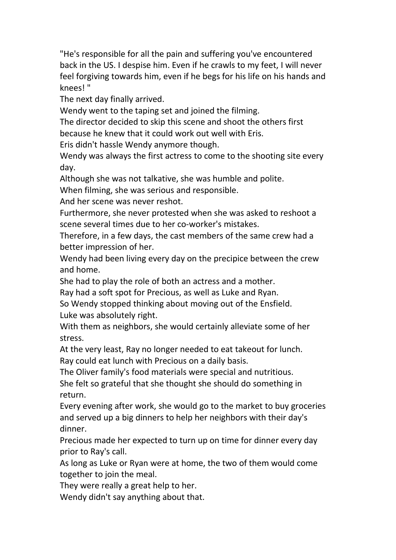"He's responsible for all the pain and suffering you've encountered back in the US. I despise him. Even if he crawls to my feet, I will never feel forgiving towards him, even if he begs for his life on his hands and knees! "

The next day finally arrived.

Wendy went to the taping set and joined the filming.

The director decided to skip this scene and shoot the others first because he knew that it could work out well with Eris.

Eris didn't hassle Wendy anymore though.

Wendy was always the first actress to come to the shooting site every day.

Although she was not talkative, she was humble and polite.

When filming, she was serious and responsible.

And her scene was never reshot.

Furthermore, she never protested when she was asked to reshoot a scene several times due to her co-worker's mistakes.

Therefore, in a few days, the cast members of the same crew had a better impression of her.

Wendy had been living every day on the precipice between the crew and home.

She had to play the role of both an actress and a mother.

Ray had a soft spot for Precious, as well as Luke and Ryan.

So Wendy stopped thinking about moving out of the Ensfield. Luke was absolutely right.

With them as neighbors, she would certainly alleviate some of her stress.

At the very least, Ray no longer needed to eat takeout for lunch. Ray could eat lunch with Precious on a daily basis.

The Oliver family's food materials were special and nutritious.

She felt so grateful that she thought she should do something in return.

Every evening after work, she would go to the market to buy groceries and served up a big dinners to help her neighbors with their day's dinner.

Precious made her expected to turn up on time for dinner every day prior to Ray's call.

As long as Luke or Ryan were at home, the two of them would come together to join the meal.

They were really a great help to her.

Wendy didn't say anything about that.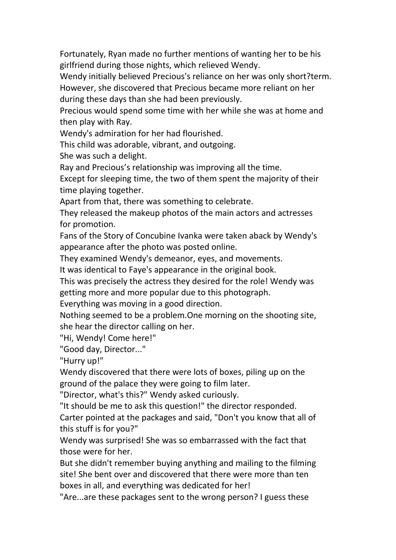Fortunately, Ryan made no further mentions of wanting her to be his girlfriend during those nights, which relieved Wendy.

Wendy initially believed Precious's reliance on her was only short?term. However, she discovered that Precious became more reliant on her during these days than she had been previously.

Precious would spend some time with her while she was at home and then play with Ray.

Wendy's admiration for her had flourished.

This child was adorable, vibrant, and outgoing.

She was such a delight.

Ray and Precious's relationship was improving all the time.

Except for sleeping time, the two of them spent the majority of their time playing together.

Apart from that, there was something to celebrate.

They released the makeup photos of the main actors and actresses for promotion.

Fans of the Story of Concubine Ivanka were taken aback by Wendy's appearance after the photo was posted online.

They examined Wendy's demeanor, eyes, and movements.

It was identical to Faye's appearance in the original book.

This was precisely the actress they desired for the role! Wendy was getting more and more popular due to this photograph.

Everything was moving in a good direction.

Nothing seemed to be a problem.One morning on the shooting site, she hear the director calling on her.

"Hi, Wendy! Come here!"

"Good day, Director..."

"Hurry up!"

Wendy discovered that there were lots of boxes, piling up on the ground of the palace they were going to film later.

"Director, what's this?" Wendy asked curiously.

"It should be me to ask this question!" the director responded.

Carter pointed at the packages and said, "Don't you know that all of this stuff is for you?"

Wendy was surprised! She was so embarrassed with the fact that those were for her.

But she didn't remember buying anything and mailing to the filming site! She bent over and discovered that there were more than ten boxes in all, and everything was dedicated for her!

"Are...are these packages sent to the wrong person? I guess these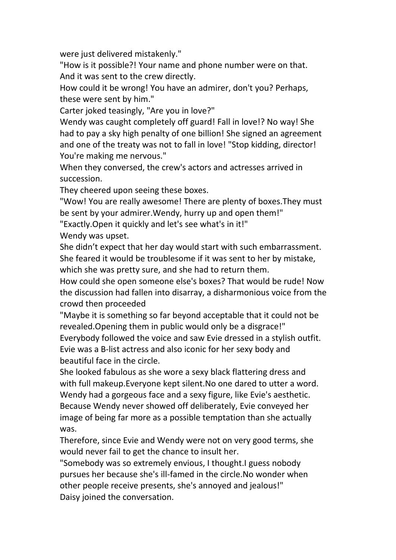were just delivered mistakenly."

"How is it possible?! Your name and phone number were on that. And it was sent to the crew directly.

How could it be wrong! You have an admirer, don't you? Perhaps, these were sent by him."

Carter joked teasingly, "Are you in love?"

Wendy was caught completely off guard! Fall in love!? No way! She had to pay a sky high penalty of one billion! She signed an agreement and one of the treaty was not to fall in love! "Stop kidding, director! You're making me nervous."

When they conversed, the crew's actors and actresses arrived in succession.

They cheered upon seeing these boxes.

"Wow! You are really awesome! There are plenty of boxes.They must be sent by your admirer.Wendy, hurry up and open them!"

"Exactly.Open it quickly and let's see what's in it!"

Wendy was upset.

She didn't expect that her day would start with such embarrassment. She feared it would be troublesome if it was sent to her by mistake, which she was pretty sure, and she had to return them.

How could she open someone else's boxes? That would be rude! Now the discussion had fallen into disarray, a disharmonious voice from the crowd then proceeded

"Maybe it is something so far beyond acceptable that it could not be revealed.Opening them in public would only be a disgrace!" Everybody followed the voice and saw Evie dressed in a stylish outfit. Evie was a B-list actress and also iconic forher sexy body and beautiful face in the circle.

She looked fabulous as she wore a sexy black flattering dress and with full makeup. Everyone kept silent. No one dared to utter a word. Wendy had a gorgeous face and a sexy figure, like Evie's aesthetic. Because Wendy never showed off deliberately, Evie conveyed her image of being far more as a possible temptation than she actually was.

Therefore, since Evie and Wendy were not on very good terms, she would never fail to get the chance to insult her.

"Somebody was so extremely envious, I thought.I guess nobody pursues her because she's ill-famed in the circle.No wonder when other people receive presents, she's annoyed and jealous!" Daisy joined the conversation.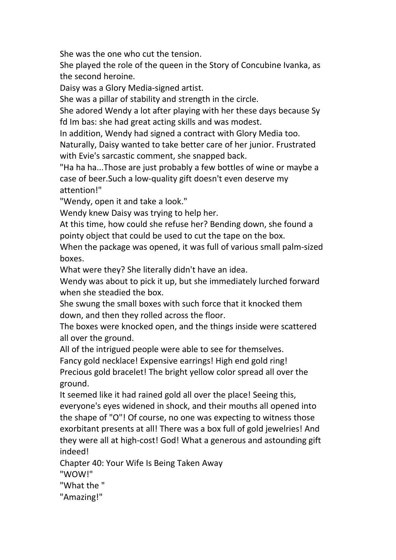She was the one who cut the tension.

She played the role of the queen in the Story of Concubine Ivanka, as the second heroine.

Daisy was a Glory Media-signed artist.

She was a pillar of stability and strength in the circle.<br>She adored Wendy a lot after playing with her these days because Sy fd Im bas: she had great acting skills and was modest.

In addition, Wendy had signed a contract with Glory Media too.

Naturally, Daisy wanted to take better care of her junior. Frustrated with Evie's sarcastic comment, she snapped back.

"Ha ha ha...Those are just probably a few bottles of wine or maybe a case of beer.Such a low-quality gift doesn't even deserve my attention!"

"Wendy, open it and take a look."

Wendy knew Daisy was trying to help her.

At this time, how could she refuse her? Bending down, she found a pointy object that could be used to cut the tape on the box.

When the package was opened, it was full of various small palm-sized boxes.

What were they? She literally didn't have an idea.

Wendy was about to pick it up, but she immediately lurched forward when she steadied the box.

She swung the small boxes with such force that it knocked them down, and then they rolled across the floor.

The boxes were knocked open, and the things inside were scattered all over the ground.

All of the intrigued people were able to see for themselves.

Fancy gold necklace! Expensive earrings! High end gold ring!

Precious gold bracelet! The bright yellow color spread all over the ground.

It seemed like it had rained gold all over the place! Seeing this, everyone's eyes widened in shock, and their mouths all opened into the shape of"O"! Of course, no one was expecting to witness those exorbitant presents at all! There was a box full of gold jewelries! And they were all at high-cost! God! What a generous and astounding gift indeed!

Chapter 40:Your Wife Is Being Taken Away

"WOW!"

"What the "

"Amazing!"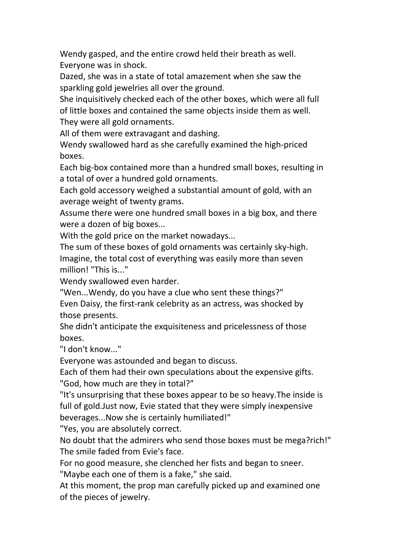Wendy gasped, and the entire crowd held their breath as well. Everyone was in shock.

Dazed, she was in a state of total amazement when she saw the sparkling gold jewelries all over the ground.

She inquisitively checked each of the other boxes, which were all full of little boxes and contained the same objects inside them as well. They were all gold ornaments.

All of them were extravagant and dashing.

Wendy swallowed hard as she carefully examined the high-priced boxes.

Each big-box contained more than a hundred small boxes, resulting in a total of over a hundred gold ornaments.

Each gold accessory weighed a substantial amount of gold, with an average weight of twenty grams.

Assume there were one hundred small boxes in a big box, and there were a dozen of big boxes...

With the gold price on the market nowadays...

The sum of these boxes of gold ornaments was certainly sky-high. Imagine, the total cost of everything was easily more than seven million! "This is..."

Wendy swallowed even harder.

"Wen...Wendy, do you have a clue who sent these things?" Even Daisy, the first-rank celebrity as an actress, was shocked by those presents.

She didn't anticipate the exquisiteness and pricelessness of those boxes.

"I don't know..."

Everyone was astounded and began to discuss.

Each of them had their own speculations about the expensive gifts. "God, how much are they in total?"

"It's unsurprising that these boxes appear to be so heavy.The inside is full of gold.Just now, Evie stated that they were simply inexpensive beverages...Now she is certainly humiliated!"

"Yes, you are absolutely correct.

No doubt that the admirers who send those boxes must be mega?rich!" The smile faded from Evie's face.

For no good measure, she clenched her fists and began to sneer.

"Maybe each one of them is a fake," she said.

At this moment, the prop man carefully picked up and examined one of the pieces of jewelry.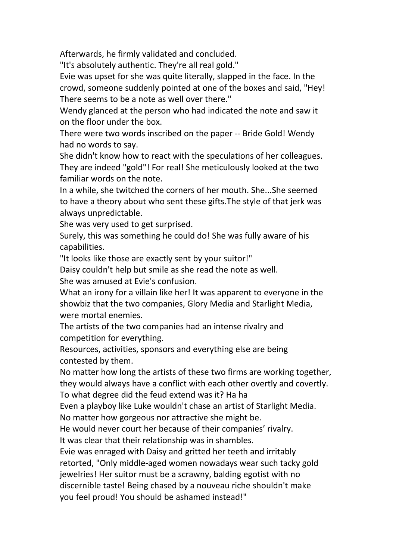Afterwards, he firmly validated and concluded.

"It's absolutely authentic. They're all real gold."

Evie was upset for she was quite literally, slapped in the face. In the crowd, someone suddenly pointed at one of the boxes and said, "Hey! There seems to be a note as well over there."

Wendy glanced at the person who had indicated the note and saw it on the floor under the box.

There were two words inscribed on the paper -- Bride Gold! Wendy had no words to say.

She didn't know how to react with the speculations of her colleagues. They are indeed "gold"! For real! She meticulously looked at the two familiar words on the note.

In a while, she twitched the corners of her mouth. She...She seemed to have a theory about who sent these gifts.The style of that jerk was always unpredictable.

She was very used to get surprised.

Surely, this was something he could do! She was fully aware of his capabilities.

"It looks like those are exactly sent by your suitor!"

Daisy couldn't help but smile as she read the note as well.

She was amused at Evie's confusion.

What an irony for a villain like her! It was apparent to everyone in the showbiz that the two companies, Glory Media and Starlight Media, were mortal enemies.

The artists of the two companies had an intense rivalry and competition for everything.

Resources, activities, sponsors and everything else are being contested by them.

No matter how long the artists of these two firms are working together, they would always have a conflict with each other overtly and covertly. To what degree did the feud extend was it? Ha ha

Even a playboy like Luke wouldn't chase an artist of Starlight Media.

No matter how gorgeous nor attractive she might be.<br>He would never court her because of their companies' rivalry.

It was clear that their relationship was in shambles.

Evie was enraged with Daisy and gritted her teeth and irritably retorted, "Only middle-aged women nowadays wear such tacky gold jewelries! Her suitor must be a scrawny, balding egotist with no discernible taste! Being chased by a nouveau riche shouldn't make you feel proud! You should be ashamed instead!"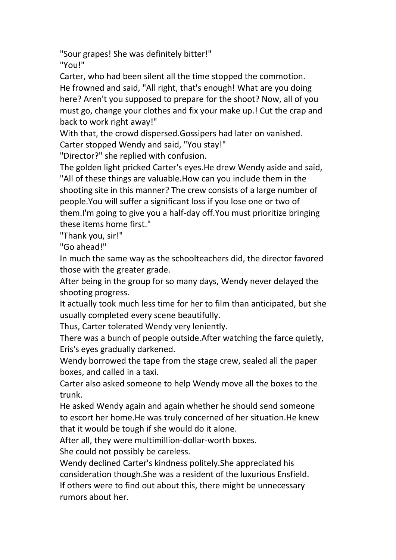"Sour grapes! She was definitely bitter!"

"You!"

Carter, who had been silent all the time stopped the commotion. He frowned and said, "All right, that's enough! What are you doing here? Aren't you supposed to prepare for the shoot? Now, all of you must go, change your clothes and fix your make up.! Cut the crap and back to work right away!"

With that, the crowd dispersed.Gossipers had later on vanished. Carter stopped Wendy and said, "You stay!"

"Director?" she replied with confusion.

The golden light pricked Carter's eyes.He drew Wendy aside and said, "All of these things are valuable.How can you include them in the shooting site in this manner? The crew consists of a large number of people.You will suffer a significant loss if you lose one or two of them.I'm going to give you a half-day off.You must prioritize bringing these items home first."

"Thank you, sir!"

"Go ahead!"

In much the same way as the schoolteachers did, the director favored those with the greater grade.

After being in the group for so many days, Wendy never delayed the shooting progress.

It actually took much less time for her to film than anticipated, but she usually completed every scene beautifully.

Thus, Carter tolerated Wendy very leniently.

There was a bunch of people outside.After watching the farce quietly, Eris's eyes gradually darkened.

Wendy borrowed the tape from the stage crew, sealed all the paper boxes, and called in a taxi.

Carter also asked someone to help Wendy move all the boxes to the trunk.

He asked Wendy again and again whether he should send someone to escort her home.He was truly concerned of her situation.He knew that it would be tough if she would do it alone.

After all, they were multimillion-dollar-worth boxes.

She could not possibly be careless.

Wendy declined Carter's kindness politely.She appreciated his consideration though.She was a resident of the luxurious Ensfield. If others were to find out about this, there might be unnecessary rumors about her.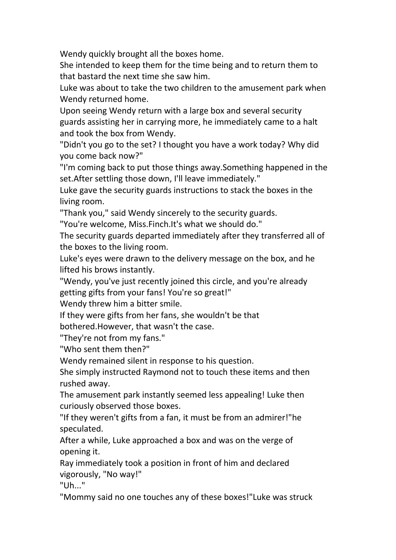Wendy quickly brought all the boxes home.

She intended to keep them for the time being and to return them to that bastard the next time she saw him.

Luke was about to take the two children to the amusement park when Wendy returned home.

Upon seeing Wendy return with a large box and several security guards assisting her in carrying more, he immediately came to a halt and took the box from Wendy.

"Didn't you go to the set? I thought you have a work today? Why did you come back now?"

"I'm coming back to put those things away.Something happened in the set. After settling those down, I'll leave immediately."

Luke gave the security guards instructions to stack the boxes in the living room.

"Thank you," said Wendy sincerely to the security guards.

"You're welcome, Miss.Finch.It's what we should do."

The security guards departed immediately after they transferred all of the boxes to the living room.

Luke's eyes were drawn to the delivery message on the box, and he lifted his brows instantly.

"Wendy, you've just recently joined this circle, and you're already getting gifts from your fans! You're so great!"

Wendy threw him a bitter smile.

If they were gifts from her fans, she wouldn't be that

bothered.However, that wasn't the case.

"They're not from my fans."

"Who sent them then?"

Wendy remained silent in response to his question.

She simply instructed Raymond not to touch these items and then rushed away.

The amusement park instantly seemed less appealing! Luke then curiously observed those boxes.

"If they weren't gifts from a fan, it must be from an admirer!"he speculated.

After a while, Luke approached a box and was on the verge of opening it.

Ray immediately took a position in front of him and declared vigorously, "No way!"

 $"Uh$ <sup>."</sup>

"Mommy said no one touches any of these boxes!"Luke was struck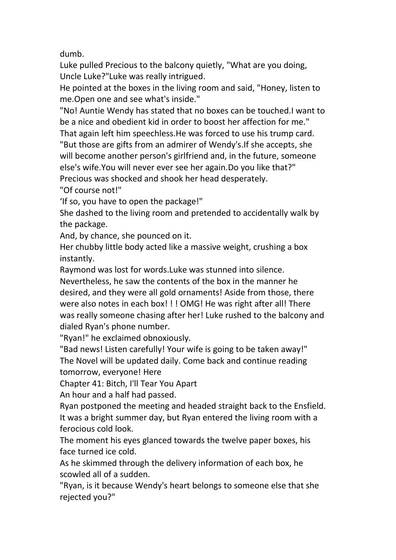dumb.

Luke pulled Precious to the balcony quietly, "What are you doing, Uncle Luke?"Luke was really intrigued.

He pointed at the boxes in the living room and said, "Honey, listen to me.Open one and see what's inside."

"No! Auntie Wendy has stated that no boxescan be touched.I want to be a nice and obedient kid in order to boost her affection for me."

That again left him speechless. He was forced to use his trump card.

"But those are gifts from an admirer of Wendy's.If she accepts, she will become another person's girlfriend and, in the future, someone else's wife.You will never ever see her again.Do you like that?"

Precious was shocked and shook her head desperately.

"Of course not!"

'If so, you have to open the package!"

She dashed to the living room and pretended to accidentally walk by the package.

And, by chance, she pounced on it.

Her chubby little body acted like a massive weight, crushing a box instantly.

Raymond was lost for words.Luke was stunned into silence.

Nevertheless, he saw the contents of the box in the manner he desired, and they were all gold ornaments! Aside from those, there were also notes in each box! ! ! OMG! He was right after all! There was really someone chasing after her! Luke rushed to the balcony and dialed Ryan's phone number.

"Ryan!" he exclaimed obnoxiously.

"Bad news! Listen carefully! Your wife is going to be taken away!" The Novel will be updated daily. Come back and continue reading tomorrow, everyone! Here

Chapter 41: Bitch, I'll Tear You Apart

An hour and a half had passed.

Ryan postponed the meeting and headed straight back to the Ensfield. It was a bright summer day, but Ryan entered the living room with a ferocious cold look.

The moment his eyes glanced towards the twelve paper boxes, his face turned ice cold.

As he skimmed through the delivery information of each box, he scowled all of a sudden.

"Ryan, is it because Wendy's heart belongs to someone else that she rejected you?"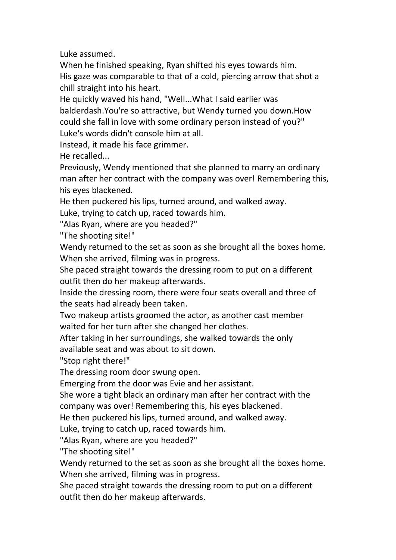Luke assumed.

When he finished speaking, Ryan shifted his eyes towards him. His gaze was comparable to that of a cold, piercing arrow that shot a chill straight into his heart.<br>He quickly waved his hand, "Well...What I said earlier was

balderdash.You're so attractive, but Wendy turned you down.How could she fall in love with some ordinary person instead of you?" Luke's words didn't console him at all.

Instead, it made his face grimmer.

He recalled...

Previously, Wendy mentioned that she planned to marry an ordinary man after her contract with the company was over! Remembering this, his eyes blackened.

He then puckered his lips, turned around, and walked away.

Luke, trying to catch up, raced towards him.

"Alas Ryan, where are you headed?"

"The shooting site!"

Wendy returned to the set as soon as she brought all the boxes home. When she arrived, filming was in progress.

She paced straight towards the dressing room to put on a different outfit then do her makeup afterwards.

Inside the dressing room, there were four seats overall and three of the seats had already been taken.

Two makeup artists groomed the actor, as another cast member waited for her turn after she changed her clothes.

After taking in her surroundings, she walked towards the only available seat and was about to sit down.

"Stop right there!"

The dressing room door swung open.

Emerging from the door was Evie and her assistant.

She wore a tight black an ordinary man after her contract with the

company was over! Remembering this, his eyes blackened.

He then puckered his lips, turned around, and walked away.

Luke, trying to catch up, raced towards him.

"Alas Ryan, where are you headed?"

"The shooting site!"

Wendy returned to the set as soon as she brought all the boxes home. When she arrived, filming was in progress.

She paced straight towards the dressing room to put on a different outfit then do her makeup afterwards.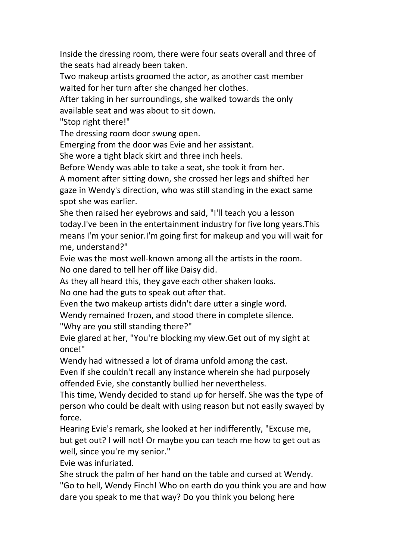Inside the dressing room, there were four seats overall and three of the seats had already been taken.

Two makeup artists groomed the actor, as another cast member waited for her turn after she changed her clothes.

After taking in her surroundings, she walked towards the only available seat and was about to sit down.

"Stop right there!"

The dressing room door swung open.

Emerging from the door was Evie and her assistant.

She wore a tight black skirt and three inch heels.

Before Wendy was able to take a seat, she took it from her.

A moment after sitting down, she crossed her legs and shifted her gaze in Wendy's direction, who was still standing in the exact same spot she was earlier.

She then raised her eyebrows and said, "I'll teach you a lesson today.I've been in the entertainment industry for five long years.This means I'm your senior. I'm going first for makeup and you will wait for me, understand?"

Evie was the most well-known among all the artists in the room. No one dared to tell her off like Daisy did.

As they all heard this, they gave each other shaken looks.

No one had the guts to speak out after that.

Even the two makeup artists didn't dare utter a single word.

Wendy remained frozen, and stood there in complete silence.

"Why are you still standing there?"

Evie glared at her, "You're blocking my view.Get out of my sight at once!"

Wendy had witnessed a lot of drama unfold among the cast.

Even if she couldn't recall any instance wherein she had purposely offended Evie, she constantly bullied her nevertheless.

This time, Wendy decided to stand up for herself. She was the type of person who could be dealt with using reason but not easily swayed by force.

Hearing Evie's remark, she looked at her indifferently, "Excuse me, but get out? I will not! Or maybe you can teach me how to get out as well, since you're my senior."

Evie was infuriated.

She struck the palm of her hand on the table and cursed at Wendy. "Go to hell, Wendy Finch! Who on earth do you think you are and how dare you speak to me that way? Do you think you belong here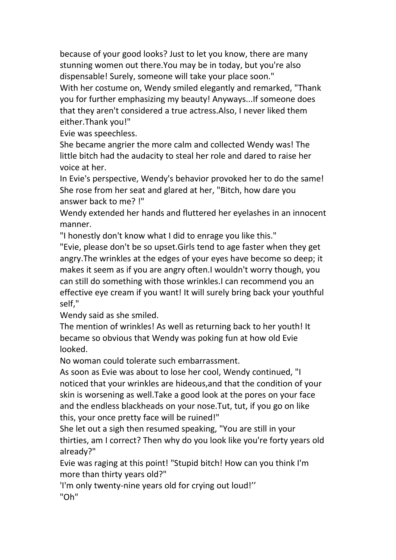because of your good looks? Just to let you know, there are many stunning women out there.You may be in today, but you're also dispensable! Surely, someone will take your place soon." With her costume on, Wendy smiled elegantly and remarked, "Thank you for further emphasizing my beauty! Anyways...If someone does that they aren't considered a true actress.Also, I never liked them either.Thank you!"

Evie was speechless.

She became angrier the more calm and collected Wendy was! The little bitch had the audacity to steal her role and dared to raise her voice at her.

In Evie's perspective, Wendy's behavior provoked her to do the same! She rose from her seat and glared at her, "Bitch, how dare you answer back to me? !"

Wendy extended her hands and fluttered her eyelashes in an innocent manner.

"I honestly don't know what I did to enrage you like this."

"Evie, please don't be so upset.Girls tend to age faster when they get angry. The wrinkles at the edges of your eyes have become so deep; it makes it seem as if you are angry often.I wouldn't worry though, you can still do something with those wrinkles.I can recommend you an effective eye cream if you want! It will surely bring back your youthful self,"

Wendy said as she smiled.

The mention of wrinkles! As well as returning back to her youth! It became so obvious that Wendy was poking fun at how old Evie looked.

No woman could tolerate such embarrassment.

As soon as Evie was about to lose her cool, Wendy continued, "I noticed that your wrinkles are hideous,and that the condition of your skin is worsening as well.Take a good look at the pores on your face and the endless blackheads on your nose.Tut, tut, if you go on like this, your once pretty face will be ruined!"

She let out a sigh then resumed speaking, "You are still in your thirties, am I correct? Then why do you look like you're forty years old already?"

Evie was raging at this point! "Stupid bitch! How can you think I'm more than thirty years old?"

'I'm only twenty-nine years old for crying out loud!'' "Oh"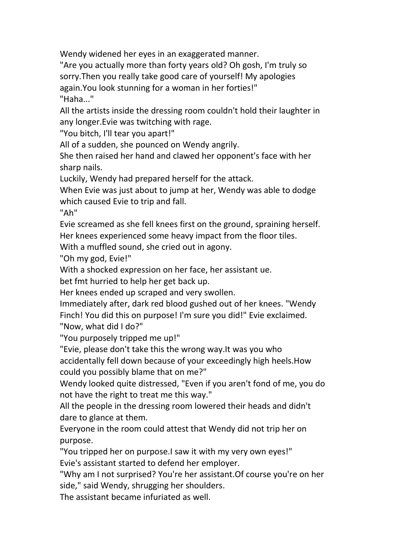Wendy widened her eyes in an exaggerated manner.

"Are you actually more than forty years old? Oh gosh, I'm truly so sorry.Then you really take good care of yourself! My apologies again.You look stunning for a woman in her forties!" "Haha..."

All the artists inside the dressing room couldn't hold their laughter in any longer.Evie was twitching with rage.

"You bitch, I'll tear you apart!"

All of a sudden, she pounced on Wendy angrily.

She then raised her hand and clawed her opponent's face with her sharp nails.

Luckily, Wendy had prepared herself for the attack.

When Evie was just about to jump at her, Wendy was able to dodge which caused Evie to trip and fall.

"Ah"

Evie screamed as she fell knees first on the ground, spraining herself. Her knees experienced some heavy impact from the floor tiles.

With a muffled sound, she cried out in agony.

"Oh my god, Evie!"

With a shocked expression on her face, her assistant ue.

bet fmt hurried to help her get back up.

Her knees ended up scraped and very swollen.

Immediately after, dark red blood gushed out of her knees. "Wendy Finch! You did this on purpose! I'm sure you did!" Evie exclaimed. "Now, what did I do?"

"You purposely tripped me up!"

"Evie, please don't take this the wrong way.It was you who

accidentally fell down because of your exceedingly high heels.How

could you possibly blame that on me?"<br>Wendy looked quite distressed, "Even if you aren't fond of me, you do not have the right to treat me this way."

All the people in the dressing room lowered their heads and didn't dare to glance at them.

Everyone in the room could attest that Wendy did not trip her on purpose.

"You tripped her on purpose.I saw it with my very own eyes!" Evie's assistant started to defend her employer.

"Why am I not surprised? You're her assistant.Of course you're on her side," said Wendy, shrugging her shoulders.

The assistant became infuriated as well.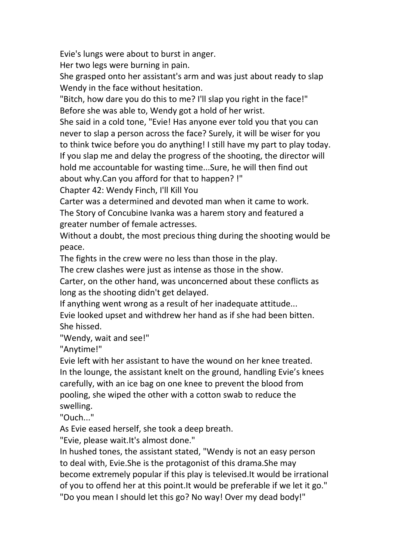Evie's lungs were about to burst in anger.

Her two legs were burning in pain.

She grasped onto her assistant's arm and was just about ready to slap Wendy in the face without hesitation.

"Bitch, how dare you do this to me? I'll slap you right in the face!"

Before she was able to, Wendy got a hold of her wrist.<br>She said in a cold tone, "Evie! Has anyone ever told you that you can never to slap a person across the face? Surely, it will be wiser for you to think twice before you do anything! I still have my part to play today. If you slap me and delay the progress of the shooting, the director will hold me accountable for wasting time...Sure, he will then find out about why.Can you afford for that to happen? !"

Chapter 42:Wendy Finch, I'll Kill You

Carter was a determined and devoted man when it came to work. The Story of Concubine Ivanka was a harem story and featured a greater number of female actresses.

Without a doubt, the most precious thing during the shooting would be peace.

The fights in the crew were no less than those in the play.

The crew clashes were just as intense as those in the show.

Carter, on the other hand, was unconcerned about these conflicts as long as the shooting didn't get delayed.

If anything went wrong as a result of her inadequate attitude...

Evie looked upset and withdrew her hand as if she had been bitten.<br>She hissed.

"Wendy, wait and see!"

"Anytime!"

Evie left with her assistant to have the wound on her knee treated. In the lounge, the assistant knelt on the ground, handling Evie's knees carefully, with an ice bag on one knee to prevent the blood from pooling, she wiped the other with a cotton swab to reduce the swelling.

"Ouch..."

As Evie eased herself, she took a deep breath.

"Evie, please wait.It's almost done."

In hushed tones, the assistant stated, "Wendy is not an easy person to deal with, Evie.She is the protagonist of this drama.She may become extremely popular if this play is televised.It would be irrational of you to offend her at this point.It would be preferable if we let it go." "Do you mean I should let this go? No way! Over my dead body!"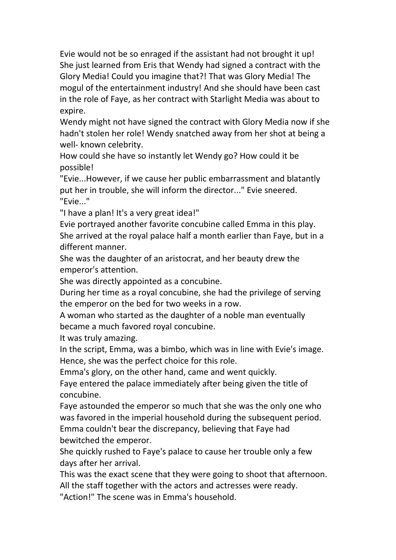Evie would not be so enraged if the assistant had not brought it up! She just learned from Eris that Wendy had signed a contract with the Glory Media! Could you imagine that?! That was Glory Media! The mogul of the entertainment industry! And she should have been cast in the role of Faye, as her contract with Starlight Media was about to expire.

Wendy might not have signed the contract with Glory Media now if she hadn't stolen her role! Wendy snatched away from her shot at being a well- known celebrity.

How could she have so instantly let Wendy go? How could it be possible!

"Evie...However, if we cause her public embarrassment and blatantly put her in trouble, she will inform the director..." Evie sneered. "Evie..."

"I have a plan! It's a very great idea!"

Evie portrayed another favorite concubine called Emma in this play. She arrived at the royal palace half a month earlier than Faye, but in a different manner.

She was the daughter of an aristocrat, and her beauty drew the emperor's attention.

She was directly appointed as a concubine.

During her time as a royal concubine, she had the privilege of serving the emperor on the bed for two weeks in a row.

A woman who started as the daughter of a noble man eventually became a much favored royal concubine.

It was truly amazing.

In the script, Emma, was a bimbo, which was in line with Evie's image. Hence, she was the perfect choice for this role.

Emma's glory, on the other hand, came and went quickly.

Faye entered the palace immediately after being given the title of concubine.

Faye astounded the emperor so much that she was the only one who was favored in the imperial household during the subsequent period. Emma couldn't bear the discrepancy, believing that Faye had bewitched the emperor.

She quickly rushed to Faye's palace to cause her trouble only a few days after her arrival.

This was the exact scene that they were going to shoot that afternoon.

All the staff together with the actors and actresses were ready.

"Action!" The scene was in Emma's household.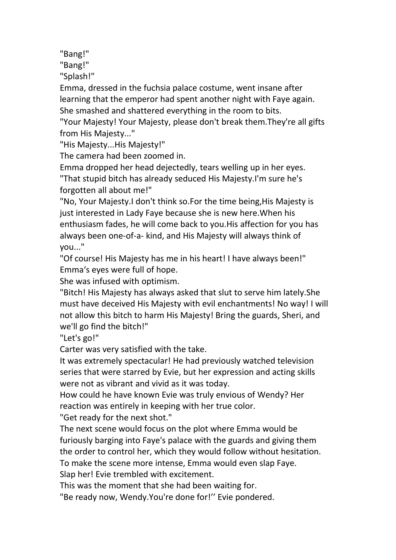"Bang!"

"Bang!"

"Splash!"

Emma, dressed in the fuchsia palace costume, went insane after learning that the emperor had spent another night with Faye again. She smashed and shattered everything in the room to bits.

"Your Majesty! Your Majesty, please don't break them.They're all gifts from His Majesty..."

"His Majesty...His Majesty!"

The camera had been zoomed in.

Emma dropped her head dejectedly, tears welling up in her eyes. "That stupid bitch has already seduced His Majesty.I'm sure he's forgotten all about me!"

"No, Your Majesty.I don't think so.For the time being,His Majesty is just interested in Lady Faye because she is new here.When his enthusiasm fades, he will come back to you.His affection for you has always been one-of-a- kind, and His Majesty will always think of you..."

"Of course! His Majesty has me in his heart! I have always been!" Emma's eyes were full of hope.

She was infused with optimism.

"Bitch! His Majesty has always asked that slut to serve him lately.She must have deceived His Majesty with evil enchantments! No way! I will not allow this bitch to harm His Majesty! Bring the guards, Sheri, and we'll go find the bitch!"

"Let's go!"

Carter was very satisfied with the take.

It was extremely spectacular! He had previously watched television series that were starred by Evie, but her expression and acting skills were not as vibrant and vivid as it was today.

How could he have known Evie was truly envious of Wendy? Her reaction was entirely in keeping with her true color.

"Get ready for the next shot."

The next scene would focus on the plot where Emma would be furiously barging into Faye's palace with the guards and giving them the order to control her, which they would follow without hesitation. To make the scene more intense, Emma would even slap Faye.

Slap her! Evie trembled with excitement.

This was the moment that she had been waiting for.

"Be ready now, Wendy.You're done for!" Evie pondered.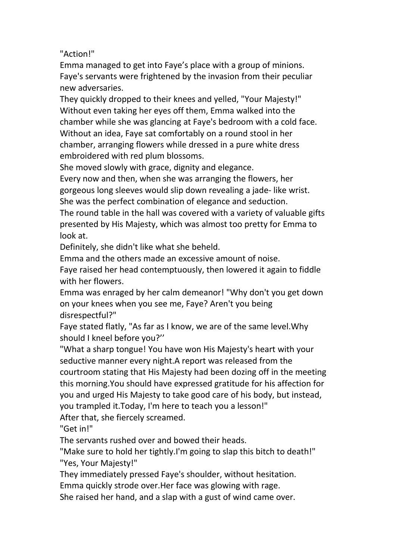"Action!"

Emma managed to get into Faye's place with a group of minions. Faye's servants were frightened by the invasion from their peculiar new adversaries.

They quickly dropped to their knees and yelled, "Your Majesty!" Without even taking her eyes off them, Emma walked into the chamber while she was glancing at Faye's bedroom with a cold face. Without an idea, Faye sat comfortably on a round stool in her chamber, arranging flowers while dressed in a pure white dress embroidered with red plum blossoms.

She moved slowly with grace, dignity and elegance.

Every now and then, when she was arranging the flowers, her gorgeous long sleeves would slip down revealing a jade- like wrist. She was the perfect combination of elegance and seduction.

The round table in the hall was covered with a variety of valuable gifts presented by His Majesty, which was almost too pretty for Emma to look at.

Definitely, she didn't like what she beheld.

Emma and the others made an excessive amount of noise.

Faye raised her head contemptuously, then lowered it again to fiddle with her flowers.

Emma was enraged by her calm demeanor! "Why don't you get down on your knees when you see me, Faye? Aren't you being disrespectful?"

Faye stated flatly, "As far as I know, we are of the same level.Why should I kneel before you?''

"What a sharp tongue! You have won His Majesty's heart with your seductive manner every night.A report was released from the courtroom stating that His Majesty had been dozing off in the meeting this morning.You should have expressed gratitude for his affection for you and urged His Majesty to take good care of his body, but instead, you trampled it.Today, I'm here to teach you a lesson!"

After that, she fiercely screamed.

"Get in!"

The servants rushed over and bowed their heads.

"Make sure to hold her tightly.I'm going to slap this bitch to death!" "Yes, Your Majesty!"

They immediately pressed Faye's shoulder, without hesitation.

Emma quickly strode over.Her face was glowing with rage.

She raised her hand, and a slap with a gust of wind came over.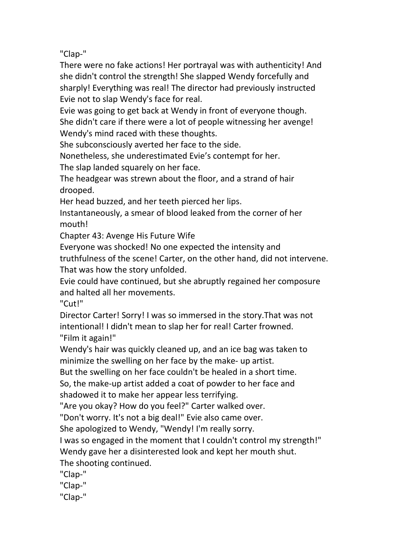"Clap-"

There were no fake actions! Her portrayal was with authenticity! And she didn't control the strength! She slapped Wendy forcefully and sharply! Everything was real! The director had previously instructed Evie not to slap Wendy's face for real.

Evie was going to get back at Wendy in front of everyone though. She didn't care if there were a lot of people witnessing her avenge! Wendy's mind raced with these thoughts.

She subconsciously averted her face to the side.

Nonetheless, she underestimated Evie's contempt for her.

The slap landed squarely on her face.

The headgear was strewn about the floor, and a strand of hair drooped.

Her head buzzed, and her teeth pierced her lips.

Instantaneously, a smear of blood leaked from the corner of her mouth!

Chapter 43: Avenge His Future Wife

Everyone was shocked! No one expected the intensity and

truthfulness of the scene! Carter, on the other hand, did not intervene. That was how the story unfolded.

Evie could have continued, but she abruptly regained her composure and halted all her movements.

"Cut!"

Director Carter! Sorry! I was so immersed in the story.That was not intentional! I didn't mean to slap her for real! Carter frowned. "Film it again!"

Wendy's hair was quickly cleaned up, and an ice bag was taken to minimize the swelling on her face by the make- up artist.

But the swelling on her face couldn't be healed in a short time.

So, the make-up artist added a coat of powder to her face and shadowed it to make her appear less terrifying.

"Are you okay? How do you feel?" Carter walked over.

"Don't worry. It's not a big deal!" Evie also came over.

She apologized to Wendy, "Wendy! I'm really sorry.

I was so engaged in the moment that I couldn't control my strength!" Wendy gave her a disinterested look and kept her mouth shut. The shooting continued.

"Clap-"

"Clap-"

"Clap-"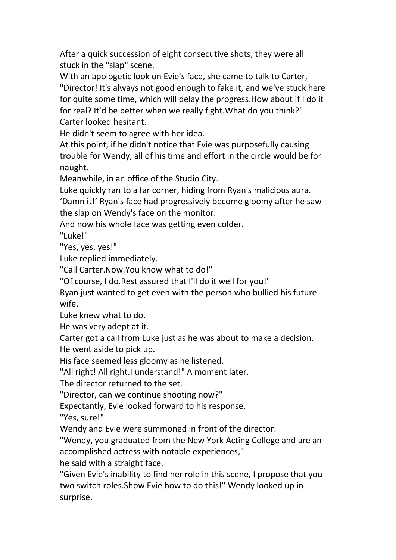After a quick succession of eight consecutive shots, they were all stuck in the "slap" scene.

With an apologetic look on Evie's face, she came to talk to Carter, "Director! It's always not good enough to fake it, and we've stuck here for quite some time, which will delay the progress.How about if I do it for real? It'd be better when we really fight.What do you think?" Carter looked hesitant.

He didn't seem to agree with her idea.

At this point, if he didn't notice that Evie was purposefully causing trouble for Wendy, all of his time and effort in the circle would be for naught.

Meanwhile, in an office of the Studio City.

Luke quickly ran to a far corner, hiding from Ryan's malicious aura.

'Damn it!' Ryan's face had progressively become gloomy after he saw the slap on Wendy's face on the monitor.

And now his whole face was getting even colder.

"Luke!"

"Yes, yes, yes!"

Luke replied immediately.

"Call Carter.Now.You know what to do!"

"Of course, I do.Rest assured that I'll do it well for you!"

Ryan just wanted to get even with the person who bullied his future wife.

Luke knew what to do.

He was very adept at it.

Carter got a call from Luke just as he was about to make a decision. He went aside to pick up.

His face seemed less gloomy as he listened.

"All right! All right.I understand!" A moment later.

The director returned to the set.

"Director, can we continue shooting now?"

Expectantly, Evie looked forward to his response.

"Yes, sure!"

Wendy and Evie were summoned in front of the director.

"Wendy, you graduated from the New York Acting College and are an accomplished actress with notable experiences,"

he said with a straight face.

"Given Evie's inability to find her role in this scene, I propose that you two switch roles. Show Evie how to do this!" Wendy looked up in surprise.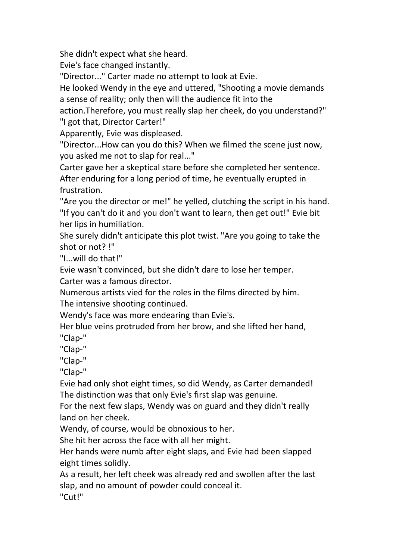She didn't expect what she heard.

Evie's face changed instantly.

"Director..." Carter made no attempt to look at Evie.

He looked Wendy in the eye and uttered, "Shooting a movie demands a sense of reality; only then will the audience fit into the

action.Therefore, you must really slap her cheek, do you understand?" "I got that, Director Carter!"

Apparently, Evie was displeased.

"Director...How can you do this? When we filmed the scene just now, you asked me not to slap for real..."

Carter gave her a skeptical stare before she completed her sentence. After enduring for a long period of time, he eventually erupted in frustration.

"Are you the director or me!" he yelled, clutching the script in his hand. "If you can't do it and you don't want to learn, then get out!" Evie bit her lips in humiliation.

She surely didn't anticipate this plot twist. "Are you going to take the shot or not? !"

"I...will do that!"

Evie wasn't convinced, but she didn't dare to lose her temper.

Carter was a famous director.

Numerous artists vied for the roles in the films directed by him. The intensive shooting continued.

Wendy's face was more endearing than Evie's.

Her blue veins protruded from her brow, and she lifted her hand,

"Clap-"

"Clap-"

"Clap-"

"Clap-"

Evie had only shot eight times, so did Wendy, as Carter demanded! The distinction was that only Evie's first slap was genuine.

For the next few slaps, Wendy was on guard and they didn't really land on her cheek.

Wendy, of course, would be obnoxious to her.

She hit her across the face with all her might.

Her hands were numb after eight slaps, and Evie had been slapped eight times solidly.

As a result, her left cheek was already red and swollen after the last slap, and no amount of powder could conceal it.

"Cut!"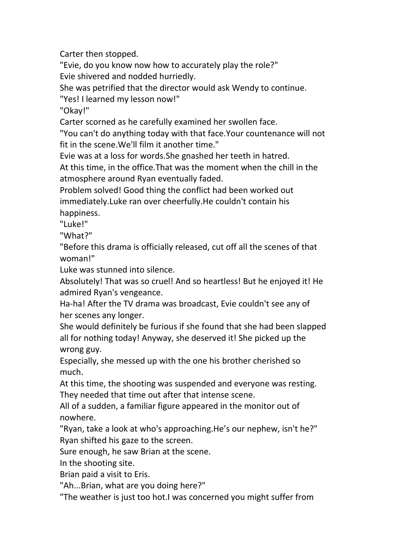Carter then stopped.

"Evie, do you know now how to accurately play the role?" Evie shivered and nodded hurriedly.

She was petrified that the director would ask Wendy to continue.

"Yes! I learned my lesson now!"

"Okay!"

Carter scorned as he carefully examined her swollen face.

"You can't do anything today with that face.Your countenance will not fit in the scene.We'll film it another time."

Evie was at a loss for words.She gnashed her teeth in hatred.

At this time, in the office.That was the moment when the chill in the atmosphere around Ryan eventually faded.

Problem solved! Good thing the conflict had been worked out immediately.Luke ran over cheerfully.He couldn't contain his happiness.

"Luke!"

"What?"

"Before this drama is officially released, cut off all the scenes of that woman!"

Luke was stunned into silence.

Absolutely! That was so cruel! And so heartless! But he enjoyed it! He admired Ryan's vengeance.

Ha-ha! After the TV drama was broadcast, Evie couldn't see any of her scenes any longer.

She would definitely be furious if she found that she had been slapped all for nothing today! Anyway, she deserved it! She picked up the wrong guy.

Especially, she messed up with the one his brother cherished so much.

At this time, the shooting was suspended and everyone was resting. They needed that time out after that intense scene.

All of a sudden, a familiar figure appeared in the monitor out of nowhere.

"Ryan, take a look at who's approaching.He's our nephew, isn't he?" Ryan shifted his gaze to the screen.

Sure enough, he saw Brian at the scene.

In the shooting site.

Brian paid a visit to Eris.

"Ah...Brian, what are you doing here?"

"The weather is just too hot.I was concerned you might suffer from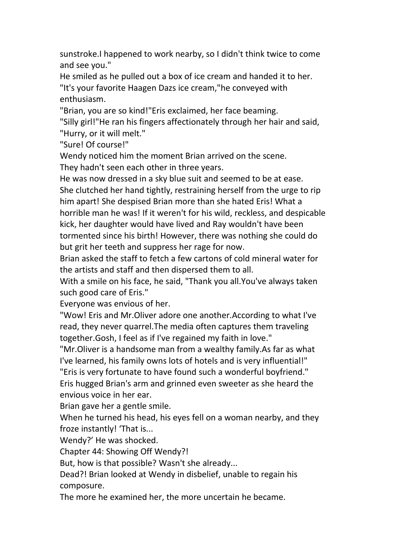sunstroke.I happened to work nearby, so I didn't think twice to come and see you."

He smiled as he pulled out a box of ice cream and handed it to her. "It's your favorite Haagen Dazs ice cream,"he conveyed with enthusiasm.

"Brian, you are so kind!"Eris exclaimed, her face beaming.

"Silly girl!"He ran his fingers affectionately through her hairand said, "Hurry, or it will melt."

"Sure! Of course!"

Wendy noticed him the moment Brian arrived on the scene.

They hadn't seen each other in three years.

He was now dressed in a sky blue suit and seemed to be at ease. She clutched her hand tightly, restraining herself from the urge to rip him apart! She despised Brian more than she hated Eris! What a horrible man he was! If it weren't for his wild, reckless, and despicable kick, her daughter would have lived and Ray wouldn't have been tormented since his birth! However, there was nothing she could do but grit her teeth and suppress her rage for now.

Brian asked the staff to fetch a few cartons of cold mineral water for the artists and staff and then dispersed them to all.

With a smile on his face, he said, "Thank you all.You've always taken such good care of Eris."

Everyone was envious of her.

"Wow! Eris and Mr.Oliver adore one another.According to what I've read, they never quarrel.The media often captures them traveling together.Gosh, I feel as if I've regained my faith in love."

"Mr.Oliver is a handsome man from a wealthy family.As far as what I've learned, his family owns lots of hotels and is very influential!"

"Eris is very fortunate to have found such a wonderful boyfriend."

Eris hugged Brian's arm and grinned even sweeter as she heard the envious voice in her ear.<br>Brian gave her a gentle smile.

When he turned his head, his eyes fell on a woman nearby, and they froze instantly! 'That is...

Wendy?' He was shocked.

Chapter 44: Showing Off Wendy?!

But, how is that possible? Wasn't she already...

Dead?! Brian looked at Wendy in disbelief, unable to regain his composure.

The more he examined her, the more uncertain he became.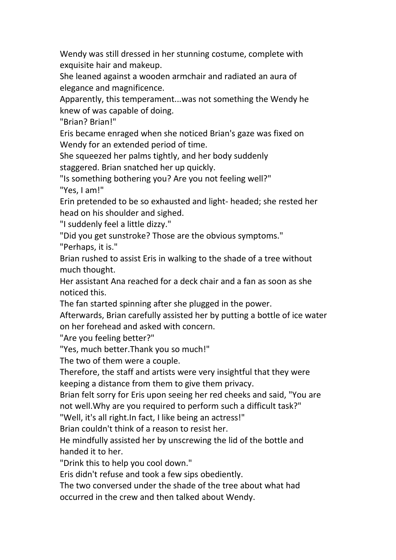Wendy was still dressed in her stunning costume, complete with exquisite hair and makeup.

She leaned against a wooden armchair and radiated an aura of elegance and magnificence.

Apparently, this temperament...was not something the Wendy he knew of was capable of doing.

"Brian? Brian!"

Eris became enraged when she noticed Brian's gaze was fixed on Wendy for an extended period of time.

She squeezed her palms tightly, and her body suddenly

staggered. Brian snatched her up quickly.

"Is something bothering you? Are you not feeling well?" "Yes, I am!"

Erin pretended to be so exhausted and light- headed; she rested her head on his shoulder and sighed.

"I suddenly feel a little dizzy."

"Did you get sunstroke? Those are the obvious symptoms."

"Perhaps, it is."

Brian rushed to assist Eris in walking to the shade of a tree without much thought.

Her assistant Ana reached for a deck chair and a fan as soon as she noticed this.

The fan started spinning after she plugged in the power.

Afterwards, Brian carefully assisted her by putting a bottle of ice water on her forehead and asked with concern.

"Are you feeling better?"

"Yes, much better.Thank you so much!"

The two of them were a couple.

Therefore, the staff and artists were very insightful that they were keeping a distance from them to give them privacy.

Brian felt sorry for Eris upon seeing her red cheeks and said, "You are not well.Why are you required to perform such a difficult task?"

"Well, it's all right.In fact, I like being an actress!"

Brian couldn't think of a reason to resist her.

He mindfully assisted her by unscrewing the lid of the bottle and handed it to her.

"Drink this to help you cool down."

Eris didn't refuse and took a few sips obediently.

The two conversed under the shade of the tree about what had occurred in the crew and then talked about Wendy.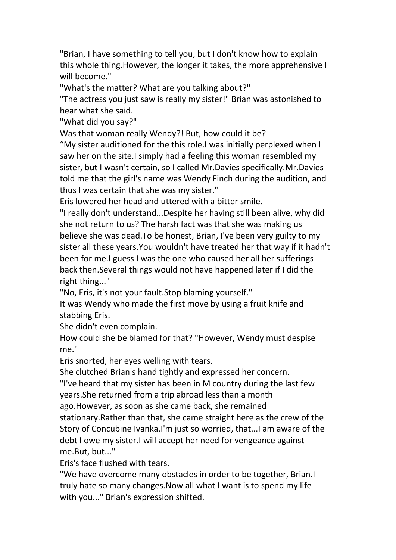"Brian, I have something to tell you, but I don't know how to explain this whole thing.However, the longerit takes, the more apprehensive I will become."

"What's the matter? What are you talking about?"

"The actress you just saw is really my sister!" Brian was astonished to hear what she said.

"What did you say?"

Was that woman really Wendy?! But, how could it be?

"My sister auditioned for the this role.I was initially perplexed when I saw her on the site.I simply had a feeling this woman resembled my sister, but I wasn't certain, so I called Mr.Davies specifically.Mr.Davies told me that the girl's name was Wendy Finch during the audition, and thus I was certain that she was my sister."

Eris lowered her head and uttered with a bitter smile.

"I really don't understand...Despite her having still been alive, why did she not return to us? The harsh fact was that she was making us believe she was dead.To be honest, Brian, I've been very guilty to my sister all these years.You wouldn't have treated her that way if it hadn't been for me.I guess I was the one who caused her all her sufferings back then.Several things would not have happened later if I did the right thing..."

"No, Eris, it's not your fault.Stop blaming yourself."

It was Wendy who made the first move by using a fruit knife and stabbing Eris.

She didn't even complain.

How could she be blamed for that? "However, Wendy must despise me."

Eris snorted, her eyes welling with tears.

She clutched Brian's hand tightly and expressed her concern.

"I've heard that my sister has been in M country during the last few years.She returned from a trip abroad less than a month

ago.However, as soon as she came back, she remained

stationary.Rather than that, she came straight here as the crew of the Story of Concubine Ivanka.I'm just so worried, that...I am aware of the debt I owe my sister.I will accept her need for vengeance against me.But, but..."

Eris's face flushed with tears.

"We have overcome many obstacles in order to be together, Brian.I truly hate so many changes.Now all what I want is to spend my life with you..." Brian's expression shifted.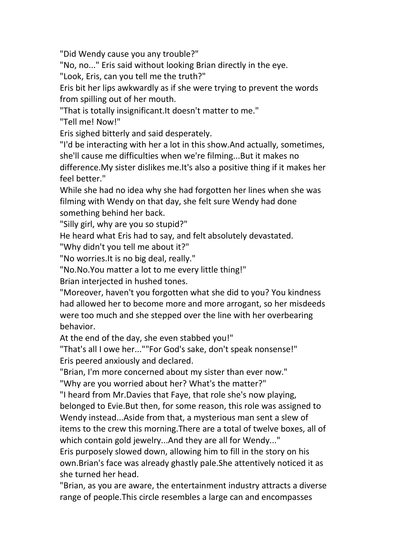"Did Wendy cause you any trouble?"

"No, no..." Eris said without looking Brian directly in the eye.

"Look, Eris, can you tell me the truth?"

Eris bit her lips awkwardly as if she were trying to prevent the words from spilling out of her mouth.

"That is totally insignificant.It doesn't matter to me."

"Tell me! Now!"

Eris sighed bitterly and said desperately.<br>"I'd be interacting with her a lot in this show.And actually, sometimes, she'll cause me difficulties when we're filming...But it makes no difference.My sister dislikes me.It's also a positive thing if it makes her feel better."

While she had no idea why she had forgotten her lines when she was filming with Wendy on that day, she felt sure Wendy had done something behind her back.

"Silly girl, why are you so stupid?"

He heard what Eris had to say, and felt absolutely devastated.

"Why didn't you tell me about it?"

"No worries.It is no big deal, really."

"No.No.You matter a lot to me every little thing!"

Brian interjected in hushed tones.

"Moreover, haven't you forgotten what she did to you? You kindness had allowed her to become more and more arrogant, so her misdeeds were too much and she stepped over the line with her overbearing behavior.

At the end of the day, she even stabbed you!"

"That's all I owe her...""For God's sake, don't speak nonsense!" Eris peered anxiously and declared.

"Brian, I'm more concerned about my sister than ever now."

"Why are you worried about her? What's the matter?"

"I heard from Mr.Davies that Faye, that role she's now playing, belonged to Evie.But then, for some reason, this role was assigned to Wendy instead...Aside from that, a mysterious man sent a slew of items to the crew this morning.There are a total of twelve boxes, all of which contain gold jewelry...And they are all for Wendy..."

Eris purposely slowed down, allowing him to fill in the story on his own.Brian's face was already ghastly pale.She attentively noticed it as she turned her head.

"Brian, as you are aware, the entertainment industry attracts a diverse range of people.This circle resembles a large can and encompasses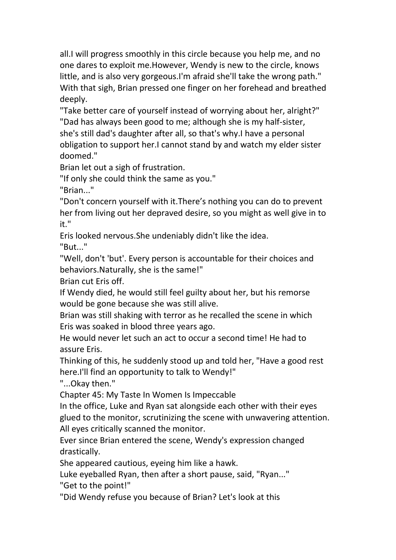all.I will progress smoothly in this circle because you help me, and no one dares to exploit me.However, Wendy is new to the circle, knows little, and is also very gorgeous.I'm afraid she'll take the wrong path." With that sigh, Brian pressed one finger on her forehead and breathed deeply.

"Take better care of yourself instead of worrying about her, alright?" "Dad has always been good to me; although she is my half-sister, she's still dad's daughter after all, so that's why.I have a personal obligation to support her.I cannot stand by and watch my elder sister doomed."

Brian let out a sigh of frustration.

"If only she could think the same as you."

"Brian..."

"Don't concern yourself with it.There's nothing you can do to prevent her from living out her depraved desire, so you might as well give in to it."

Eris looked nervous.She undeniably didn't like the idea. "But..."

"Well, don't 'but'. Every person is accountable for their choices and behaviors.Naturally, she is the same!"

Brian cut Eris off.

If Wendy died, he would still feel guilty about her, but his remorse would be gone because she was stillalive.

Brian was still shaking with terror as he recalled the scene in which Eris was soaked in blood three years ago.

He would never let such an act to occur a second time! He had to assure Eris.

Thinking of this, he suddenly stood up and told her, "Have a good rest here.I'll find an opportunity to talk to Wendy!"

"...Okay then."

Chapter 45:My Taste In Women Is Impeccable

In the office, Luke and Ryan satalongside each other with their eyes glued to the monitor, scrutinizing the scene with unwavering attention. All eyes critically scanned the monitor.

Ever since Brian entered the scene, Wendy's expression changed drastically.

She appeared cautious, eyeing him like a hawk.

Luke eyeballed Ryan, then after a short pause, said, "Ryan..."

"Get to the point!"

"Did Wendy refuse you because of Brian? Let's look at this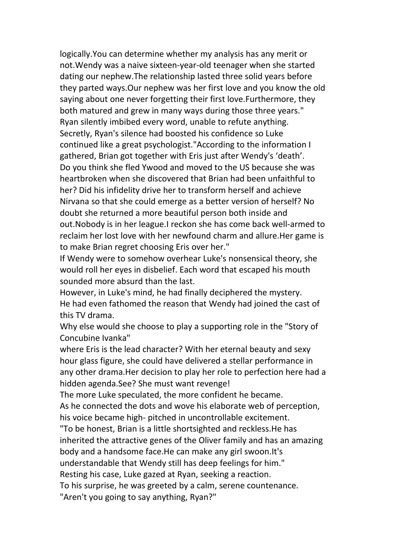logically.You can determine whether my analysis has any merit or not.Wendy was a naive sixteen-year-old teenager when she started dating our nephew.The relationship lasted three solid years before they parted ways.Our nephew was her first love and you know the old saying about one never forgetting their first love. Furthermore, they both matured and grew in many ways during those three years." Ryan silently imbibed every word, unable to refute anything. Secretly, Ryan's silence had boosted his confidence so Luke continued like a great psychologist."According to the information I gathered, Brian got together with Eris just after Wendy's 'death'. Do you think she fled Ywood and moved to the US because she was heartbroken when she discovered that Brian had been unfaithful to her? Did his infidelity drive her to transform herself and achieve Nirvana so that she could emerge as a better version of herself? No doubt she returned a more beautiful person both inside and out.Nobody is in her league.I reckon she has come back well-armed to reclaim her lost love with her newfound charm and allure.Her game is to make Brian regret choosing Eris over her."

If Wendy were to somehow overhear Luke's nonsensical theory, she would roll her eyes in disbelief. Each word that escaped his mouth sounded more absurd than the last.

However, in Luke's mind, he had finally deciphered the mystery. He had even fathomed the reason that Wendy had joined the cast of this TV drama.

Why else would she choose to play a supporting role in the "Story of Concubine Ivanka"

where Eris is the lead character? With her eternal beauty and sexy hour glass figure, she could have delivered a stellar performance in any other drama.Her decision to play her role to perfection here had a hidden agenda.See? She must want revenge!

The more Luke speculated, the more confident he became. As he connected the dots and wove his elaborate web of perception, his voice became high- pitched in uncontrollable excitement.

"To be honest, Brian is a little shortsighted and reckless.He has

inherited the attractive genes of the Oliver family and has an amazing body and a handsome face. He can make any girl swoon. It's

understandable that Wendy still has deep feelings for him."

Resting his case, Luke gazed at Ryan, seeking a reaction.

To his surprise, he was greeted by a calm, serene countenance.

"Aren't you going to say anything, Ryan?"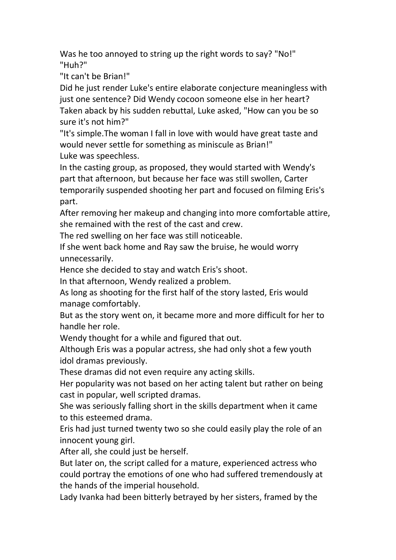Was he too annoyed to string up the right words to say? "No!" "Huh?"

"It can't be Brian!"

Did he just render Luke's entire elaborate conjecture meaningless with just one sentence? Did Wendy cocoon someone else in her heart? Taken aback by his sudden rebuttal, Luke asked, "How can you be so sure it's not him?"

"It's simple.The woman I fall in love with would have great taste and would never settle for something as miniscule as Brian!" Luke was speechless.

In the casting group, as proposed, they would started with Wendy's part that afternoon, but because her face was still swollen, Carter temporarily suspended shooting her part and focused on filming Eris's part.

After removing her makeup and changing into more comfortable attire, she remained with the rest of the cast and crew.

The red swelling on her face was still noticeable.

If she went back home and Ray saw the bruise, he would worry unnecessarily.

Hence she decided to stay and watch Eris's shoot.

In that afternoon, Wendy realized a problem.

As long as shooting for the first half of the story lasted, Eris would manage comfortably.

But as the story went on, it became more and more difficult for her to handle her role.

Wendy thought for a while and figured that out.

Although Eris was a popular actress, she had only shot a few youth idol dramas previously.

These dramas did not even require any acting skills.

Her popularity was not based on her acting talent but rather on being cast in popular, well scripted dramas.

She was seriously falling short in the skills department when it came to this esteemed drama.

Eris had just turned twenty two so she could easily play the role of an innocent young girl.

After all, she could just be herself.

But later on, the script called for a mature, experienced actress who could portray the emotions of one who had suffered tremendously at the hands of the imperial household.

Lady Ivanka had been bitterly betrayed by her sisters, framed by the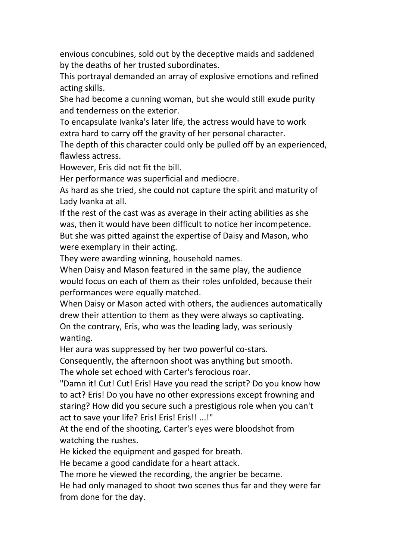envious concubines, sold out by the deceptive maids and saddened by the deaths of her trusted subordinates.

This portrayal demanded an array of explosive emotions and refined acting skills.

She had become a cunning woman, but she would still exude purity and tenderness on the exterior.

To encapsulate Ivanka's later life, the actress would have to work extra hard to carry off the gravity of her personal character.

The depth of this character could only be pulled off by an experienced, flawless actress.

However, Eris did not fit the bill.

Her performance was superficial and mediocre.

As hard as she tried, she could not capture the spirit and maturity of Lady lvanka at all.

If the rest of the cast was as average in their acting abilities as she was, then it would have been difficult to notice her incompetence. But she was pitted against the expertise of Daisy and Mason, who were exemplary in their acting.

They were awarding winning, household names.

When Daisy and Mason featured in the same play, the audience would focus on each of them as their roles unfolded, because their performances were equally matched.

When Daisy or Mason acted with others, the audiences automatically drew their attention to them as they were always so captivating. On the contrary, Eris, who was the leading lady, was seriously wanting.

Her aura was suppressed by her two powerful co-stars.

Consequently, the afternoon shoot was anything but smooth.

The whole set echoed with Carter's ferocious roar.

"Damn it! Cut! Cut! Eris! Have you read the script? Do you know how to act? Eris! Do you have no other expressions except frowning and staring? How did you secure such a prestigious role when you can't act to save your life? Eris! Eris! Eris!! ...!"

At the end of the shooting, Carter's eyes were bloodshot from watching the rushes.

He kicked the equipment and gasped for breath.

He became a good candidate for a heart attack.

The more he viewed the recording, the angrier be became.

He had only managed to shoot two scenes thus far and they were far from done for the day.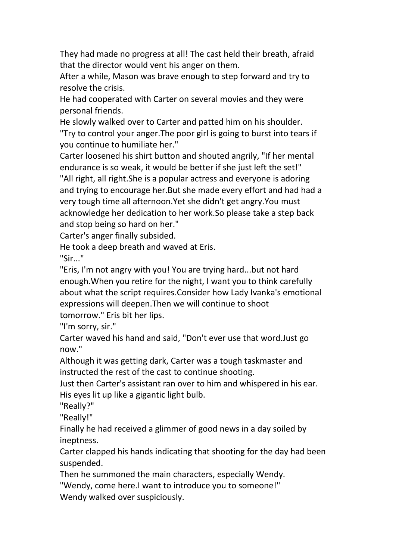They had made no progress at all! The cast held their breath, afraid that the director would vent his anger on them.

After a while, Mason was brave enough to step forward and tryto resolve the crisis.

He had cooperated with Carter on several movies and they were personal friends.

He slowly walked over to Carter and patted him on his shoulder. "Try to controlyour anger.The poor girl is going to burst into tears if you continue to humiliate her."

Carter loosened his shirt button and shouted angrily, "If her mental endurance is so weak, it would be better if she just left the set!" "All right, all right.She is a popular actress and everyone is adoring and trying to encourage her.But she made every effort and had had a very tough time all afternoon.Yet she didn't get angry.You must acknowledge her dedication to her work.So please take a step back and stop being so hard on her."

Carter's anger finally subsided.

He took a deep breath and waved at Eris. "Sir..."

"Eris, I'm not angry with you! You are trying hard...but not hard enough.When you retire for the night, I want you to think carefully about what the script requires.Consider how Lady Ivanka's emotional expressions will deepen.Then we will continue to shoot

tomorrow." Eris bit her lips.<br>"I'm sorry, sir."

Carter waved his hand and said, "Don't ever use that word.Just go now."

Although it was getting dark, Carter was a tough taskmaster and instructed the rest of the cast to continue shooting.

Just then Carter's assistant ran over to him and whispered in his ear. His eyes lit up like a gigantic light bulb.

"Really?"

"Really!"

Finally he had received a glimmer of good news in a day soiled by ineptness.

Carter clapped his hands indicating that shooting for the day had been suspended.

Then he summoned the main characters, especially Wendy.

"Wendy, come here.I want to introduce you to someone!"

Wendy walked over suspiciously.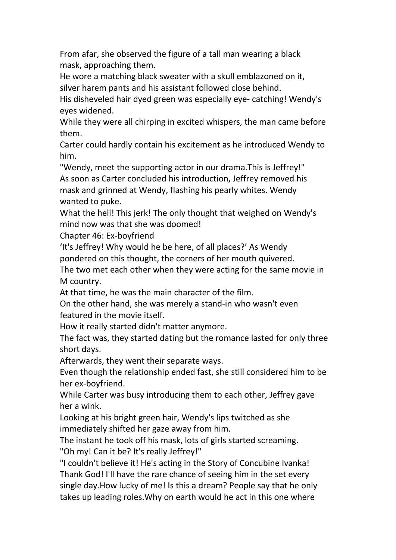From afar, she observed the figure of a tall man wearing a black mask, approaching them.

He wore a matching black sweater with a skull emblazoned on it, silver harem pants and his assistant followed close behind.

His disheveled hair dyed green was especially eye- catching! Wendy's eyes widened.

While they were all chirping in excited whispers, the man came before them.

Carter could hardly contain his excitement as he introduced Wendy to him.

"Wendy, meet the supporting actor in our drama.This is Jeffrey!" As soon as Carter concluded his introduction, Jeffrey removed his mask and grinned at Wendy, flashing his pearly whites. Wendy wanted to puke.

What the hell! This jerk! The only thought that weighed on Wendy's mind now was that she was doomed!

Chapter 46: Ex-boyfriend

'It's Jeffrey! Why would he be here, of all places?' As Wendy

pondered on this thought, the corners of her mouth quivered.

The two met each other when they were acting for the same movie in M country.

At that time, he was the main character of the film.

On the other hand, she was merely a stand-in who wasn't even featured in the movie itself.

How it really started didn't matter anymore.

The fact was, they started dating but the romance lasted for only three short days.

Afterwards, they went their separate ways.

Even though the relationship ended fast, she still considered him to be her ex-boyfriend.

While Carter was busy introducing them to each other, Jeffrey gave her a wink.

Looking at his bright green hair, Wendy's lips twitched as she immediately shifted her gaze away from him.

The instant he took off his mask, lots of girls started screaming. "Oh my! Can it be? It's really Jeffrey!"

"I couldn't believe it! He's acting in the Story of Concubine Ivanka! Thank God! I'll have the rare chance of seeing him in the set every single day.How lucky of me! Is this a dream? People say that he only takes up leading roles.Why on earth would he act in this one where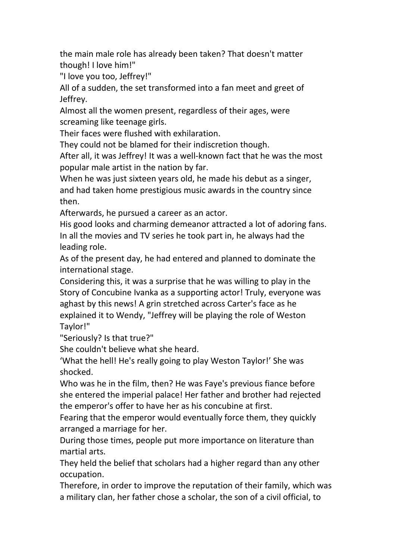the main male role has already been taken? That doesn't matter though! I love him!"

"I love you too, Jeffrey!"

All of a sudden, the set transformed into a fan meet and greet of Jeffrey.

Almost all the women present, regardless of their ages, were screaming like teenage girls.

Their faces were flushed with exhilaration.

They could not be blamed for their indiscretion though.

After all, it was Jeffrey! It was a well-known fact that he was the most popular male artist in the nation by far.

When he was just sixteen years old, he made his debut as a singer, and had taken home prestigious music awards in the country since then.

Afterwards, he pursued a career as an actor.

His good looks and charming demeanor attracted a lot of adoring fans. In all the movies and TV series he took part in, he always had the leading role.

As of the present day, he had entered and planned to dominate the international stage.

Considering this, it was a surprise that he was willing to play in the Story of Concubine Ivanka as a supporting actor! Truly, everyone was aghast by this news! A grin stretched across Carter's face as he explained it to Wendy,"Jeffrey will be playing the role of Weston Taylor!"

"Seriously? Is that true?"

She couldn't believe what she heard.

'What the hell! He's really going to play Weston Taylor!' She was shocked.

Who was he in the film, then? He was Faye's previous fiance before she entered the imperial palace! Her father and brotherhad rejected the emperor's offer to have her as his concubine at first.

Fearing that the emperor would eventually force them, they quickly

arranged a marriage for her.<br>During those times, people put more importance on literature than martial arts.

They held the belief that scholars had a higher regard than any other occupation.

Therefore, in order to improve the reputation of their family, which was a military clan, her father chose a scholar, the son of a civil official, to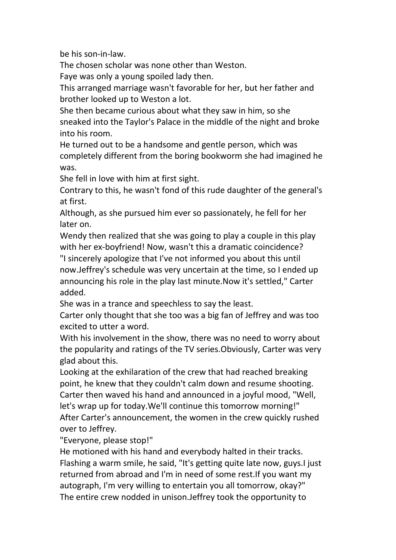be his son-in-law.

The chosen scholar was none other than Weston.

Faye was only a young spoiled lady then.

This arranged marriage wasn't favorable for her, but her father and brother looked up to Weston a lot.

She then became curious about what they saw in him, so she sneaked into the Taylor's Palace in the middle of the night and broke into his room.

He turned out to be a handsome and gentle person, which was completely different from the boring bookworm she had imagined he was.

She fell in love with him at first sight.

Contrary to this, he wasn't fond of this rude daughter of the general's at first.

Although, as she pursued him ever so passionately, he fell for her later on.

Wendy then realized that she was going to play a couple in this play with her ex-boyfriend! Now, wasn't this a dramatic coincidence? "I sincerely apologize that I've not informed you about this until now.Jeffrey's schedule was very uncertain at the time, so I ended up announcing his role in the play last minute.Now it's settled," Carter

added.

She was in a trance and speechless to say the least.

Carter only thought that she too was a big fan of Jeffrey and was too excited to utter a word.

With his involvement in the show, there was no need to worry about the popularity and ratings of the TV series.Obviously, Carter was very glad about this.

Looking at the exhilaration of the crew that had reached breaking point, he knew that they couldn't calm down and resume shooting. Carter then waved his hand and announced in a joyful mood, "Well, let's wrap up for today.We'll continue this tomorrow morning!" After Carter's announcement, the women in the crew quickly rushed over to Jeffrey.

"Everyone, please stop!"

He motioned with his hand and everybody halted in their tracks. Flashing a warm smile, he said, "It's getting quite late now, guys.I just returned from abroad and I'm in need of some rest. If you want my autograph, I'm very willing to entertain you all tomorrow, okay?" The entire crew nodded in unison.Jeffrey took the opportunity to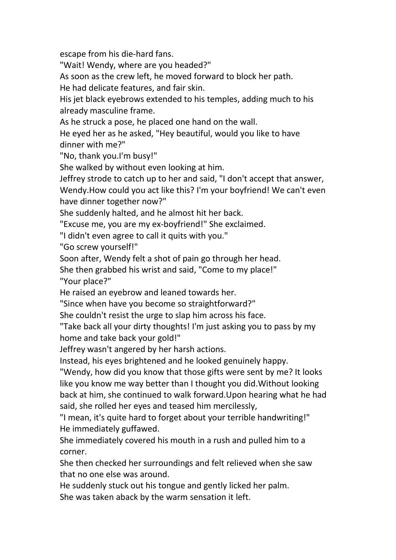escape from his die-hard fans.

"Wait! Wendy, where are you headed?"

As soon as the crew left, he moved forward to block her path.

He had delicate features, and fair skin.

His jet black eyebrows extended to his temples, adding much to his already masculine frame.

As he struck a pose, he placed one hand on the wall.

He eyed her as he asked, "Hey beautiful, would you like to have dinner with me?"

"No, thank you.I'm busy!"

She walked by without even looking at him.

Jeffrey strode to catch up to her and said, "I don't accept that answer, Wendy.How could you act like this? I'm your boyfriend! We can't even have dinner together now?"

She suddenly halted, and he almost hit her back.

"Excuse me, you are my ex-boyfriend!" She exclaimed.

"I didn't even agree to call it quits with you."

"Go screw yourself!"

Soon after, Wendy felt a shot of pain go through her head.

She then grabbed his wrist and said, "Come to my place!" "Your place?"

He raised an eyebrow and leaned towards her.

"Since when have you become so straightforward?"

She couldn't resist the urge to slap him across his face.

"Take back all your dirty thoughts! I'm just asking you to pass by my home and take back your gold!"

Jeffrey wasn't angered by her harsh actions.

Instead, his eyes brightened and he looked genuinely happy.

"Wendy, how did you know that those gifts were sent by me? It looks like you know me way better than I thought you did.Without looking back at him, she continued to walk forward.Upon hearing what he had said, she rolled her eyes and teased him mercilessly,

"I mean, it's quite hard to forget about your terrible handwriting!" He immediately guffawed.

She immediately covered his mouth in a rush and pulled him to a corner.

She then checked her surroundings and felt relieved when she saw that no one else was around.

He suddenly stuck out his tongue and gently licked her palm.

She was taken aback by the warm sensation it left.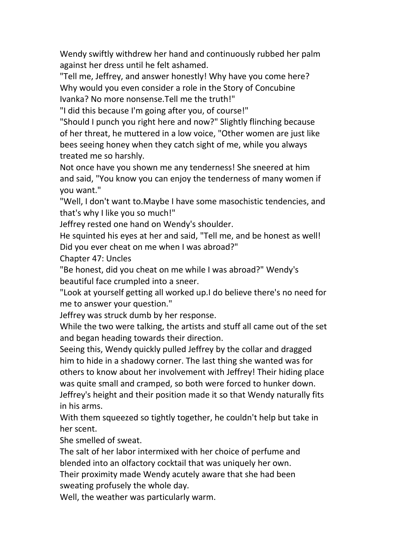Wendy swiftly withdrew her hand and continuously rubbed her palm against her dress until he felt ashamed.

"Tell me, Jeffrey, and answer honestly! Why have you come here? Why would you even consider a role in the Story of Concubine Ivanka? No more nonsense.Tell me the truth!"

"I did this because I'm going after you, of course!"

"Should I punch you right here and now?" Slightly flinching because of her threat, he muttered in a low voice, "Other women are just like bees seeing honey when they catch sight of me, while you always treated me so harshly.

Not once have you shown me any tenderness! She sneered at him and said, "You know you can enjoy the tenderness of many women if you want."

"Well, I don't want to.Maybe I have some masochistic tendencies, and that's why I like you so much!"

Jeffrey rested one hand on Wendy's shoulder.

He squinted his eyes at her and said, "Tell me, and be honest as well! Did you ever cheat on me when I was abroad?"

Chapter 47: Uncles

"Be honest, did you cheat on me while I was abroad?" Wendy's beautiful face crumpled into a sneer.

"Look at yourself getting all worked up.I do believe there's no need for me to answer your question."

Jeffrey was struck dumb by her response.

While the two were talking, the artists and stuff all came out of the set and began heading towards their direction.

Seeing this, Wendy quickly pulled Jeffrey by the collar and dragged him to hide in a shadowy corner. The last thing she wanted was for others to know about her involvement with Jeffrey! Their hiding place was quite small and cramped, so both were forced to hunker down. Jeffrey's height and their position made it so that Wendy naturally fits in his arms.

With them squeezed so tightly together, he couldn't help but take in her scent.

She smelled of sweat.

The salt of her labor intermixed with her choice of perfume and

blended into an olfactory cocktail that was uniquely her own.<br>Their proximity made Wendy acutely aware that she had been

sweating profusely the whole day.<br>Well, the weather was particularly warm.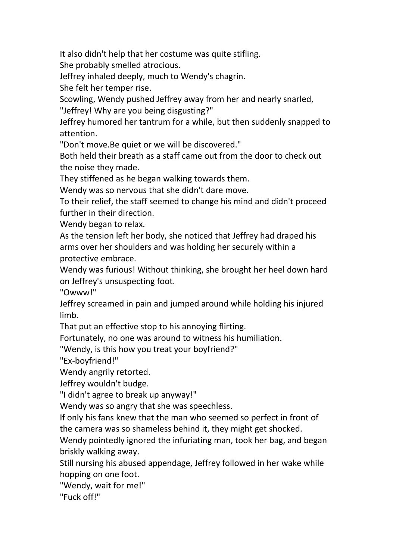It also didn't help that her costume was quite stifling.

She probably smelled atrocious.

Jeffrey inhaled deeply, much to Wendy's chagrin.

She felt her temper rise.

Scowling, Wendy pushed Jeffrey away from her and nearly snarled,

"Jeffrey! Why are you being disgusting?"

Jeffrey humored her tantrum for a while, but then suddenly snapped to attention.

"Don't move.Be quiet or we will be discovered."

Both held their breath as a staff came out from the door to check out the noise they made.

They stiffened as he began walking towards them.<br>Wendy was so nervous that she didn't dare move.

To their relief, the staff seemed to change his mind and didn't proceed further in their direction.

Wendy began to relax.

As the tension left her body, she noticed that Jeffrey had draped his arms over her shoulders and was holding her securely within a protective embrace.

Wendy was furious! Without thinking, she brought her heel down hard on Jeffrey's unsuspecting foot.

"Owww!"

Jeffrey screamed in pain and jumped around while holding his injured limb.

That put an effective stop to his annoying flirting.

Fortunately, no one was around to witness his humiliation.

"Wendy, is this how you treat your boyfriend?"

"Ex-boyfriend!"

Wendy angrily retorted.

Jeffrey wouldn't budge.

"I didn't agree to break up anyway!"

Wendy was so angry that she was speechless.

If only his fans knew that the man who seemed so perfect in front of the camera was so shameless behind it, they might get shocked.

Wendy pointedly ignored the infuriating man, took her bag, and began briskly walking away.

Still nursing his abused appendage, Jeffrey followed in her wake while hopping on one foot.

"Wendy, wait for me!"

"Fuck off!"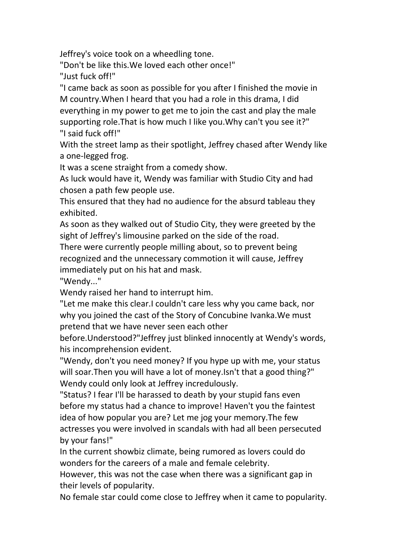Jeffrey's voice took on a wheedling tone.

"Don't be like this.We loved each other once!" "Just fuck off!"

"I came back as soon as possible for you after I finished the movie in M country.When I heard that you had a role in this drama, I did everything in my power to get me to join the cast and play the male supporting role. That is how much I like you. Why can't you see it?" "I said fuck off!"

With the street lamp as their spotlight, Jeffrey chased after Wendy like a one-legged frog.

It was a scene straight from a comedy show.

As luck would have it, Wendy was familiar with Studio City and had chosen a path few people use.

This ensured that they had no audience for the absurd tableau they exhibited.

As soon as they walked out of Studio City, they were greeted by the sight of Jeffrey's limousine parked on the side of the road.

There were currently people milling about, so to prevent being recognized and the unnecessary commotion it will cause, Jeffrey immediately put on his hat and mask.

"Wendy..."

Wendy raised her hand to interrupt him.

"Let me make this clear.I couldn't care less why you came back, nor why you joined the cast of the Story of Concubine Ivanka.We must pretend that we have never seen each other

before.Understood?"Jeffrey just blinked innocently at Wendy's words, his incomprehension evident.

"Wendy, don't you need money? If you hype up with me, your status will soar.Then you will have a lot of money.Isn't that a good thing?" Wendy could only look at Jeffrey incredulously.

"Status? I fear I'll be harassed to death by your stupid fans even before my status had a chance to improve! Haven't you the faintest idea of how popular you are? Let me jog your memory.The few actresses you were involved in scandals with had all been persecuted by your fans!"

In the current showbiz climate, being rumored as lovers could do wonders for the careers of a male and female celebrity.

However, this was not the case when there was a significant gap in their levels of popularity.

No female star could come close to Jeffrey when it came to popularity.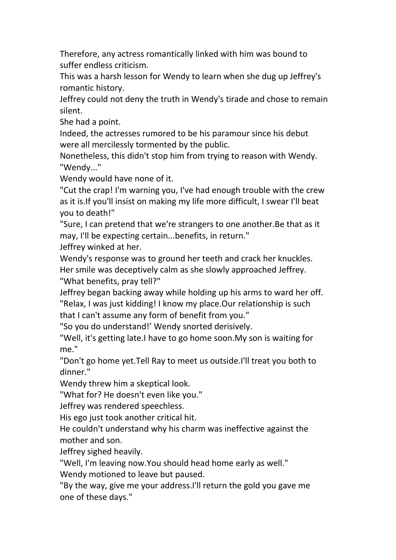Therefore, any actress romantically linked with him was bound to suffer endless criticism.

This was a harsh lesson for Wendy to learn when she dug up Jeffrey's romantic history.

Jeffrey could not deny the truth in Wendy's tirade and chose to remain silent.

She had a point.

Indeed, the actresses rumored to be his paramour since his debut were all mercilessly tormented by the public.

Nonetheless, this didn't stop him from trying to reason with Wendy. "Wendy..."

Wendy would have none of it.<br>"Cut the crap! I'm warning you, I've had enough trouble with the crew as it is.If you'll insist on making my life more difficult, I swear I'll beat you to death!"

"Sure, I can pretend that we're strangers to one another.Be that as it may, I'll be expecting certain...benefits, in return."

Jeffrey winked at her.

Wendy's response was to ground her teeth and crack her knuckles. Her smile was deceptively calm as she slowly approached Jeffrey. "What benefits, pray tell?"

Jeffrey began backing away while holding up his arms to ward her off. "Relax, I was just kidding! I know my place.Our relationship is such that I can't assume any form of benefit from you."

"So you do understand!' Wendy snorted derisively.

"Well, it's getting late.I have to go home soon.My son is waiting for me."

"Don't go home yet.Tell Ray to meet us outside.I'll treat you both to dinner."

Wendy threw him a skeptical look.

"What for? He doesn't even like you."

Jeffrey was rendered speechless.

His ego just took another critical hit.

He couldn't understand why his charm was ineffective against the mother and son.

Jeffrey sighed heavily.

"Well, I'm leaving now.You should head home early as well."

Wendy motioned to leave but paused.

"By the way, give me your address.I'll return the gold you gave me one of these days."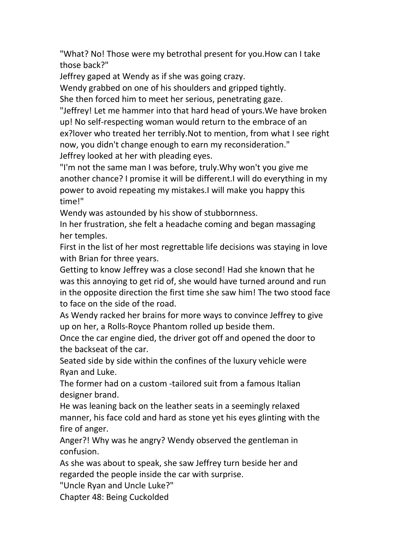"What? No! Those were my betrothal present for you.How can I take those back?"

Jeffrey gaped at Wendy as if she was going crazy.

Wendy grabbed on one of his shoulders and gripped tightly.

She then forced him to meet her serious, penetrating gaze.

"Jeffrey! Let me hammer into that hard head of yours.We have broken up! No self-respecting woman would return to the embrace of an ex?lover who treated her terribly.Not to mention, from what I see right now, you didn't change enough to earn my reconsideration." Jeffrey looked at her with pleading eyes.

"I'm not the same man I was before, truly.Why won't you give me another chance? I promise it will be different.I will do everything in my power to avoid repeating my mistakes.I will make you happy this time!"

Wendy was astounded by his show of stubbornness.

In her frustration, she felt a headache coming and began massaging her temples.

First in the list of her most regrettable life decisions was staying in love with Brian for three years.

Getting to know Jeffrey was a close second! Had she known that he was this annoying to get rid of, she would have turned around and run in the opposite direction the first time she saw him! The two stood face to face on the side of the road.

As Wendy racked her brains for more ways to convince Jeffrey to give up on her, a Rolls-Royce Phantom rolled up beside them.

Once the car engine died, the driver got off and opened the door to the backseat of the car.

Seated side by side within the confines of the luxury vehicle were Ryan and Luke.

The former had on a custom -tailored suit from a famous Italian designer brand.

He was leaning back on the leather seats in a seemingly relaxed manner, his face cold and hard as stone yet his eyes glinting with the fire of anger.

Anger?! Why was he angry? Wendy observed the gentleman in confusion.

As she was about to speak, she saw Jeffrey turn beside her and regarded the people inside the car with surprise.

"Uncle Ryan and Uncle Luke?"

Chapter 48: Being Cuckolded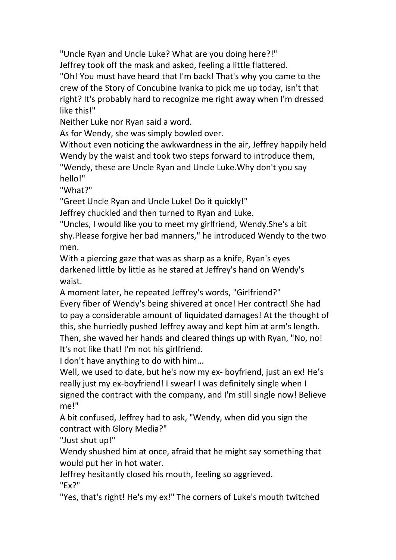"Uncle Ryan and Uncle Luke? What are you doing here?!" Jeffrey took off the mask and asked, feeling a little flattered.

"Oh! You must have heard that I'm back! That's why you came to the crew of the Story of Concubine Ivanka to pick me up today, isn't that right? It's probably hard to recognize me right away when I'm dressed like this!"

Neither Luke nor Ryan said a word.

As for Wendy, she was simply bowled over.

Without even noticing the awkwardness in the air, Jeffrey happily held Wendy by the waist and took two steps forward to introduce them,

"Wendy, these are Uncle Ryan and Uncle Luke.Why don't you say hello!"

"What?"

"Greet Uncle Ryan and Uncle Luke! Do it quickly!"

Jeffrey chuckled and then turned to Ryan and Luke.

"Uncles, I would like you to meet my girlfriend, Wendy.She's a bit shy.Please forgive her bad manners," he introduced Wendy to the two men.

With a piercing gaze that was as sharp as a knife, Ryan's eyes darkened little by little as he stared at Jeffrey's hand on Wendy's waist.

A moment later, he repeated Jeffrey's words, "Girlfriend?" Every fiber of Wendy's being shivered at once! Her contract! She had to pay a considerable amount of liquidated damages! At the thought of this, she hurriedly pushed Jeffrey away and kept him at arm's length. Then, she waved her hands and cleared things up with Ryan, "No, no! It's not like that! I'm not his girlfriend.

I don't have anything to do with him...

Well, we used to date, but he's now my ex- boyfriend, just an ex! He's really just my ex-boyfriend! I swear! I was definitely single when I signed the contract with the company, and I'm still single now! Believe me!"

A bit confused, Jeffrey had to ask, "Wendy, when did you sign the contract with Glory Media?"

"Just shut up!"

Wendy shushed him at once, afraid that he might say something that would put her in hot water.

Jeffrey hesitantly closed his mouth, feeling so aggrieved.

"Ex?"

"Yes, that's right! He's my ex!" The corners of Luke's mouth twitched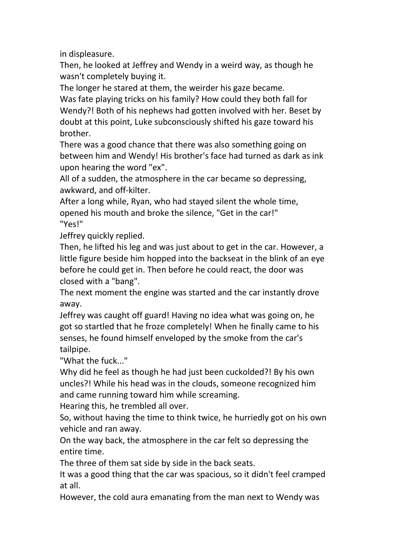in displeasure.

Then, he looked at Jeffrey and Wendy in a weird way, as though he wasn't completely buying it.

The longer he stared at them, the weirder his gaze became.

Was fate playing tricks on his family? How could they both fall for Wendy?! Both of his nephews had gotten involved with her. Beset by doubt at this point, Luke subconsciously shifted his gaze toward his brother.

There was a good chance that there was also something going on between him and Wendy! His brother's face had turned as dark as ink upon hearing the word "ex".

All of a sudden, the atmosphere in the car became so depressing, awkward, and off-kilter.

After a long while, Ryan, who had stayed silent the whole time, opened his mouth and broke the silence, "Get in the car!" "Yes!"

Jeffrey quickly replied.

Then, he lifted his leg and was just about to get in the car. However, a little figure beside him hopped into the backseat in the blink of an eye before he could get in. Then before he could react, the door was closed with a "bang".

The next moment the engine was started and the car instantly drove away.

Jeffrey was caught off guard! Having no idea what was going on, he got so startled that he froze completely! When he finally came to his senses, he found himself enveloped by the smoke from the car's tailpipe.

"What the fuck..."

Why did he feel as though he had just been cuckolded?! By his own uncles?! While his head was in the clouds, someone recognized him and came running toward him while screaming.<br>Hearing this, he trembled all over.

So, without having the time to think twice, he hurriedly got on his own vehicle and ran away.

On the way back, the atmosphere in the car felt so depressing the entire time.

The three of them sat side by side in the back seats.

It was a good thing that the car was spacious, so it didn't feel cramped at all.

However, the cold aura emanating from the man next to Wendy was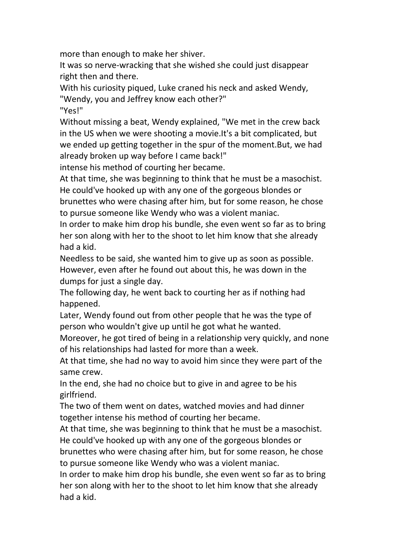more than enough to make her shiver.

It was so nerve-wracking that she wished she could just disappear right then and there.

With his curiosity piqued, Luke craned his neck and asked Wendy, "Wendy, you and Jeffrey know each other?"

"Yes!"

Without missing a beat, Wendy explained, "We met in the crew back in the US when we were shooting a movie.It's a bit complicated, but we ended up getting together in the spur of the moment.But, we had already broken up way before Icame back!"

intense his method of courting her became.

At that time, she was beginning to think that he must be a masochist. He could've hooked up with any one of the gorgeous blondes or brunettes who were chasing after him, but for some reason, he chose to pursue someone like Wendy who was a violent maniac.

In order to make him drop his bundle, she even went so far as to bring her son along with her to the shoot to let him know that she already had a kid.

Needless to be said, she wanted him to give up as soon as possible. However, even after he found out about this, he was down in the dumps for just a single day.

The following day, he went back to courting her as if nothing had happened.

Later, Wendy found out from other people that he was the type of person who wouldn't give up until he got what he wanted.

Moreover, he got tired of being in a relationship very quickly, and none of his relationships had lasted for more than a week.

At that time, she had no way to avoid him since they were part of the same crew.

In the end, she had no choice but to give in and agree to be his girlfriend.

The two of them went on dates, watched movies and had dinner together intense his method of courting her became.

At that time, she was beginning to think that he must be a masochist. He could've hooked up with any one of the gorgeous blondes or

brunettes who were chasing after him, but for some reason, he chose to pursue someone like Wendy who was a violent maniac.

In order to make him drop his bundle, she even went so far as to bring her son along with her to the shoot to let him know that she already had a kid.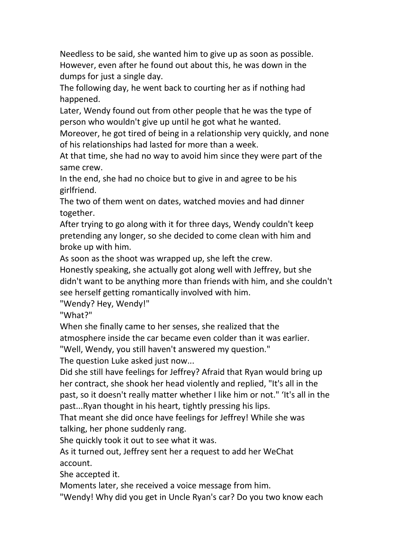Needless to be said, she wanted him to give up as soon as possible. However, even after he found out about this, he was down in the dumps for just a single day.

The following day, he went back to courting her as if nothing had happened.

Later, Wendy found out from other people that he was the type of person who wouldn't give up until he got what he wanted.

Moreover, he got tired of being in a relationship very quickly, and none of his relationships had lasted for more than a week.

At that time, she had no way to avoid him since they were part of the same crew.

In the end, she had no choice but to give in and agree to be his girlfriend.

The two of them went on dates, watched movies and had dinner together.

After trying to go along with it for three days, Wendy couldn't keep pretending any longer, so she decided to come clean with him and broke up with him.

As soon as the shoot was wrapped up, she left the crew.

Honestly speaking, she actually got along well with Jeffrey, but she didn't want to be anything more than friends with him, and she couldn't see herself getting romantically involved with him.

"Wendy? Hey, Wendy!"

"What?"

When she finally came to her senses, she realized that the atmosphere inside the car became even colder than it was earlier.

"Well, Wendy, you still haven't answered my question."

The question Luke asked just now...

Did she still have feelings for Jeffrey? Afraid that Ryan would bring up her contract, she shook her head violently and replied, "It's all in the past, so it doesn't really matter whether I like him ornot." 'It's all in the past...Ryan thought in his heart, tightly pressing his lips.

That meant she did once have feelings for Jeffrey! While she was talking, her phone suddenly rang.

She quickly took it out to see what it was.

As it turned out, Jeffrey sent her a request to add her WeChat account.

She accepted it.

Moments later, she received a voice message from him.

"Wendy! Why did you get in Uncle Ryan's car? Do you two know each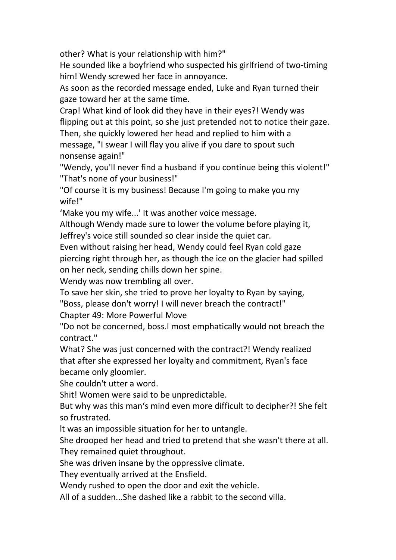other? What is your relationship with him?"

He sounded like a boyfriend who suspected his girlfriend of two-timing him! Wendy screwed her face in annoyance.

As soon as the recorded message ended, Luke and Ryan turned their

gaze toward her at the same time.<br>Crap! What kind of look did they have in their eyes?! Wendy was flipping out at this point, so she just pretended not to notice their gaze.

Then, she quickly lowered her head and replied to him with a message, "I swear I will flay you alive if you dare to spout such nonsense again!"

"Wendy, you'll never find a husband if you continue being this violent!" "That's none of your business!"

"Of course it is my business! Because I'm going to make you my wife!"

'Make you my wife...' It was another voice message.

Although Wendy made sure to lower the volume before playing it, Jeffrey's voice still sounded so clearinside the quiet car.

Even without raising her head, Wendy could feel Ryan cold gaze piercing right through her, as though the ice on the glacier had spilled on her neck, sending chills down her spine.

Wendy was now trembling all over.

To save her skin, she tried to prove her loyalty to Ryan by saying,

"Boss, please don't worry! I will never breach the contract!"

Chapter 49: More Powerful Move

"Do not be concerned, boss.I most emphatically would not breach the contract."

What? She was just concerned with the contract?! Wendy realized that after she expressed her loyalty and commitment, Ryan's face became only gloomier.

She couldn't utter a word.

Shit! Women were said to be unpredictable.

But why was this man's mind even more difficult to decipher?! She felt so frustrated.

lt was an impossible situation for her to untangle.

She drooped her head and tried to pretend that she wasn't there at all. They remained quiet throughout.

She was driven insane by the oppressive climate.

They eventually arrived at the Ensfield.

Wendy rushed to open the door and exit the vehicle.

All of a sudden...She dashed like a rabbit to the second villa.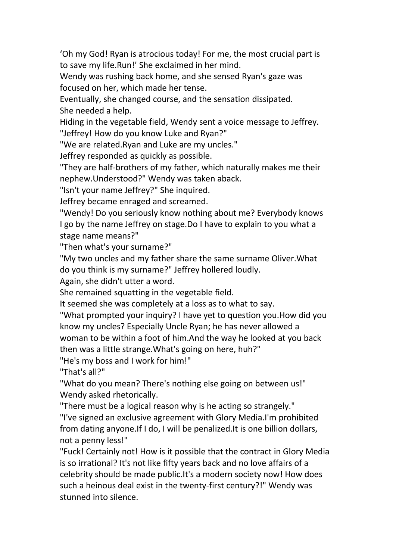'Oh my God! Ryan is atrocious today! For me, the most crucial part is to save my life.Run!' She exclaimed in her mind.

Wendy was rushing back home, and she sensed Ryan's gaze was focused on her, which made her tense.

Eventually, she changed course, and the sensation dissipated. She needed a help.

Hiding in the vegetable field, Wendy sent a voice message to Jeffrey. "Jeffrey! How do you know Luke and Ryan?"

"We are related.Ryan and Luke are my uncles."

Jeffrey responded as quickly as possible.

"They are half-brothers of my father, which naturally makes me their nephew.Understood?" Wendy was taken aback.

"Isn't your name Jeffrey?" She inquired.

Jeffrey became enraged and screamed.

"Wendy! Do you seriously know nothing about me? Everybody knows I go by the name Jeffrey on stage.Do I have to explain to you what a stage name means?"

"Then what's your surname?"

"My two uncles and my father share the same surname Oliver.What do you think is my surname?" Jeffrey hollered loudly.

Again, she didn't utter a word.

She remained squatting in the vegetable field.

It seemed she was completely at a loss as to what to say.

"What prompted your inquiry? I have yet to question you.How did you know my uncles? Especially Uncle Ryan; he has never allowed a woman to be within a foot of him.And the way he looked at you back then was a little strange.What's going on here, huh?"

"He's my boss and I work for him!"

"That's all?"

"What do you mean? There's nothing else going on between us!" Wendy asked rhetorically.

"There must be a logical reason why is he acting so strangely."

"I've signed an exclusive agreement with Glory Media.I'm prohibited from dating anyone.If I do, I will be penalized.It is one billion dollars, not a penny less!"

"Fuck! Certainly not! How is it possible that the contract in Glory Media is so irrational? It's not like fifty years back and no love affairs of a celebrity should be made public.It's a modern society now! How does such a heinous deal exist in the twenty-first century?!" Wendy was stunned into silence.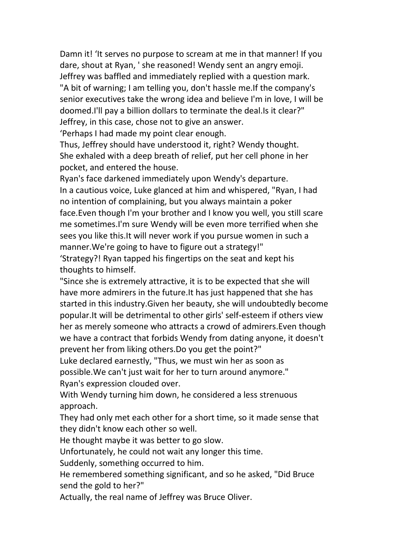Damn it! 'It serves no purpose to scream at me in that manner! If you dare, shout at Ryan, ' she reasoned! Wendy sent an angry emoji. Jeffrey was baffled and immediately replied with a question mark. "A bit of warning; I am telling you, don't hassle me.If the company's senior executives take the wrong idea and believe I'm in love, I will be doomed.I'll pay a billion dollars to terminate the deal.Is it clear?" Jeffrey, in this case, chose not to give an answer.

'Perhaps I had made my point clear enough.

Thus, Jeffrey should have understood it, right? Wendy thought. She exhaled with a deep breath of relief, put her cell phone in her pocket, and entered the house.

Ryan's face darkened immediately upon Wendy's departure. In a cautious voice, Luke glanced at him and whispered, "Ryan, I had no intention of complaining, but you always maintain a poker face.Even though I'm your brother and I know you well, you still scare me sometimes.I'm sure Wendy will be even more terrified when she sees you like this.It will never work if you pursue women in such a manner.We're going to have to figure out a strategy!"

'Strategy?! Ryan tapped his fingertips on the seat and kept his thoughts to himself.

"Since she is extremely attractive, it is to be expected that she will have more admirers in the future.It has just happened that she has started in this industry.Given her beauty, she will undoubtedly become popular.It will be detrimental to other girls' self-esteem if others view her as merely someone who attracts a crowd of admirers.Even though we have a contract that forbids Wendy from dating anyone, it doesn't prevent her from liking others.Do you get the point?"

Luke declared earnestly, "Thus, we must win her as soon as possible.We can't just wait for her to turn around anymore."

Ryan's expression clouded over.

With Wendy turning him down, he considered a less strenuous approach.

They had only met each other for a short time, so it made sense that they didn't know each other so well.

He thought maybe it was better to go slow.

Unfortunately, he could not wait any longer this time.

Suddenly, something occurred to him.

He remembered something significant, and so he asked,"Did Bruce send the gold to her?"<br>Actually, the real name of Jeffrey was Bruce Oliver.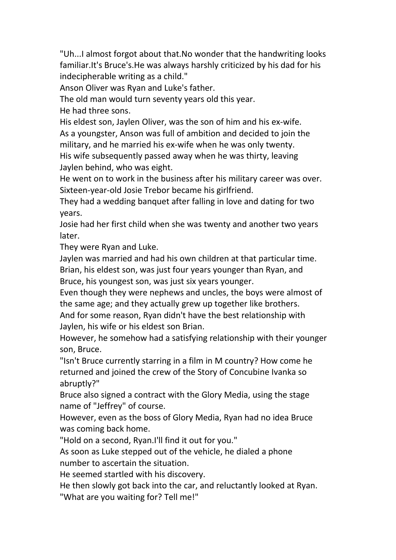"Uh...I almost forgot about that.No wonder that the handwriting looks familiar.It's Bruce's.He was always harshly criticized by hisdad for his indecipherable writing as a child."

Anson Oliver was Ryan and Luke's father.

The old man would turn seventy years old this year.

He had three sons.

His eldest son, Jaylen Oliver, was the son of him and his ex-wife. As a youngster, Anson was full of ambition and decided to join the military, and he married his ex-wife when he was only twenty.

His wife subsequently passed away when he was thirty, leaving Jaylen behind, who was eight.

He went on to work in the business after his military career was over. Sixteen-year-old Josie Trebor became his girlfriend.

They had a wedding banquet after falling in love and dating for two years.

Josie had her first child when she was twenty and another two years later.

They were Ryan and Luke.

Jaylen was married and had his own children at that particular time.

Brian, his eldest son, was just four years younger than Ryan, and Bruce, his youngest son, was just six years younger.

Even though they were nephews and uncles, the boys were almost of the same age; and they actually grew up together like brothers.

And for some reason, Ryan didn't have the best relationship with Jaylen, his wife or his eldest son Brian.

However, he somehow had a satisfying relationship with their younger son, Bruce.

"Isn't Bruce currently starring in a film in M country? How come he returned and joined the crew of the Story of Concubine Ivanka so abruptly?"

Bruce also signed a contract with the Glory Media, using the stage name of "Jeffrey" of course.

However, even as the bossof Glory Media, Ryan had no idea Bruce was coming back home.

"Hold on a second, Ryan.I'll find it out for you."

As soon as Luke stepped out of the vehicle, he dialed a phone number to ascertain the situation.

He seemed startled with his discovery.

He then slowly got back into the car, and reluctantly looked at Ryan.

"What are you waiting for? Tell me!"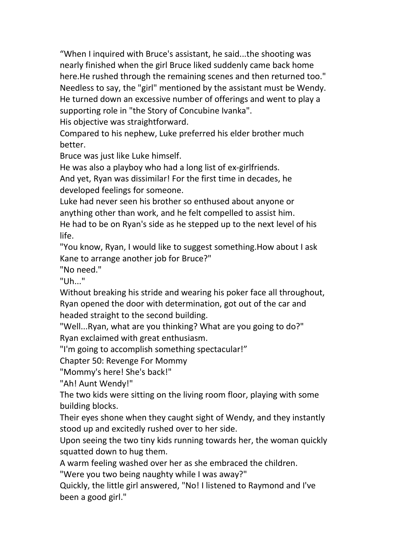"When I inquired with Bruce's assistant, he said...the shooting was nearly finished when the girl Bruce liked suddenly came back home here.He rushed through the remaining scenes and then returned too." Needless to say, the "girl" mentioned by the assistant must be Wendy. He turned down an excessive number of offerings and went to play a supporting role in "the Story of Concubine Ivanka".

His objective was straightforward.

Compared to his nephew, Luke preferred his elder brother much better.

Bruce was just like Luke himself.

He was also a playboy who had a long list of ex-girlfriends.

And yet, Ryan was dissimilar! For the first time in decades, he developed feelings for someone.

Luke had never seen his brother so enthused about anyone or anything other than work, and he felt compelled to assist him.

He had to be on Ryan's side as he stepped up to the next level of his life.

"You know, Ryan, I would like to suggest something.How about I ask Kane to arrange another job for Bruce?"

"No need."

"Uh..."

Without breaking his stride and wearing his poker face all throughout, Ryan opened the door with determination, got out of the car and headed straight to the second building.

"Well...Ryan, what are you thinking? What are you going to do?" Ryan exclaimed with great enthusiasm.

"I'm going to accomplish something spectacular!"

Chapter 50: Revenge For Mommy

"Mommy's here! She's back!"

"Ah! Aunt Wendy!"

The two kids were sitting on the living room floor, playing with some building blocks.

Their eyes shone when they caught sight of Wendy, and they instantly stood up and excitedly rushed over to her side.

Upon seeing the two tiny kids running towards her, the woman quickly squatted down to hug them.

A warm feeling washed over her as she embraced the children.

"Were you two being naughty while I was away?"

Quickly, the little girl answered, "No! I listened to Raymond and I've been a good girl."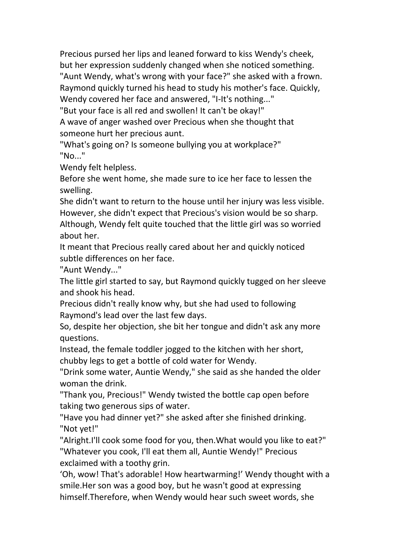Precious pursed her lips and leaned forward to kiss Wendy's cheek, but her expression suddenly changed when she noticed something. "Aunt Wendy, what's wrong with your face?" she asked with a frown. Raymond quickly turned his head to study his mother's face. Quickly, Wendy covered her face and answered, "I-It's nothing..."

"But your face is all red and swollen! It can't be okay!"

A wave of anger washed over Precious when she thought that someone hurt her precious aunt.

"What's going on? Is someone bullying you at workplace?" "No..."

Wendy felt helpless.

Before she went home, she made sure to ice her face to lessen the swelling.

She didn't want to return to the house until her injury was less visible. However, she didn't expect that Precious's vision would be so sharp.<br>Although, Wendy felt quite touched that the little girl was so worried about her.

It meant that Precious really cared about her and quickly noticed subtle differences on her face.

"Aunt Wendy..."

The little girl started to say, but Raymond quickly tugged on her sleeve

and shook his head.<br>Precious didn't really know why, but she had used to following Raymond's lead over the last few days.

So, despite her objection, she bit her tongue and didn't ask any more questions.

Instead, the female toddler jogged to the kitchen with her short, chubby legs to get a bottle of cold water for Wendy.

"Drink some water, Auntie Wendy," she said as she handed the older woman the drink.

"Thank you, Precious!" Wendy twisted the bottle cap open before taking two generous sips of water.

"Have you had dinner yet?" she asked after she finished drinking. "Not yet!"

"Alright.I'll cook some food for you, then.What would you like to eat?" "Whatever you cook, I'll eat them all, Auntie Wendy!" Precious exclaimed with a toothy grin.

'Oh, wow! That's adorable! How heartwarming!' Wendy thought with a smile.Her son was a good boy, but he wasn't good at expressing himself.Therefore, when Wendy would hear such sweet words, she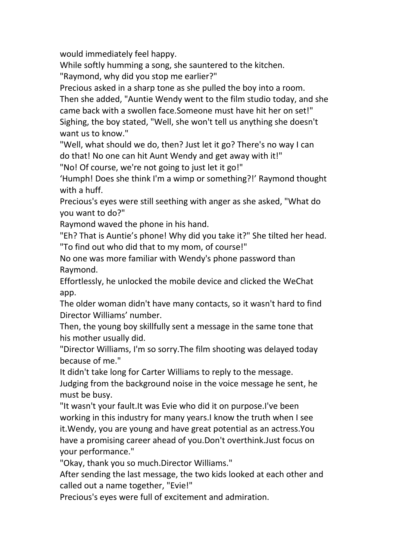would immediately feel happy.

While softly humming a song, she sauntered to the kitchen.

"Raymond, why did you stop me earlier?"

Precious asked in a sharp tone as she pulled the boy into a room. Then she added, "Auntie Wendy went to the film studio today, and she came back with a swollen face.Someone must have hit her on set!" Sighing, the boy stated, "Well, she won't tell us anything she doesn't want us to know."

"Well, what should we do, then? Just let it go? There's no way I can do that! No one can hit Aunt Wendy and get away with it!"

"No! Of course, we're not going to just let it go!"

'Humph! Does she think I'm a wimp or something?!' Raymond thought with a huff.

Precious's eyes were still seething with anger as she asked, "What do you want to do?"

Raymond waved the phone in his hand.

"Eh? That is Auntie's phone! Why did you take it?" She tilted her head. "To find out who did that to my mom, of course!"

No one was more familiar with Wendy's phone password than Raymond.

Effortlessly, he unlocked the mobile device and clicked the WeChat app.

The older woman didn't have many contacts, so it wasn't hard to find Director Williams' number.

Then, the young boy skillfully sent a message in the same tone that his mother usually did.

"Director Williams, I'm so sorry.The film shooting was delayed today because of me."

It didn't take long for Carter Williams to reply to the message.

Judging from the background noise in the voice message he sent, he must be busy.

"It wasn't your fault.It was Evie who did it on purpose.I've been working in this industry for many years.I know the truth when I see it.Wendy, you are young and have great potential as an actress.You have a promising career ahead of you.Don't overthink.Just focus on your performance."

"Okay, thank you so much.Director Williams."

After sending the last message, the two kids looked at each other and called out a name together, "Evie!"

Precious's eyes were full of excitement and admiration.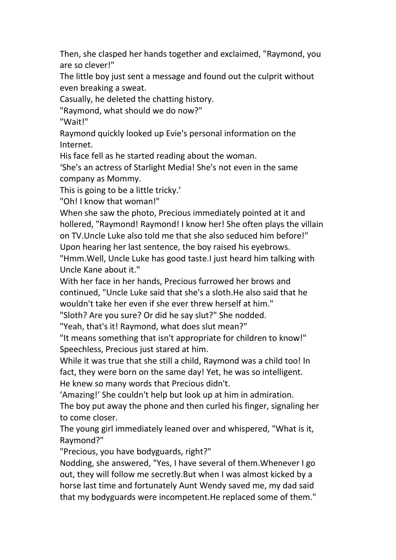Then, she clasped her hands together and exclaimed, "Raymond, you are so clever!"

The little boy just sent a message and found out the culprit without even breaking a sweat.

Casually, he deleted the chatting history.

"Raymond, what should we do now?"

"Wait!"

Raymond quickly looked up Evie's personal information on the Internet.

His face fell as he started reading about the woman.

'She's an actress of Starlight Media! She's not even in the same company as Mommy.

This is going to be a little tricky.'

"Oh! I know that woman!"

When she saw the photo, Precious immediately pointed at it and hollered, "Raymond! Raymond! I know her! She often plays the villain on TV.Uncle Luke also told me that she also seduced him before!" Upon hearing her last sentence, the boy raised his eyebrows.

"Hmm.Well, Uncle Luke has good taste.I just heard him talking with Uncle Kane about it."

With her face in her hands, Precious furrowed her brows and continued, "Uncle Luke said that she's a sloth.He also said that he wouldn't take her even if she ever threw herself at him."

"Sloth? Are you sure? Or did he say slut?" She nodded.

"Yeah, that's it! Raymond, what does slut mean?"

"It means something that isn't appropriate for children to know!" Speechless, Precious just stared at him.

While it was true that she still a child, Raymond was a child too! In fact, they were born on the same day! Yet, he was so intelligent. He knew so many words that Precious didn't.

'Amazing!' She couldn't help but look up at him in admiration.

The boy put away the phone and then curled his finger, signaling her to come closer.

The young girl immediately leaned over and whispered, "What is it, Raymond?"

"Precious, you have bodyguards, right?"

Nodding, she answered, "Yes, I have several of them.Whenever I go out, they will follow me secretly.But when I was almost kicked by a horse last time and fortunately Aunt Wendy saved me, my dad said that my bodyguards were incompetent.He replaced some of them."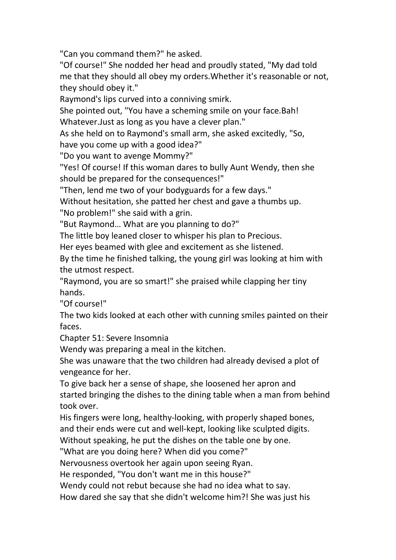"Can you command them?" he asked.

"Of course!" She nodded her head and proudly stated, "My dad told me that they should all obey my orders. Whether it's reasonable or not, they should obey it."

Raymond's lips curved into a conniving smirk.

She pointed out, "You have a scheming smile on your face.Bah! Whatever.Just as long as you have a clever plan."

As she held on to Raymond's small arm, she asked excitedly, "So, have you come up with a good idea?"

"Do you want to avenge Mommy?"

"Yes! Of course! If this woman dares to bully Aunt Wendy, then she should be prepared for the consequences!"

"Then, lend me two of your bodyguards for a few days."

Without hesitation, she patted her chest and gave a thumbs up.

"No problem!" she said with a grin.

"But Raymond… What are you planning to do?"

The little boy leaned closer to whisper his plan to Precious.

Her eyes beamed with glee and excitement as she listened.

By the time he finished talking, the young girl was looking at him with the utmost respect.

"Raymond, you are so smart!" she praised while clapping her tiny hands.

"Of course!"

The two kids looked at each other with cunning smiles painted on their faces.

Chapter 51: Severe Insomnia

Wendy was preparing a meal in the kitchen.

She was unaware that the two children had already devised a plot of

vengeance for her.<br>To give back her a sense of shape, she loosened her apron and started bringing the dishes to the dining table when a man from behind took over.

His fingers were long, healthy-looking, with properly shaped bones, and their ends were cut and well-kept, looking like sculpted digits.

Without speaking, he put the dishes on the table one by one.

"What are you doing here? When did you come?"

Nervousness overtook her again upon seeing Ryan.

He responded, "You don't want me in this house?"

Wendy could not rebut because she had no idea what to say.

How dared she say that she didn't welcome him?! She was just his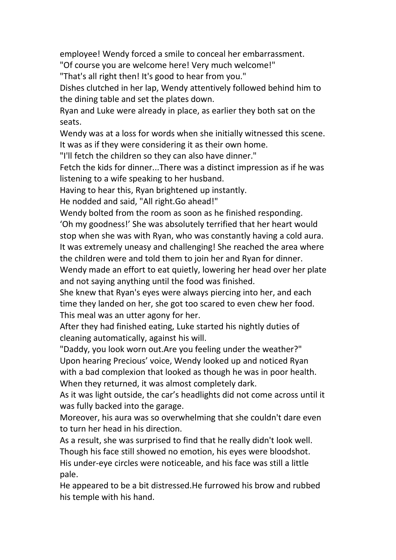employee! Wendy forced a smile to conceal her embarrassment.

"Of course you are welcome here! Very much welcome!"

"That's all right then! It's good to hear from you."

Dishes clutched in her lap, Wendy attentively followed behind him to the dining table and set the plates down.

Ryan and Luke were already in place, as earlier they both sat on the seats.

Wendy was at a loss for words when she initially witnessed this scene. It was as if they were considering it as their own home.

"I'll fetch the children so they can also have dinner."

Fetch the kids for dinner...There was a distinct impression as if he was listening to a wife speaking to her husband.

Having to hear this, Ryan brightened up instantly.<br>He nodded and said, "All right.Go ahead!"

Wendy bolted from the room as soon as he finished responding.

'Oh my goodness!' She was absolutely terrified that her heart would stop when she was with Ryan, who was constantly having a cold aura. It was extremely uneasy and challenging! She reached the area where the children were and told them to join her and Ryan for dinner.

Wendy made an effort to eat quietly, lowering her head over her plate and not saying anything until the food was finished.

She knew that Ryan's eyes were always piercing into her, and each time they landed on her, she got too scared to even chew her food.

This meal was an utter agony for her.<br>After they had finished eating, Luke started his nightly duties of cleaning automatically, against his will.

"Daddy, you look worn out.Are you feeling under the weather?" Upon hearing Precious' voice, Wendy looked up and noticed Ryan with a bad complexion that looked as though he was in poor health.<br>When they returned, it was almost completely dark.

As it was light outside, the car's headlights did not come across until it was fully backed into the garage.

Moreover, his aura was so overwhelming that she couldn't dare even to turn her head in his direction.

As a result, she was surprised to find that he really didn't look well. Though his face still showed no emotion, his eyes were bloodshot. His under-eye circles were noticeable, and his face was still a little pale.

He appeared to be a bit distressed.He furrowed his brow and rubbed his temple with his hand.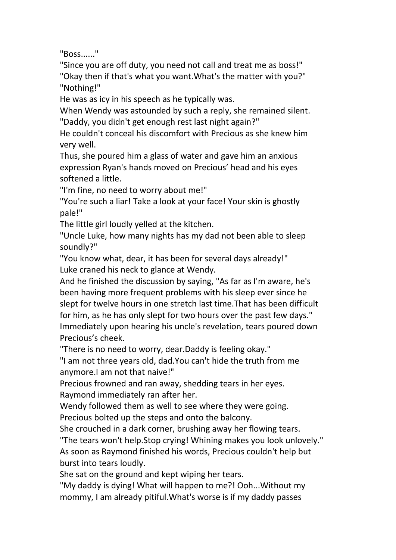"Boss......"

"Since you are off duty, you need not call and treat me as boss!" "Okay then if that's what you want.What's the matter with you?" "Nothing!"

He was as icy in his speech as he typically was.

When Wendy was astounded by such a reply, she remained silent. "Daddy, you didn't get enough rest last night again?"

He couldn't conceal his discomfort with Precious as she knew him very well.

Thus, she poured him a glass of water and gave him an anxious expression Ryan's hands moved on Precious' head and his eyes softened a little.

"I'm fine, no need to worry about me!"

"You're such a liar! Take a look at your face! Your skin is ghostly pale!"

The little girl loudly yelled at the kitchen.

"Uncle Luke, how many nights has my dad not been able to sleep soundly?"

"You know what, dear, it has been for several days already!" Luke craned his neck to glance at Wendy.

And he finished the discussion by saying, "As far as I'm aware, he's been having more frequent problems with his sleep ever since he slept for twelve hours in one stretch last time.That has been difficult for him, as he has only slept for two hours over the past few days." Immediately upon hearing his uncle's revelation, tears poured down Precious's cheek.

"There is no need to worry, dear.Daddy is feeling okay."

"I am not three years old, dad.You can't hide the truth from me anymore.I am not that naive!"

Precious frowned and ran away, shedding tears in her eyes.

Raymond immediately ran after her.<br>Wendy followed them as well to see where they were going.

Precious bolted up the steps and onto the balcony.<br>She crouched in a dark corner, brushing away her flowing tears.

"The tears won't help.Stop crying! Whining makes you look unlovely." As soon as Raymond finished his words, Precious couldn't help but burst into tears loudly.<br>She sat on the ground and kept wiping her tears.<br>"My daddy is dying! What will happen to me?! Ooh...Without my

mommy, I am already pitiful.What's worse is if my daddy passes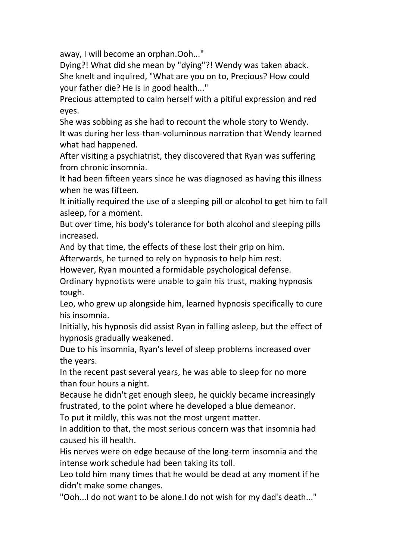away, I will become an orphan.Ooh..."

Dying?! What did she mean by "dying"?! Wendy was taken aback. She knelt and inquired, "What are you on to, Precious? How could your father die? He is in good health..."

Precious attempted to calm herself with a pitiful expression and red eyes.

She was sobbing as she had to recount the whole story to Wendy. It was during her less-than-voluminous narration that Wendy learned what had happened.

After visiting a psychiatrist, they discovered that Ryan was suffering from chronic insomnia.

It had been fifteen years since he was diagnosed as having this illness when he was fifteen.

It initially required the use of a sleeping pill or alcohol to get him to fall asleep, for a moment.

But over time, his body's tolerance for both alcohol and sleeping pills increased.

And by that time, the effects of these lost their grip on him.

Afterwards, he turned to rely on hypnosis to help him rest.

However, Ryan mounted a formidable psychological defense.

Ordinary hypnotists were unable to gain his trust, making hypnosis tough.

Leo, who grew up alongside him, learned hypnosis specifically to cure his insomnia.

Initially, his hypnosis did assist Ryan in falling asleep, but the effect of hypnosis gradually weakened.

Due to his insomnia, Ryan's level of sleep problems increased over the years.

In the recent past several years, he was able to sleep for no more than four hours a night.

Because he didn't get enough sleep, he quickly became increasingly frustrated, to the point where he developed a blue demeanor.<br>To put it mildly, this was not the most urgent matter.

In addition to that, the most serious concern was that insomnia had caused his ill health.

His nerves were on edge because of the long-term insomnia and the intense work schedule had been taking its toll.

Leo told him many times that he would be dead at any moment if he didn't make some changes.

"Ooh...I do not want to be alone.I do not wish for my dad's death..."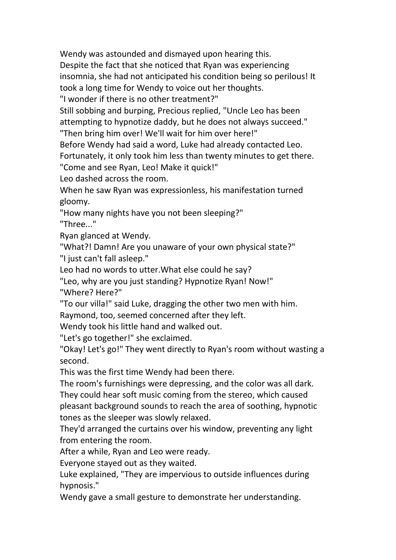Wendy was astounded and dismayed upon hearing this.<br>Despite the fact that she noticed that Ryan was experiencing insomnia, she had not anticipated his condition being so perilous! It took a long time for Wendy to voice out her thoughts.

"I wonder if there is no other treatment?"

Still sobbing and burping, Precious replied, "Uncle Leo has been attempting to hypnotize daddy, but he does not always succeed."

"Then bring him over! We'll wait for him over here!"

Before Wendy had said a word, Luke had already contacted Leo.

Fortunately, it only took him less than twenty minutes to get there.

"Come and see Ryan, Leo! Make it quick!"

Leo dashed across the room.

When he saw Ryan was expressionless, his manifestation turned gloomy.

"How many nights have you not been sleeping?"

"Three..."

Ryan glanced at Wendy.

"What?! Damn! Are you unaware of your own physical state?" "I just can't fall asleep."

Leo had no words to utter.What else could he say?

"Leo, why are you just standing? Hypnotize Ryan! Now!" "Where? Here?"

"To our villa!" said Luke, dragging the other two men with him.

Raymond, too, seemed concerned after they left.

Wendy took his little hand and walked out.

"Let's go together!" she exclaimed.

"Okay! Let's go!" They went directly to Ryan's room without wasting a second.

This was the first time Wendy had been there.

The room's furnishings were depressing, and the color was all dark. They could hear soft music coming from the stereo, which caused pleasant background sounds to reach the area of soothing, hypnotic tones as the sleeper was slowly relaxed.

They'd arranged the curtains over his window, preventing any light from entering the room.

After a while, Ryan and Leo were ready.

Everyone stayed out as they waited.

Luke explained, "They are impervious to outside influences during hypnosis."

Wendy gave a small gesture to demonstrate her understanding.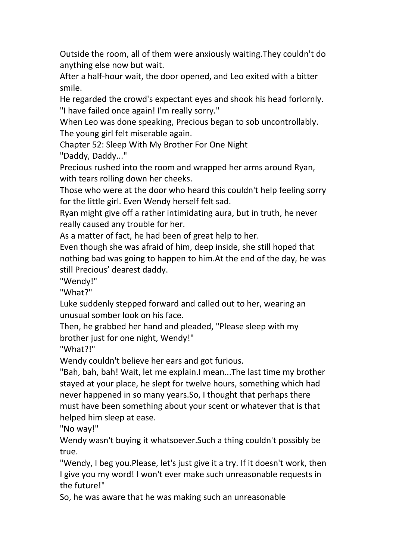Outside the room, all of them were anxiously waiting.They couldn't do anything else now but wait.

After a half-hour wait, the door opened, and Leo exited with a bitter smile.

He regarded the crowd's expectant eyes and shook his head forlornly. "I have failed once again! I'm really sorry."

When Leo was done speaking, Precious began to sob uncontrollably. The young girl felt miserable again.

Chapter 52: Sleep With My Brother For One Night

"Daddy, Daddy..."

Precious rushed into the room and wrapped her arms around Ryan, with tears rolling down her cheeks.

Those who were at the door who heard this couldn't help feeling sorry for the little girl. Even Wendy herself felt sad.

Ryan might give off a rather intimidating aura, but in truth, he never really caused any trouble for her.

As a matter of fact, he had been of great help to her.

Even though she was afraid of him, deep inside, she still hoped that nothing bad was going to happen to him.At the end of the day, he was still Precious' dearest daddy.

"Wendy!"

"What?"

Luke suddenly stepped forward and called out to her, wearing an unusual somber look on his face.

Then, he grabbed her hand and pleaded, "Please sleep with my brother just for one night, Wendy!"

"What?!"

Wendy couldn't believe her ears and got furious.

"Bah, bah, bah! Wait, let me explain.I mean...The last time my brother stayed at your place, he slept for twelve hours, something which had never happened in so many years. So, I thought that perhaps there must have been something about your scent or whatever that is that helped him sleep at ease.

"No way!"

Wendy wasn't buying it whatsoever.Such a thing couldn't possibly be true.

"Wendy, I beg you.Please, let's just give it a try. If it doesn't work, then I give you my word! I won't ever make such unreasonable requests in the future!"

So, he was aware that he was making such an unreasonable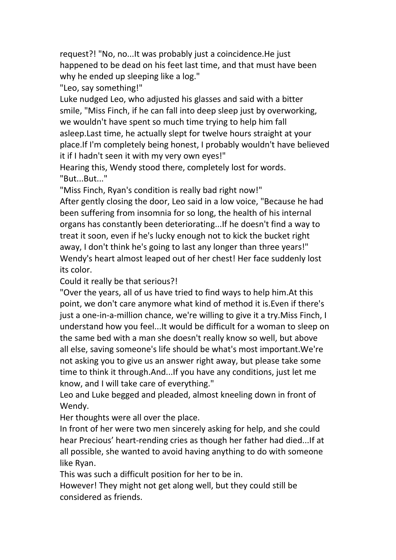request?! "No, no...It was probably just a coincidence.He just happened to be dead on his feet last time, and that must have been why he ended up sleeping like a log."

"Leo, say something!"

Luke nudged Leo, who adjusted his glasses and said with a bitter smile, "Miss Finch, if he can fall into deep sleep just by overworking, we wouldn't have spent so much time trying to help him fall asleep.Last time, he actually slept for twelve hours straight at your place.If I'm completely being honest, I probably wouldn't have believed it if I hadn't seen it with my very own eyes!"

Hearing this, Wendy stood there, completely lost for words. "But...But..."

"Miss Finch, Ryan's condition is really bad right now!"

After gently closing the door, Leo said in a low voice, "Because he had been suffering from insomnia for so long, the health of his internal organs has constantly been deteriorating...If he doesn't find a way to treat it soon, even if he's lucky enough not to kick the bucket right away, I don't think he's going to last any longer than three years!" Wendy's heart almost leaped out of her chest! Her face suddenly lost its color.

Could it really be that serious?!

"Over the years, all of us have tried to find ways to help him.At this point, we don't care anymore what kind of method it is.Even if there's just a one-in-a-million chance, we're willing to give it a try.Miss Finch, I understand how you feel...It would be difficult for a woman to sleep on the same bed with a man she doesn't really know so well, but above all else, saving someone's life should be what's most important.We're not asking you to give us an answer right away, but please take some time to think it through.And...If you have any conditions, just let me know, and I will take care of everything."

Leo and Luke begged and pleaded, almost kneeling down in front of Wendy.

Her thoughts were all over the place.

In front of her were two men sincerely asking for help, and she could hear Precious' heart-rending cries as though her father had died...If at all possible, she wanted to avoid having anything to do with someone like Ryan.

This was such a difficult position for her to be in.

However! They might not get along well, but they could still be considered as friends.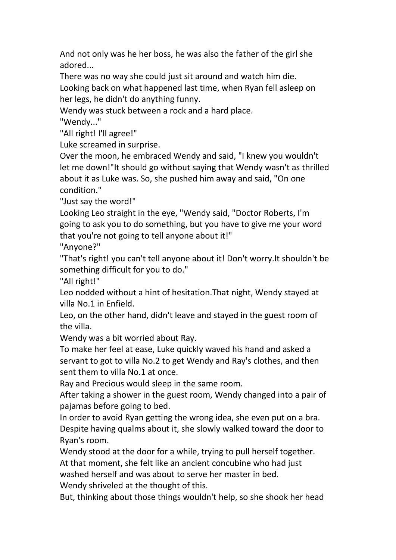And not only was he her boss, he was also the father of the girl she adored...

There was no way she could just sit around and watch him die. Looking back on what happened last time, when Ryan fell asleep on her legs, he didn't do anything funny.

Wendy was stuck between a rock and a hard place.

"Wendy..."

"All right! I'll agree!"

Luke screamed in surprise.

Over the moon, he embraced Wendy and said,"I knew you wouldn't let me down!"It should go without saying that Wendy wasn't as thrilled about it as Luke was. So, she pushed him away and said,"On one condition."

"Just say the word!"

Looking Leo straight in the eye, "Wendy said, "Doctor Roberts, I'm going to ask you to do something, but you have to give me your word that you're not going to tell anyone about it!"

"Anyone?"

"That's right! you can't tell anyone about it! Don't worry.It shouldn't be something difficult for you to do."

"All right!"

Leo nodded without a hint of hesitation.That night, Wendy stayed at villa No.1 in Enfield.

Leo, on the other hand, didn't leave and stayed in the guest room of the villa.

Wendy was a bit worried about Ray.

To make her feel at ease, Luke quickly waved his hand and asked a servant to got to villa No.2 to get Wendy and Ray's clothes, and then sent them to villa No.1 at once.

Ray and Precious would sleep in the same room.

After taking a shower in the guest room, Wendy changed into a pair of pajamas before going to bed.

In order to avoid Ryan getting the wrong idea, she even put on a bra. Despite having qualms about it, she slowly walked toward the door to Ryan's room.<br>Wendy stood at the door for a while, trying to pull herself together.

At that moment, she felt like an ancient concubine who had just

washed herself and was about to serve her master in bed.

Wendy shriveled at the thought of this.

But, thinking about those things wouldn't help, so she shook her head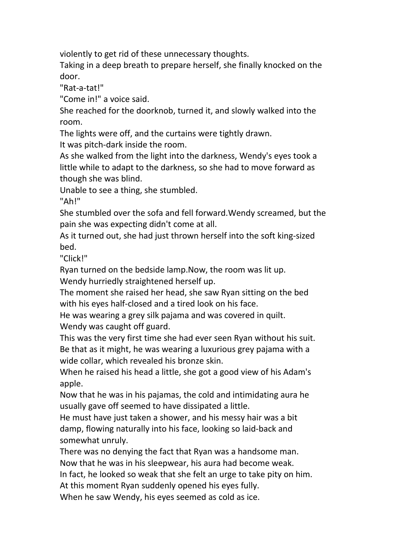violently to get rid of these unnecessary thoughts.

Taking in a deep breath to prepare herself, she finally knocked on the door.

"Rat-a-tat!"

"Come in!" a voice said.

She reached for the doorknob, turned it, and slowly walked into the room.

The lights were off, and the curtains were tightly drawn.

It was pitch-dark inside the room.

As she walked from the light into the darkness, Wendy's eyes took a little while to adapt to the darkness, so she had to move forward as though she was blind.

Unable to see a thing, she stumbled.

"Ah!"

She stumbled over the sofa and fell forward.Wendy screamed, but the pain she was expecting didn't come at all.

As it turned out, she had just thrown herself into the soft king-sized bed.

"Click!"

Ryan turned on the bedside lamp.Now, the room was lit up.

Wendy hurriedly straightened herself up.

The moment she raised her head, she saw Ryan sitting on the bed with his eyes half-closed and a tired look on his face.

He was wearing a grey silk pajama and was covered in quilt. Wendy was caught off guard.

This was the very first time she had ever seen Ryan without his suit. Be that as it might, he was wearing a luxurious grey pajama with a wide collar, which revealed his bronze skin.

When he raised his head a little, she got a good view of his Adam's apple.

Now that he was in his pajamas, the cold and intimidating aura he usually gave off seemed to have dissipated a little.

He must have just taken a shower, and his messy hair was a bit damp, flowing naturally into his face, looking so laid-back and somewhat unruly.

There was no denying the fact that Ryan was a handsome man. Now that he was in his sleepwear, his aura had become weak.

In fact, he looked so weak that she felt an urge to take pity on him.

At this moment Ryan suddenly opened his eyes fully.

When he saw Wendy, his eyes seemed as cold as ice.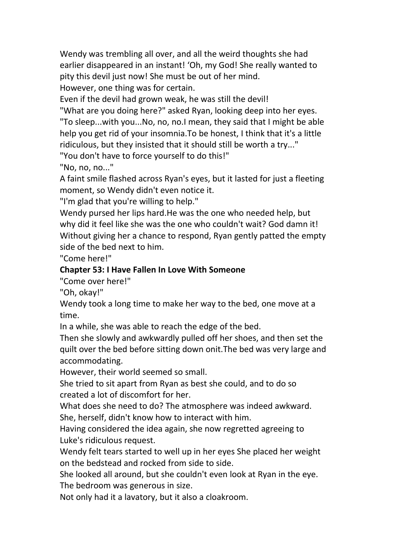Wendy was trembling all over, and all the weird thoughts she had earlier disappeared in an instant! 'Oh, my God! She really wanted to pity this devil just now! She must be out of her mind.

However, one thing was for certain.

Even if the devil had grown weak, he was still the devil!

"What are you doing here?" asked Ryan, looking deep into her eyes. "To sleep...with you...No, no, no.I mean, they said that I might be able help you get rid of your insomnia.To be honest, I think that it's a little ridiculous, but they insisted that it should still be worth a try..."

"You don't have to force yourself to do this!"

"No, no, no..."

A faint smile flashed across Ryan's eyes, but it lasted for just a fleeting moment, so Wendy didn't even notice it.

"I'm glad that you're willing to help."

Wendy pursed her lips hard.He was the one who needed help, but why did it feel like she was the one who couldn't wait? God damn it! Without giving her a chance to respond, Ryan gently patted the empty side of the bed next to him.

"Come here!"

## **Chapter 53:I Have Fallen In Love With Someone**

"Come over here!"

"Oh, okay!"

Wendy took a long time to make her way to the bed, one move at a time.

In a while, she was able to reach the edge of the bed.<br>Then she slowly and awkwardly pulled off her shoes, and then set the quilt over the bed before sitting down onit.The bed was very large and accommodating.

However, their world seemed so small.

She tried to sit apart from Ryan as best she could, and to do so

created a lot of discomfort for her.<br>What does she need to do? The atmosphere was indeed awkward. She, herself, didn't know how to interact with him.

Having considered the idea again, she now regretted agreeing to Luke's ridiculous request.

Wendy felt tears started to well up in her eyes She placed her weight on the bedstead and rocked from side to side.

She looked all around, but she couldn't even look at Ryan in the eye. The bedroom was generous in size.

Not only had it a lavatory, but it also a cloakroom.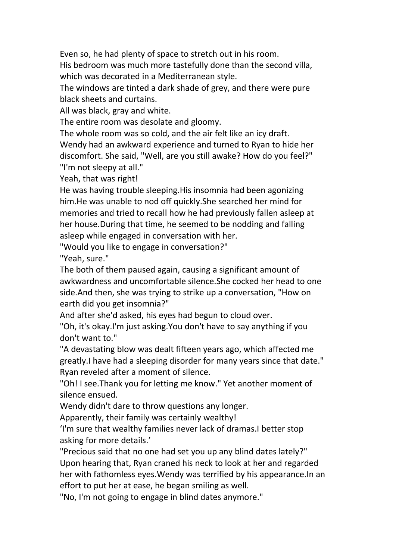Even so, he had plenty of space to stretch out in his room.<br>His bedroom was much more tastefully done than the second villa, which was decorated in a Mediterranean style.

The windows are tinted a dark shade of grey, and there were pure black sheets and curtains.

All was black, gray and white.

The entire room was desolate and gloomy.

The whole room was so cold, and the air felt like an icy draft.

Wendy had an awkward experience and turned to Ryan to hide her discomfort. She said, "Well, are you still awake? How do you feel?" "I'm not sleepy at all."

Yeah, that was right!

He was having trouble sleeping.His insomnia had been agonizing him.He was unable to nod off quickly.She searched her mind for memories and tried to recall how he had previously fallen asleep at her house. During that time, he seemed to be nodding and falling asleep while engaged in conversation with her.

"Would you like to engage in conversation?"

"Yeah, sure."

The both of them paused again, causing a significant amount of awkwardness and uncomfortable silence.She cocked her head to one side.And then, she was trying to strike up a conversation, "How on earth did you get insomnia?"

And after she'd asked, his eyes had begun to cloud over.

"Oh, it's okay.I'm just asking.You don't have to say anything if you don't want to."

"A devastating blow was dealt fifteen years ago, which affected me greatly.I have had a sleeping disorder for many years since that date." Ryan reveled after a moment of silence.

"Oh! I see.Thank you for letting me know." Yet another moment of silence ensued.

Wendy didn't dare to throw questions any longer.

Apparently, their family was certainly wealthy!

'I'm sure that wealthy families never lack of dramas.I better stop asking for more details.'

"Precious said that no one had set you up any blind dates lately?" Upon hearing that, Ryan craned his neck to look at her and regarded her with fathomless eyes.Wendy was terrified by his appearance.In an effort to put her at ease, he began smiling as well.

"No, I'm not going to engage in blind dates anymore."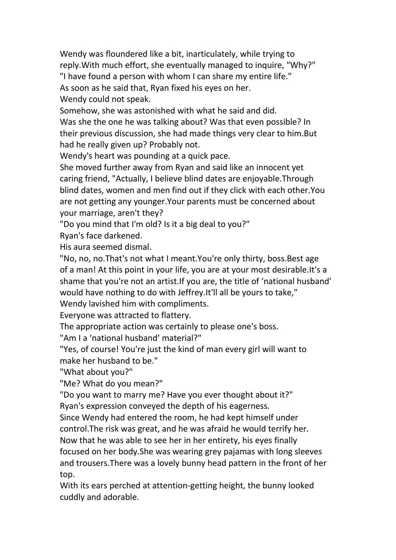Wendy was floundered like a bit, inarticulately, while trying to reply. With much effort, she eventually managed to inquire, "Why?" "I have found a person with whom I can share my entire life." As soon as he said that, Ryan fixed his eyes on her. Wendy could not speak.

Somehow, she was astonished with what he said and did.

Was she the one he was talking about? Was that even possible? In their previous discussion, she had made things very clear to him.But had he really given up? Probably not.

Wendy's heart was pounding at a quick pace.

She moved further away from Ryan and said like an innocent yet caring friend, "Actually, I believe blind dates are enjoyable.Through blind dates, women and men find out if they click with each other.You are not getting any younger.Your parents must be concerned about your marriage, aren't they?

"Do you mind that I'm old? Is it a big deal to you?"

Ryan's face darkened.

His aura seemed dismal.

"No, no, no.That's not what I meant.You're only thirty, boss.Best age of a man! At this point in your life, you are at your most desirable.It's a shame that you're not an artist.If you are, the title of 'national husband' would have nothing to do with Jeffrey.It'll all be yours to take,"

Wendy lavished him with compliments.

Everyone was attracted to flattery.

The appropriate action was certainly to please one's boss.<br>"Am I a 'national husband' material?"

"Yes, of course! You're just the kind of man every girl will want to make her husband to be."

"What about you?"

"Me? What do you mean?"

"Do you want to marry me? Have you ever thought about it?" Ryan's expression conveyed the depth of his eagerness.

Since Wendy had entered the room, he had kept himself under

control.The risk was great, and he was afraid he would terrify her.

Now that he was able to see her in her entirety, his eyes finally

focused on her body.She was wearing grey pajamas with long sleeves and trousers.There was a lovely bunny head pattern in the front of her

top.

With its ears perched at attention-getting height, the bunny looked cuddly and adorable.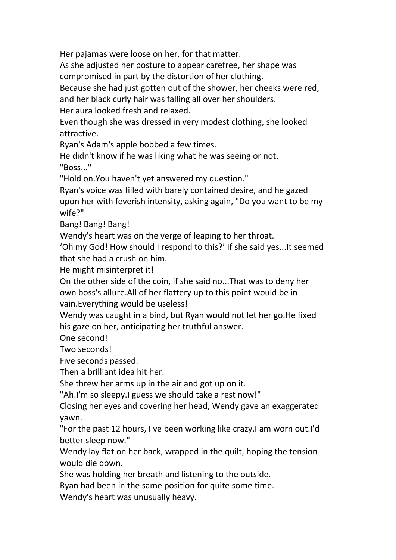Her pajamas were loose on her, for that matter.

As she adjusted her posture to appear carefree, her shape was compromised in part by the distortion of her clothing.

Because she had just gotten out of the shower, her cheeks were red, and her black curly hair was falling all over her shoulders.

Her aura looked fresh and relaxed.

Even though she was dressed in very modest clothing, she looked attractive.

Ryan's Adam's apple bobbed a few times.<br>He didn't know if he was liking what he was seeing or not.<br>"Boss..."

"Hold on.You haven't yet answered my question."

Ryan's voice was filled with barely contained desire, and he gazed upon her with feverish intensity, asking again, "Do you want to be my wife?"

Bang! Bang! Bang!

Wendy's heart was on the verge of leaping to her throat.

'Oh my God! How should I respond to this?' If she said yes...It seemed that she had a crush on him.

He might misinterpret it!

On the other side of the coin, if she said no...That was to deny her own boss's allure.All of her flattery up to this point would be in vain.Everything would be useless!

Wendy was caught in a bind, but Ryan would not let her go.He fixed his gaze on her, anticipating her truthful answer.

One second!

Two seconds!

Five seconds passed.

Then a brilliant idea hit her.

She threw her arms up in the air and got up on it.

"Ah.I'm so sleepy.I guess we should take a rest now!"

Closing her eyes and covering her head, Wendy gave an exaggerated yawn.

"For the past 12 hours, I've been working like crazy.I am worn out.I'd better sleep now."

Wendy lay flat on her back, wrapped in the quilt, hoping the tension would die down.

She was holding her breath and listening to the outside.

Ryan had been in the same position for quite some time.

Wendy's heart was unusually heavy.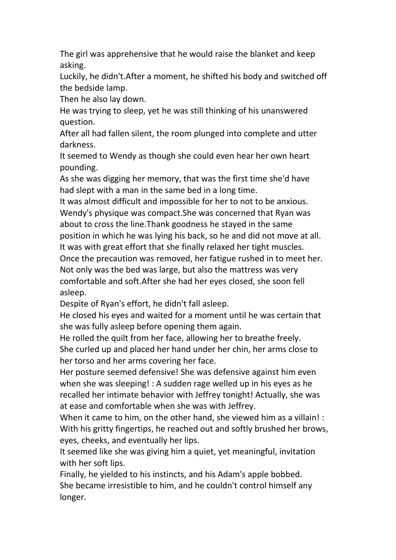The girl was apprehensive that he would raise the blanket and keep asking.

Luckily, he didn't.After a moment, he shifted his body and switched off the bedside lamp.

Then he also lay down.

He was trying to sleep, yet he was still thinking of his unanswered question.

After all had fallen silent, the room plunged into complete and utter darkness.

It seemed to Wendy as though she could even hear her own heart pounding.

As she was digging her memory, that was the first time she'd have had slept with a man in the same bed in a long time.

It was almost difficult and impossible for her to not to be anxious. Wendy's physique was compact.She was concerned that Ryan was about to cross the line.Thank goodness he stayed in the same position in which he was lying his back, so he and did not move at all. It was with great effort that she finally relaxed her tight muscles. Once the precaution was removed, her fatigue rushed in to meet her.

Not only was the bed was large, but also the mattress was very comfortable and soft.After she had her eyes closed, she soon fell asleep.

Despite of Ryan's effort, he didn't fall asleep.

He closed his eyes and waited for a moment until he was certain that she was fully asleep before opening them again.

He rolled the quilt from her face, allowing her to breathe freely. She curled up and placed her hand under her chin, her arms close to her torso and her arms covering her face.

Her posture seemed defensive! She was defensive against him even when she was sleeping! : A sudden rage welled up in his eyes as he recalled her intimate behavior with Jeffrey tonight! Actually, she was at ease and comfortable when she was with Jeffrey.

When it came to him, on the other hand, she viewed him as a villain! : With his gritty fingertips, he reached out and softly brushed her brows, eyes, cheeks, and eventually her lips.

It seemed like she was giving him a quiet, yet meaningful, invitation with her soft lips.

Finally, he yielded to his instincts, and his Adam's apple bobbed. She became irresistible to him, and he couldn't control himself any longer.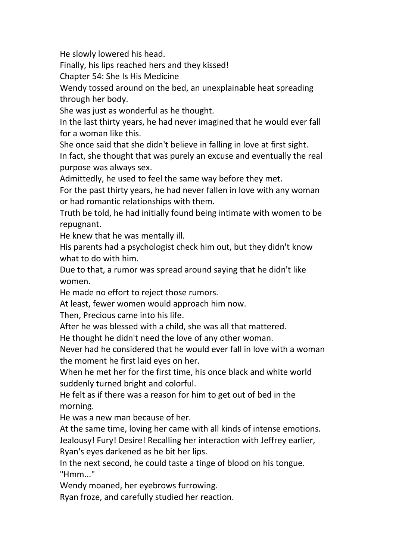He slowly lowered his head.

Finally, his lips reached hers and they kissed!

Chapter 54: She Is His Medicine

Wendy tossed around on the bed, an unexplainable heat spreading through her body.

She was just as wonderful as he thought.

In the last thirty years, he had never imagined that he would ever fall for a woman like this.

She once said that she didn't believe in falling in love at first sight.

In fact, she thought that was purely an excuse and eventually the real purpose was always sex.

Admittedly, he used to feel the same way before they met.

For the past thirty years, he had never fallen in love with any woman or had romantic relationships with them.

Truth be told, he had initially found being intimate with women to be repugnant.

He knew that he was mentally ill.

His parents had a psychologist check him out, but they didn't know what to do with him.

Due to that, a rumor was spread around saying that he didn't like women.

He made no effort to reject those rumors.

At least, fewer women would approach him now.

Then, Precious came into his life.

After he was blessed with a child, she was all that mattered.

He thought he didn't need the love of any other woman.

Never had he considered that he would ever fall in love with a woman

the moment he first laid eyes on her.<br>When he met her for the first time, his once black and white world suddenly turned bright and colorful.

He felt as if there was a reason for him to get out of bed in the morning.

He was a new man because of her.

At the same time, loving her came with all kinds of intense emotions. Jealousy! Fury! Desire! Recalling her interaction with Jeffrey earlier,

Ryan's eyes darkened as he bit her lips.

In the next second, he could taste a tinge of blood on his tongue. "Hmm..."

Wendy moaned, her eyebrows furrowing.

Ryan froze, and carefully studied her reaction.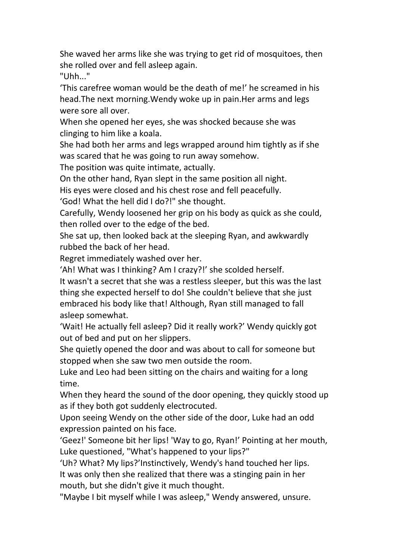She waved her arms like she was trying to get rid of mosquitoes, then she rolled over and fell asleep again.

"Uhh..."

'This carefree woman would be the death of me!' he screamed in his head.The next morning.Wendy woke up in pain.Her arms and legs were sore all over.

When she opened her eyes, she was shocked because she was clinging to him like a koala.

She had both her arms and legs wrapped around him tightly as if she was scared that he was going to run away somehow.

The position was quite intimate, actually.

On the other hand, Ryan slept in the same position all night.

His eyes were closed and his chest rose and fell peacefully.

'God! What the hell did I do?!" she thought.

Carefully, Wendy loosened her grip on his body as quick as she could, then rolled over to the edge of the bed.<br>She sat up, then looked back at the sleeping Ryan, and awkwardly

rubbed the back of her head.

Regret immediately washed over her.

'Ah! What was I thinking? Am I crazy?!' she scolded herself.

It wasn't a secret that she was a restless sleeper, but this was the last thing she expected herself to do! She couldn't believe that she just embraced his body like that! Although, Ryan still managed to fall asleep somewhat.

'Wait! He actually fell asleep? Did it really work?' Wendy quickly got out of bed and put on her slippers.<br>She quietly opened the door and was about to call for someone but

stopped when she saw two men outside the room.

Luke and Leo had been sitting on the chairs and waiting for a long time.

When they heard the sound of the door opening, they quickly stood up as if they both got suddenly electrocuted.

Upon seeing Wendy on the other side of the door, Luke had an odd expression painted on his face.

'Geez!' Someone bit her lips! 'Way to go, Ryan!' Pointing at her mouth, Luke questioned, "What's happened to your lips?"

'Uh? What? My lips?'Instinctively, Wendy's hand touched her lips.

It was only then she realized that there was a stinging pain in her mouth, but she didn't give it much thought.

"Maybe I bit myself while I was asleep," Wendy answered, unsure.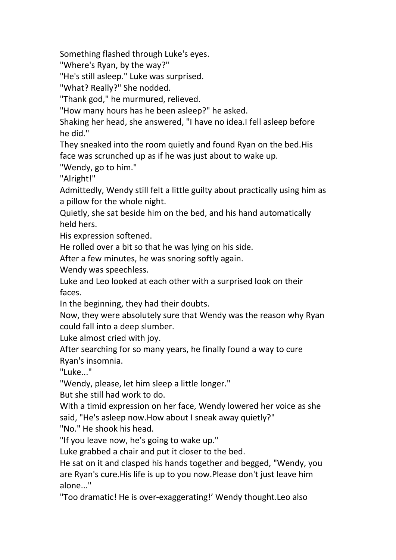Something flashed through Luke's eyes.

"Where's Ryan, by the way?"

"He's still asleep." Luke was surprised.

"What? Really?" She nodded.

"Thank god," he murmured, relieved.

"How many hours has he been asleep?" he asked.

Shaking her head, she answered, "I have no idea.I fell asleep before he did."

They sneaked into the room quietly and found Ryan on the bed.His face was scrunched up as if he was just about to wake up.

"Wendy, go to him."

"Alright!"

Admittedly, Wendy still felt a little guilty about practically using him as a pillow for the whole night.

Quietly, she sat beside him on the bed, and his hand automatically held hers.

His expression softened.

He rolled over a bit so that he was lying on his side.

After a few minutes, he was snoring softly again.

Wendy was speechless.

Luke and Leo looked at each other with a surprised look on their faces.

In the beginning, they had their doubts.

Now, they were absolutely sure that Wendy was the reason why Ryan could fall into a deep slumber.

Luke almost cried with joy.

After searching for so many years, he finally found a way to cure Ryan's insomnia.

"Luke..."

"Wendy, please, let him sleep a little longer."

But she still had work to do.

With a timid expression on her face, Wendy lowered her voice as she said, "He's asleep now.How about I sneak away quietly?"

"No." He shook his head.

"If you leave now, he's going to wake up."

Luke grabbed a chair and put it closer to the bed.

He sat on it and clasped his hands together and begged, "Wendy, you are Ryan's cure.His life is up to you now.Please don't just leave him alone..."

"Too dramatic! He is over-exaggerating!' Wendy thought.Leo also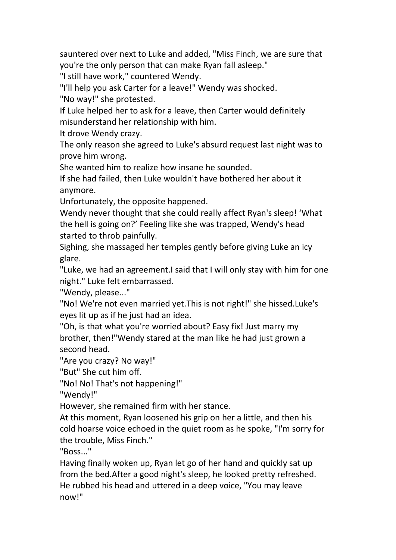sauntered over next to Luke and added, "Miss Finch, we are sure that you're the only person that can make Ryan fall asleep."

"I still have work," countered Wendy.

"I'll help you ask Carter for a leave!" Wendy was shocked.

"No way!" she protested.

If Luke helped her to ask for a leave, then Carter would definitely misunderstand her relationship with him.

It drove Wendy crazy.

The only reason she agreed to Luke's absurd request last night was to prove him wrong.

She wanted him to realize how insane he sounded.

If she had failed, then Luke wouldn't have bothered her about it anymore.

Unfortunately, the opposite happened.

Wendy never thought that she could really affect Ryan's sleep! 'What the hell is going on?' Feeling like she was trapped, Wendy's head started to throb painfully.

Sighing, she massaged her temples gently before giving Luke an icy glare.

"Luke, we had an agreement.I said that I will only stay with him for one night." Luke felt embarrassed.

"Wendy, please..."

"No! We're not even married yet.This is not right!" she hissed.Luke's eyes lit up as if he just had an idea.

"Oh, is that what you're worried about? Easy fix! Just marry my brother, then!"Wendy stared at the man like he had just grown a second head.

"Are you crazy? No way!"

"But" She cut him off.

"No! No! That's not happening!"

"Wendy!"

However, she remained firm with her stance.

At this moment, Ryan loosened his grip on her a little, and then his cold hoarse voice echoed in the quiet room as he spoke, "I'm sorry for the trouble, Miss Finch."

"Boss..."

Having finally woken up, Ryan let go of her hand and quickly sat up from the bed.After a good night's sleep, he looked pretty refreshed. He rubbed his head and uttered in a deep voice, "You may leave now!"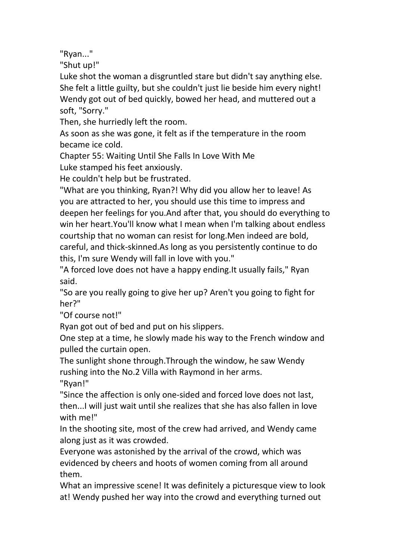"Ryan..."

"Shut up!"

Luke shot the woman a disgruntled stare but didn't say anything else. She felt a little guilty, but she couldn't just lie beside him every night! Wendy got out of bed quickly, bowed her head, and muttered out a soft, "Sorry."

Then, she hurriedly left the room.

As soon as she was gone, it felt as if the temperature in the room became ice cold.

Chapter 55: Waiting Until She Falls In Love With Me

Luke stamped his feet anxiously.

He couldn't help but be frustrated.

"What are you thinking, Ryan?! Why did you allow her to leave! As you are attracted to her, you should use this time to impress and deepen her feelings for you.And after that, you should do everything to win her heart. You'll know what I mean when I'm talking about endless courtship that no woman can resist for long.Men indeed are bold, careful, and thick-skinned.As long as you persistently continue to do this, I'm sure Wendy will fall in love with you."

"A forced love does not have a happy ending.It usually fails," Ryan said.

"So are you really going to give her up? Aren't you going to fight for her?"

"Of course not!"

Ryan got out of bed and put on his slippers.

One step at a time, he slowly made his way to the French window and pulled the curtain open.

The sunlight shone through.Through the window, he saw Wendy rushing into the No.2 Villa with Raymond in her arms.

"Ryan!"

"Since the affection is only one-sided and forced love does not last, then...I will just wait until she realizes that she has also fallen in love with me!"

In the shooting site, most of the crew had arrived, and Wendy came along just as it was crowded.

Everyone was astonished by the arrival of the crowd, which was evidenced by cheers and hoots of women coming from all around them.

What an impressive scene! It was definitely a picturesque view to look at! Wendy pushed her way into the crowd and everything turned out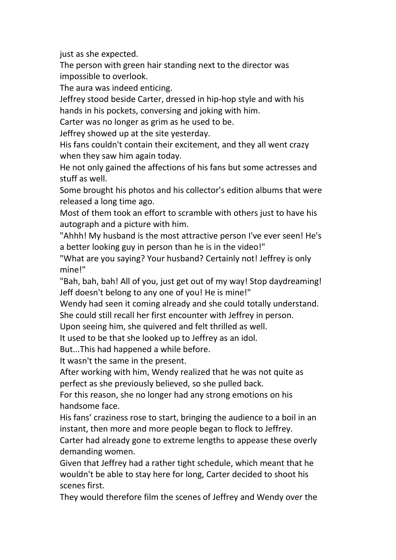just as she expected.

The person with green hair standing next to the director was impossible to overlook.

The aura was indeed enticing.

Jeffrey stood beside Carter, dressed in hip-hop style and with his hands in his pockets, conversing and joking with him.

Carter was no longer as grim as he used to be.

Jeffrey showed up at the site yesterday.

His fans couldn't contain their excitement, and they all went crazy when they saw him again today.

He not only gained the affections of his fans but some actresses and stuff as well.

Some brought his photos and his collector's edition albums that were released a long time ago.

Most of them took an effort to scramble with others just to have his autograph and a picture with him.

"Ahhh! My husband is the most attractive person I've ever seen! He's a better looking guy in person than he is in the video!"

"What are you saying? Your husband? Certainly not! Jeffrey is only mine!"

"Bah, bah, bah! All of you, just get out of my way! Stop daydreaming! Jeff doesn't belong to any one of you! He is mine!"

Wendy had seen it coming already and she could totally understand. She could still recall her first encounter with Jeffrey in person.

Upon seeing him, she quivered and felt thrilled as well.

It used to be that she looked up to Jeffrey as an idol.

But...This had happened a while before.

It wasn't the same in the present.<br>After working with him, Wendy realized that he was not quite as perfect as she previously believed, so she pulled back.

For this reason, she no longer had any strong emotions on his handsome face.

His fans' craziness rose to start, bringing the audience to a boil in an instant, then more and more people began to flock to Jeffrey.

Carter had already gone to extreme lengths to appease these overly demanding women.

Given that Jeffrey had a rather tight schedule, which meant that he wouldn't be able to stay here for long, Carter decided to shoot his scenes first.

They would therefore film the scenes of Jeffrey and Wendy over the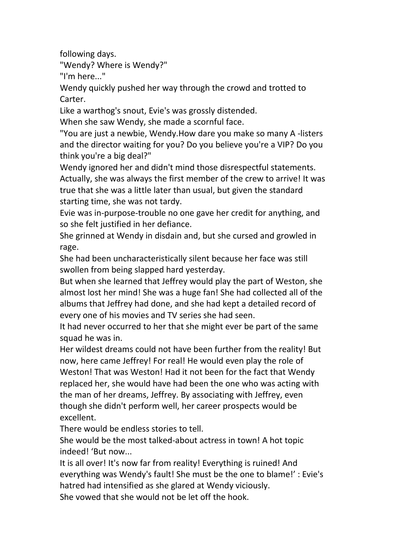following days.

"Wendy? Where is Wendy?"

"I'm here..."

Wendy quickly pushed her way through the crowd and trotted to Carter.

Like a warthog's snout, Evie's was grossly distended.

When she saw Wendy, she made a scornful face.

"You are just a newbie, Wendy.How dare you make so many A -listers and the director waiting for you? Do you believe you're a VIP? Do you think you're a big deal?"

Wendy ignored her and didn't mind those disrespectful statements. Actually, she was always the first member of the crew to arrive! It was true that she was a little later than usual, but given the standard starting time, she was not tardy.

Evie was in-purpose-trouble no one gave her credit for anything, and so she felt justified in her defiance.

She grinned at Wendy in disdain and, but she cursed and growled in rage.

She had been uncharacteristically silent because her face was still swollen from being slapped hard yesterday.

But when she learned that Jeffrey would play the part of Weston, she almost lost her mind! She was a huge fan! She had collected all of the albums that Jeffrey had done, and she had kept a detailed record of every one of his movies and TV series she had seen.

It had never occurred to her that she might ever be part of the same squad he was in.

Her wildest dreams could not have been further from the reality! But now, here came Jeffrey! For real! He would even play the role of Weston! That was Weston! Had it not been for the fact that Wendy replaced her, she would have had been the one who was acting with the man of her dreams, Jeffrey. By associating with Jeffrey, even though she didn't perform well, her career prospects would be excellent.

There would be endless stories to tell.

She would be the most talked-about actress in town! A hot topic indeed! 'But now...

It is all over! It's now far from reality! Everything is ruined! And everything was Wendy's fault! She must be the one to blame!' : Evie's hatred had intensified as she glared at Wendy viciously.

She vowed that she would not be let off the hook.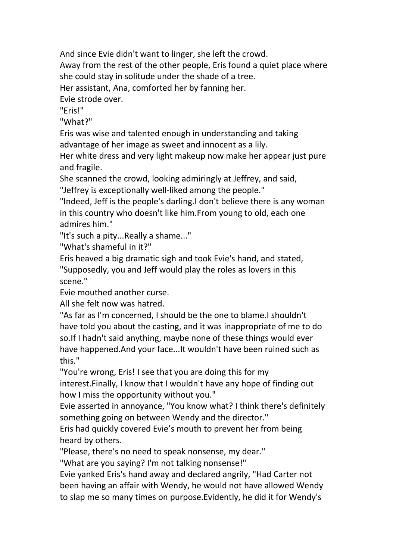And since Evie didn't want to linger, she left the crowd. Away from the rest of the other people, Eris found a quiet place where she could stay in solitude under the shade of a tree. Her assistant, Ana, comforted her by fanning her. Evie strode over. "Eris!"

"What?"

Eris was wise and talented enough in understanding and taking advantage of her image as sweet and innocent as a lily.

Her white dress and very light makeup now make her appear just pure and fragile.

She scanned the crowd, looking admiringly at Jeffrey, and said,

"Jeffrey is exceptionally well-liked among the people."

"Indeed, Jeff is the people's darling.I don't believe there is any woman in this country who doesn't like him.From young to old, each one admires him."

"It's such a pity...Really a shame..."

"What's shameful in it?"

Eris heaved a big dramatic sigh and took Evie's hand, and stated,

"Supposedly, you and Jeff would play the roles as lovers in this scene."

Evie mouthed another curse.

All she felt now was hatred.

"As far as I'm concerned, I should be the one to blame.I shouldn't have told you about the casting, and it was inappropriate of me to do so.If I hadn't said anything, maybe none of these things would ever have happened.And your face...It wouldn't have been ruined such as this."

"You're wrong, Eris! I see that you are doing this for my interest.Finally, I know that I wouldn't have any hope of finding out how I miss the opportunity without you."

Evie asserted in annoyance, "You know what? I think there's definitely something going on between Wendy and the director."

Eris had quickly covered Evie's mouth to prevent her from being heard by others.

"Please, there's no need to speak nonsense, my dear."

"What are you saying? I'm not talking nonsense!"

Evie yanked Eris's hand away and declared angrily, "Had Carter not been having an affair with Wendy, he would not have allowed Wendy to slap me so many times on purpose.Evidently, he did it for Wendy's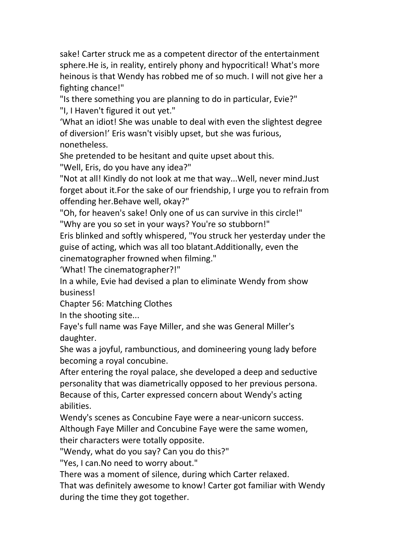sake! Carter struck me as a competent director of the entertainment sphere.He is, in reality, entirely phony and hypocritical! What's more heinous is that Wendy has robbed me of so much. I will not give her a fighting chance!"

"Is there something you are planning to do in particular, Evie?" "I, I Haven't figured it out yet."

'What an idiot! She was unable to deal with even the slightest degree of diversion!' Eris wasn't visibly upset, but she was furious, nonetheless.

She pretended to be hesitant and quite upset about this.

"Well, Eris, do you have any idea?"

"Not at all! Kindly do not look at me that way...Well, never mind.Just forget about it.For the sake of our friendship, I urge you to refrain from offending her.Behave well, okay?"

"Oh, for heaven's sake! Only one of us can survive in this circle!" "Why are you so set in your ways? You're so stubborn!"

Eris blinked and softly whispered, "You struck her yesterday under the guise of acting, which was all too blatant.Additionally, even the cinematographer frowned when filming."

'What! The cinematographer?!"

In a while, Evie had devised a plan to eliminate Wendy from show business!

Chapter 56: Matching Clothes

In the shooting site...

Faye's full name was Faye Miller, and she was General Miller's daughter.

She was a joyful, rambunctious, and domineering young lady before becoming a royal concubine.

After entering the royal palace, she developed a deep and seductive personality that was diametrically opposed to her previous persona. Because of this, Carter expressed concern about Wendy's acting abilities.

Wendy's scenes as Concubine Faye were a near-unicorn success.

Although Faye Miller and Concubine Faye were the same women,

their characters were totally opposite.

"Wendy, what do you say? Can you do this?"

"Yes, I can.No need to worry about."

There was a moment of silence, during which Carter relaxed.

That was definitely awesome to know! Carter got familiar with Wendy during the time they got together.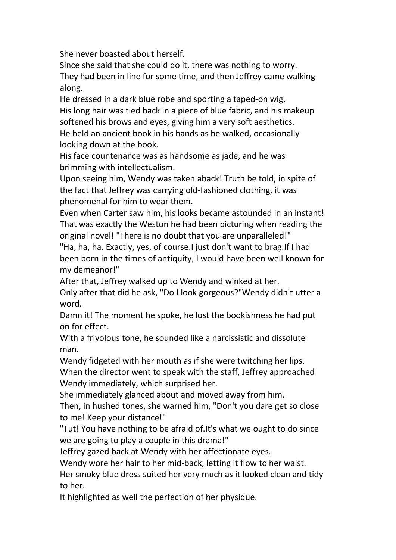She never boasted about herself.

Since she said that she could do it, there was nothing to worry. They had been in line for some time, and then Jeffrey came walking along.

He dressed in a dark blue robe and sporting a taped-on wig. His long hair was tied back in a piece of blue fabric, and his makeup softened his brows and eyes, giving him a very soft aesthetics. He held an ancient book in his hands as he walked, occasionally looking down at the book.

His face countenance was as handsome as jade, and he was brimming with intellectualism.

Upon seeing him, Wendy was taken aback! Truth be told, in spite of the fact that Jeffrey was carrying old-fashioned clothing, it was phenomenal for him to wear them.

Even when Carter saw him, his looks became astounded in an instant! That was exactly the Weston he had been picturing when reading the original novel! "There is no doubt that you are unparalleled!"

"Ha, ha, ha. Exactly, yes, of course.I just don't want to brag.If I had been born in the times of antiquity, I would have been well known for my demeanor!"

After that, Jeffrey walked up to Wendy and winked at her.

Only after that did he ask, "Do I look gorgeous?"Wendy didn't utter a word.

Damn it! The moment he spoke, he lost the bookishness he had put on for effect.

With a frivolous tone, he sounded like a narcissistic and dissolute man.

Wendy fidgeted with her mouth as if she were twitching her lips.

When the director went to speak with the staff, Jeffrey approached Wendy immediately, which surprised her.

She immediately glanced about and moved away from him.

Then, in hushed tones, she warned him, "Don't you dare get so close to me! Keep your distance!"

"Tut! You have nothing to be afraid of.It'swhat we ought to do since we are going to play a couple in this drama!"

Jeffrey gazed back at Wendy with her affectionate eyes.

Wendy wore her hair to her mid-back, letting it flow to her waist.

Her smoky blue dress suited her very much as it looked clean and tidy to her.

It highlighted as well the perfection of her physique.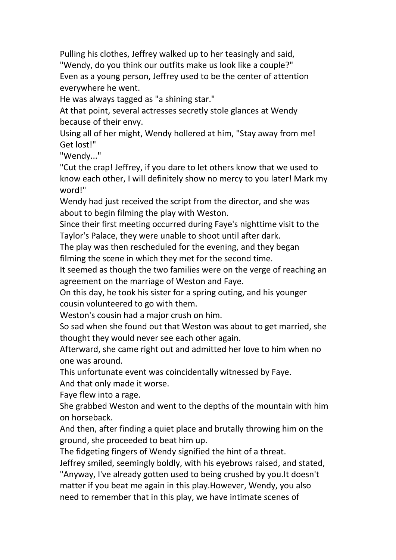Pulling his clothes, Jeffrey walked up to her teasingly and said, "Wendy, do you think our outfits make us look like a couple?" Even as a young person, Jeffrey used to be the center of attention everywhere he went.

He was always tagged as "a shining star."

At that point, several actresses secretly stole glances at Wendy because of their envy.

Using all of her might, Wendy hollered at him, "Stay away from me! Get lost!"

"Wendy..."

"Cut the crap! Jeffrey, if you dare to let others know that we used to know each other, I will definitely show no mercy to you later! Mark my word!"

Wendy had just received the script from the director, and she was about to begin filming the play with Weston.

Since their first meeting occurred during Faye's nighttime visit to the Taylor's Palace, they were unable to shoot until after dark.

The play was then rescheduled for the evening, and they began filming the scene in which they met for the second time.

It seemed as though the two families were on the verge of reaching an agreement on the marriage of Weston and Faye.

On this day, he took his sister for a spring outing, and his younger cousin volunteered to go with them.

Weston's cousin had a major crush on him.

So sad when she found out that Weston was about to get married, she thought they would never see each other again.

Afterward, she came right out and admitted her love to him when no one was around.

This unfortunate event was coincidentally witnessed by Faye.

And that only made it worse.

Faye flew into a rage.

She grabbed Weston and went to the depths of the mountain with him on horseback.

And then, after finding a quiet place and brutally throwing him on the ground, she proceeded to beat him up.

The fidgeting fingers of Wendy signified the hint of a threat.

Jeffrey smiled, seemingly boldly, with his eyebrows raised, and stated,

"Anyway, I've already gotten used to being crushed by you.It doesn't matter if you beat me again in this play.However, Wendy, you also need to remember that in this play, we have intimate scenes of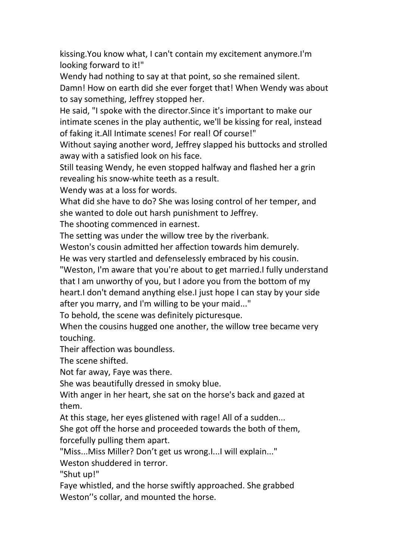kissing.You know what, I can't contain my excitement anymore.I'm looking forward to it!"

Wendy had nothing to say at that point, so she remained silent. Damn! How on earth did she ever forget that! When Wendy was about to say something, Jeffrey stopped her.

He said, "I spoke with the director.Since it's important to make our intimate scenes in the play authentic, we'll be kissing for real, instead of faking it.All Intimate scenes! For real! Of course!"

Without saying another word, Jeffrey slapped his buttocks and strolled away with a satisfied look on his face.

Still teasing Wendy, he even stopped halfway and flashed her a grin revealing his snow-white teeth as a result.

Wendy was at a loss for words.

What did she have to do? She was losing control of her temper, and she wanted to dole out harsh punishment to Jeffrey.

The shooting commenced in earnest.

The setting was under the willow tree by the riverbank.

Weston's cousin admitted her affection towards him demurely.

He was very startled and defenselessly embraced by his cousin.

"Weston, I'm aware that you're about to get married.I fully understand that I am unworthy of you, but I adore you from the bottom of my heart.I don't demand anything else.I just hope I can stay by your side after you marry, and I'm willing to be your maid..."

To behold, the scene was definitely picturesque.

When the cousins hugged one another, the willow tree became very touching.

Their affection was boundless.

The scene shifted.

Not far away, Faye was there.<br>She was beautifully dressed in smoky blue.

With anger in her heart, she sat on the horse's back and gazed at them.

At this stage, her eyes glistened with rage! All of a sudden...

She got off the horse and proceeded towards the both of them, forcefully pulling them apart.

"Miss...Miss Miller? Don't get us wrong.I...I will explain..."

Weston shuddered in terror.

"Shut up!"

Faye whistled, and the horse swiftly approached. She grabbed Weston''s collar, and mounted the horse.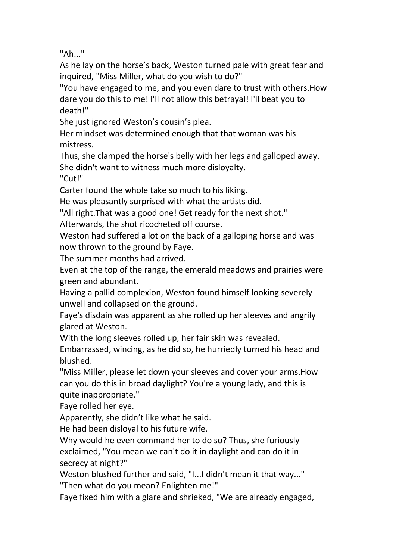"Ah..."

As he lay on the horse's back, Weston turned pale with great fear and inquired, "Miss Miller, what do you wish to do?"

"You have engaged to me, and you even dare to trust with others.How dare you do this to me! I'll not allow this betrayal! I'll beat you to death!"

She just ignored Weston's cousin's plea.

Her mindset was determined enough that that woman was his mistress.

Thus, she clamped the horse's belly with her legs and galloped away. She didn't want to witness much more disloyalty.

"Cut!"

Carter found the whole take so much to his liking.<br>He was pleasantly surprised with what the artists did.

"All right.That was a good one! Get ready for the next shot."

Afterwards, the shot ricocheted off course.

Weston had suffered a lot on the back of a galloping horse and was now thrown to the ground by Faye.

The summer months had arrived.

Even at the top of the range, the emerald meadows and prairies were green and abundant.

Having a pallid complexion, Weston found himself looking severely unwell and collapsed on the ground.

Faye's disdain was apparent as she rolled up her sleeves and angrily glared at Weston.

With the long sleeves rolled up, her fair skin was revealed.

Embarrassed, wincing, as he did so, he hurriedly turned his head and blushed.

"Miss Miller, please let down your sleeves and cover your arms.How can you do this in broad daylight? You're a young lady, and this is quite inappropriate."

Faye rolled her eye.

Apparently, she didn't like what he said.

He had been disloyal to his future wife.

Why would he even command her to do so? Thus, she furiously exclaimed, "You mean we can't do it in daylight and can do it in secrecy at night?"

Weston blushed further and said, "I...I didn't mean it that way..." "Then what do you mean? Enlighten me!"

Faye fixed him with a glare and shrieked, "We are already engaged,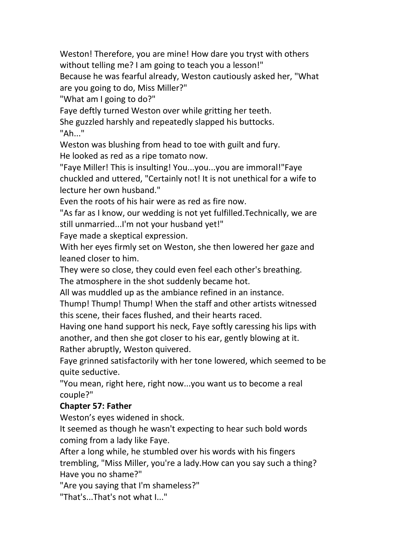Weston! Therefore, you are mine! How dare you tryst with others without telling me? I am going to teach you a lesson!"

Because he was fearful already, Weston cautiously asked her, "What are you going to do, Miss Miller?"

"What am I going to do?"

Faye deftly turned Weston over while gritting her teeth.

She guzzled harshly and repeatedly slapped his buttocks.

"Ah..."

Weston was blushing from head to toe with guilt and fury. He looked as red as a ripe tomato now.

"Faye Miller! This is insulting! You...you...you are immoral!"Faye chuckled and uttered,"Certainly not! It is not unethical for a wife to lecture her own husband."

Even the roots of his hair were as red as fire now.

"As far as I know, our wedding is not yet fulfilled.Technically, we are still unmarried...I'm not your husband yet!"

Faye made a skeptical expression.

With her eyes firmly set on Weston, she then lowered her gaze and leaned closer to him.

They were so close, they could even feel each other's breathing. The atmosphere in the shot suddenly became hot.

All was muddled up as the ambiance refined in an instance.

Thump! Thump! Thump! When the staff and other artists witnessed this scene, their faces flushed, and their hearts raced.

Having one hand support his neck, Faye softly caressing his lips with another, and then she got closer to his ear, gently blowing at it. Rather abruptly, Weston quivered.

Faye grinned satisfactorily with her tone lowered, which seemed to be quite seductive.

"You mean, right here, right now...you want us to become a real couple?"

## **Chapter 57:Father**

Weston's eyes widened in shock.

It seemed as though he wasn't expecting to hear such bold words coming from a lady like Faye.

After a long while, he stumbled over his words with his fingers trembling, "Miss Miller, you're a lady.How can you say such a thing? Have you no shame?"

"Are you saying that I'm shameless?"

"That's...That's not what I..."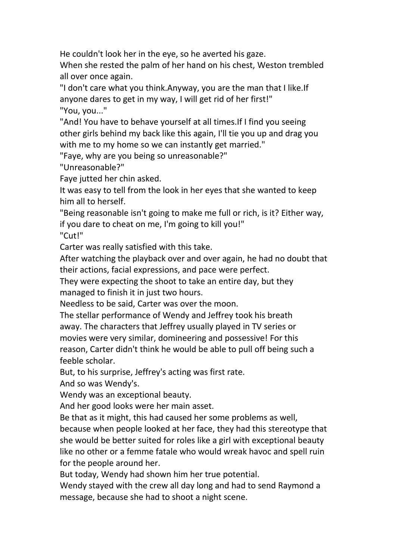He couldn't look her in the eye, so he averted his gaze.

When she rested the palm of her hand on his chest, Weston trembled all over once again.

"I don't care what you think.Anyway, you are the man that I like.If anyone dares to get in my way, I will get rid of her first!" "You, you..."

"And! You have to behave yourself at all times.If I find you seeing other girls behind my back like this again, I'll tie you up and drag you with me to my home so we can instantly get married."

"Faye, why are you being so unreasonable?"

"Unreasonable?"

Faye jutted her chin asked.

It was easy to tell from the look in her eyes that she wanted to keep him all to herself.

"Being reasonable isn't going to make me full or rich, is it? Either way, if you dare to cheat on me, I'm going to kill you!"

"Cut!"

Carter was really satisfied with this take.

After watching the playback over and over again, he had no doubt that their actions, facial expressions, and pace were perfect.

They were expecting the shoot to take an entire day, but they managed to finish it in just two hours.

Needless to be said, Carter was over the moon.

The stellar performance of Wendy and Jeffrey took his breath away. The characters that Jeffrey usually played in TV series or movies were very similar, domineering and possessive! For this reason, Carter didn't think he would be able to pull off being such a feeble scholar.

But, to his surprise, Jeffrey's acting was first rate.

And so was Wendy's.

Wendy was an exceptional beauty.

And her good looks were her main asset.

Be that as it might, this had caused her some problems as well,

because when people looked at her face, they had this stereotype that she would be better suited for roles like a girl with exceptional beauty like no other or a femme fatale who would wreak havoc and spell ruin for the people around her.

But today, Wendy had shown him her true potential.

Wendy stayed with the crew all day long and had to send Raymond a message, because she had to shoot a night scene.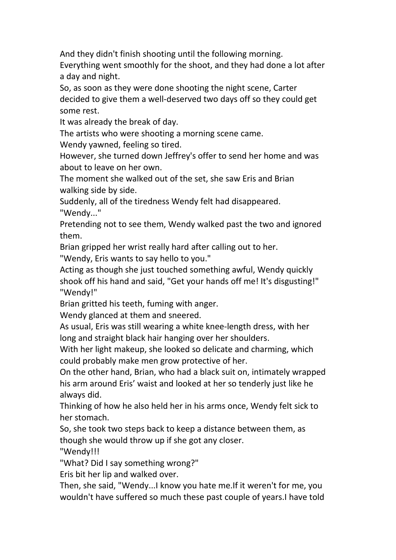And they didn't finish shooting until the following morning.

Everything went smoothly for the shoot, and they had done a lot after a day and night.

So, as soon as they were done shooting the night scene, Carter decided to give them a well-deserved two days off so they could get some rest.

It was already the break of day.

The artists who were shooting a morning scene came.

Wendy yawned, feeling so tired.

However, she turned down Jeffrey's offer to send her home and was about to leave on her own.

The moment she walked out of the set, she saw Eris and Brian walking side by side.

Suddenly, all of the tiredness Wendy felt had disappeared. "Wendy..."

Pretending not to see them, Wendy walked past the two and ignored them.

Brian gripped her wrist really hard after calling out to her.

"Wendy, Eris wants to say hello to you."

Acting as though she just touched something awful, Wendy quickly shook off his hand and said, "Get your hands off me! It's disgusting!" "Wendy!"

Brian gritted his teeth, fuming with anger.

Wendy glanced at them and sneered.

As usual, Eris was still wearing a white knee-length dress, with her long and straight black hair hanging over her shoulders.

With her light makeup, she looked so delicate and charming, which could probably make men grow protective of her.

On the other hand, Brian, who had a black suit on, intimately wrapped his arm around Eris' waist and looked at her so tenderly just like he always did.

Thinking of how he also held her in his arms once, Wendy felt sick to her stomach.

So, she took two steps back to keep a distance between them, as though she would throw up if she got any closer.

"Wendy!!!

"What? Did I say something wrong?"

Eris bit her lip and walked over.

Then, she said, "Wendy...I know you hate me.If it weren't for me, you wouldn't have suffered so much these past couple of years.I have told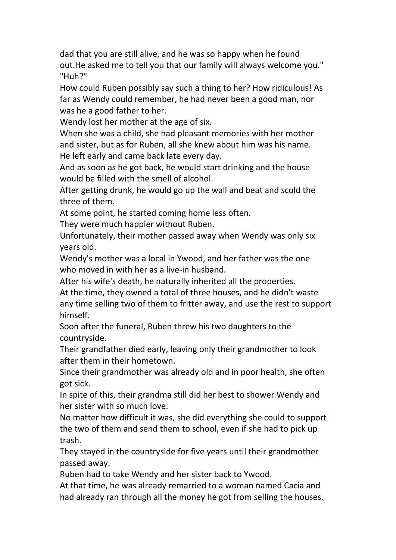dad that you are still alive, and he was so happy when he found out.He asked me to tell you that our family will always welcome you." "Huh?"

How could Ruben possibly say such a thing to her? How ridiculous! As far as Wendy could remember, he had never been a good man, nor was he a good father to her.

Wendy lost her mother at the age of six.

When she was a child, she had pleasant memories with her mother and sister, but as for Ruben, all she knew about him was his name. He left early and came back late every day.

And as soon as he got back, he would start drinking and the house would be filled with the smell of alcohol.

After getting drunk, he would go up the wall and beat and scold the three of them.

At some point, he started coming home less often.<br>They were much happier without Ruben.

Unfortunately, their mother passed away when Wendy was only six years old.

Wendy's mother was a local in Ywood, and her father was the one who moved in with her as a live-in husband.

After his wife's death, he naturally inherited all the properties.

At the time, they owned a total of three houses, and he didn't waste any time selling two of them to fritter away, and use the rest to support himself.

Soon after the funeral, Ruben threw his two daughters to the countryside.

Their grandfather died early, leaving only their grandmother to look after them in their hometown.

Since their grandmother was already old and in poor health, she often got sick.

In spite of this, their grandma still did her best to shower Wendy and her sister with so much love.

No matter how difficult it was, she did everything she could to support the two of them and send them to school, even if she had to pick up trash.

They stayed in the countryside for five years until their grandmother passed away.

Ruben had to take Wendy and her sister back to Ywood.

At that time, he was already remarried to a woman named Cacia and had already ran through all the money he got from selling the houses.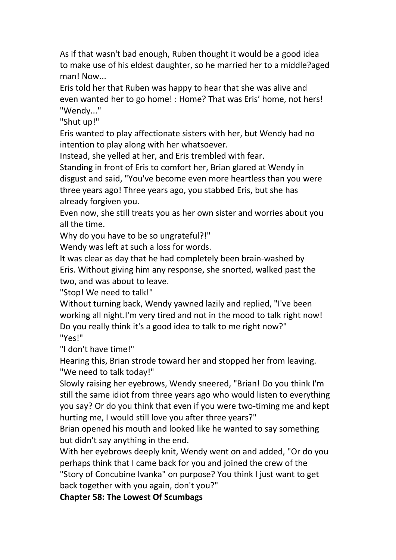As if that wasn't bad enough, Ruben thought it would be a good idea to make use of his eldest daughter, so he married her to a middle?aged man! Now...

Eris told her that Ruben was happy to hear that she was alive and even wanted her to go home! : Home? That was Eris' home, not hers! "Wendy..."

"Shut up!"

Eris wanted to play affectionate sisters with her, but Wendy had no intention to play along with her whatsoever.

Instead, she yelled at her, and Eris trembled with fear.

Standing in front of Eris to comfort her, Brian glared at Wendy in disgust and said, "You've become even more heartless than you were three years ago! Three years ago, you stabbed Eris, but she has already forgiven you.

Even now, she still treats you as her own sister and worries about you all the time.

Why do you have to be so ungrateful?!"

Wendy was left at such a loss for words.

It was clear as day that he had completely been brain-washed by Eris. Without giving him any response, she snorted, walked past the two, and was about to leave.

"Stop! We need to talk!"

Without turning back, Wendy yawned lazily and replied, "I've been working all night.I'm very tired and not in the mood to talk right now! Do you really think it's a good idea to talk to me right now?" "Yes!"

"I don't have time!"

Hearing this, Brian strode toward her and stopped her from leaving. "We need to talk today!"

Slowly raising her eyebrows, Wendy sneered, "Brian! Do you think I'm still the same idiot from three years ago who would listen to everything you say? Or do you think that even if you were two-timing me and kept hurting me, I would still love you after three years?"

Brian opened his mouth and looked like he wanted to say something but didn't say anything in the end.

With her eyebrows deeply knit, Wendy went on and added, "Or do you perhaps think that I came back for you and joined the crew of the "Story of Concubine Ivanka" on purpose? You think I just want to get back together with you again, don't you?"

**Chapter 58:The Lowest Of Scumbags**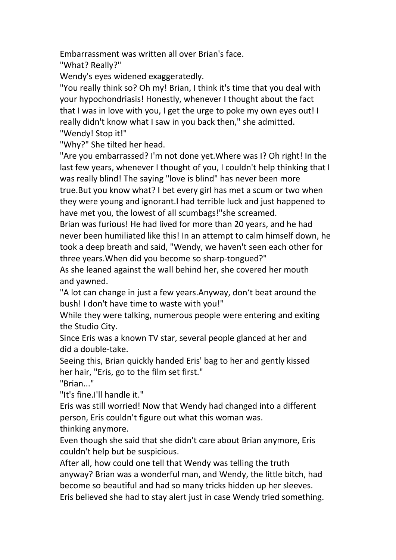Embarrassment was written all over Brian's face.

"What? Really?"

Wendy's eyes widened exaggeratedly.

"You really think so? Oh my! Brian, I think it's time that you deal with your hypochondriasis! Honestly, whenever I thought about the fact that I was in love with you, I get the urge to poke my own eyes out! I really didn't know what I saw in you back then," she admitted. "Wendy! Stop it!"

"Why?" She tilted her head.

"Are you embarrassed? I'm not done yet.Where was I? Oh right! In the last few years, whenever I thought of you, I couldn't help thinking that I was really blind! The saying "love is blind" has never been more true.But you know what? I bet every girl has met a scum or two when they were young and ignorant.I had terrible luck and just happened to have met you, the lowest of all scumbags!"she screamed.

Brian was furious! He had lived for more than 20 years, and he had never been humiliated like this! In an attempt to calm himself down, he took a deep breath and said, "Wendy, we haven't seen each other for three years.When did you become so sharp-tongued?"

As she leaned against the wall behind her, she covered her mouth and yawned.

"A lot can change in just a few years.Anyway, don't beat around the bush! I don't have time to waste with you!"

While they were talking, numerous people were entering and exiting the Studio City.

Since Eris was a known TV star, several people glanced at her and did a double-take.

Seeing this, Brian quickly handed Eris' bag to her and gently kissed her hair, "Eris, go to the film set first."

"Brian<sup>"</sup>

"It's fine.I'll handle it."

Eris was still worried! Now that Wendy had changed into a different person, Eris couldn't figure out what this woman was.

thinking anymore.

Even though she said that she didn't care about Brian anymore, Eris couldn't help but be suspicious.<br>After all, how could one tell that Wendy was telling the truth

anyway? Brian was a wonderful man, and Wendy, the little bitch, had become so beautiful and had so many tricks hidden up her sleeves. Eris believed she had to stay alert just in case Wendy tried something.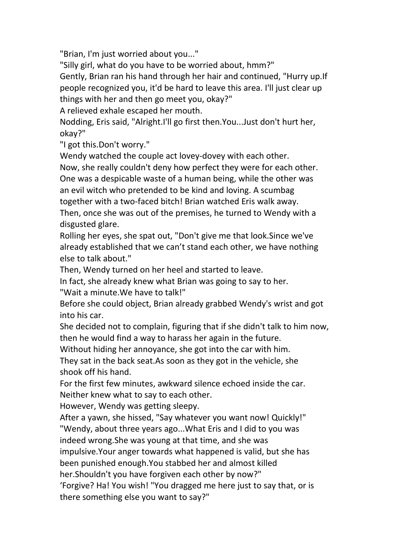"Brian, I'm just worried about you..."

"Silly girl, what do you have to be worried about, hmm?"

Gently, Brian ran his hand through her hairand continued, "Hurry up.If people recognized you, it'd be hard to leave this area. I'll just clear up things with her and then go meet you, okay?"

A relieved exhale escaped her mouth.

Nodding, Eris said, "Alright.I'll go first then.You...Just don't hurt her, okay?"

"I got this.Don't worry."

Wendy watched the couple act lovey-dovey with each other.

Now, she really couldn't deny how perfect they were for each other. One was a despicable waste of a human being, while the other was an evil witch who pretended to be kind and loving. A scumbag together with a two-faced bitch! Brian watched Eris walk away. Then, once she was out of the premises, he turned to Wendy with a disgusted glare.

Rolling her eyes, she spat out, "Don't give me that look.Since we've already established that we can't stand each other, we have nothing else to talk about."

Then, Wendy turned on her heel and started to leave.

In fact, she already knew what Brian was going to say to her.

"Wait a minute.We have to talk!"<br>Before she could object, Brian already grabbed Wendy's wrist and got into his car.

She decided not to complain, figuring that if she didn't talk to him now, then he would find a way to harass her again in the future.

Without hiding her annoyance, she got into the car with him.

They sat in the back seat.As soon as they got in the vehicle, she shook off his hand.

For the first few minutes, awkward silence echoed inside the car. Neither knew what to say to each other.

However, Wendy was getting sleepy.

After a yawn, she hissed, "Say whatever you want now! Quickly!"

"Wendy, about three years ago...What Eris and I did to you was

indeed wrong.She was young at that time, and she was

impulsive.Your anger towards what happened is valid, but she has been punished enough.You stabbed her and almost killed

her.Shouldn't you have forgiven each other by now?"

'Forgive? Ha! You wish! "You dragged me here just to say that, or is there something else you want to say?"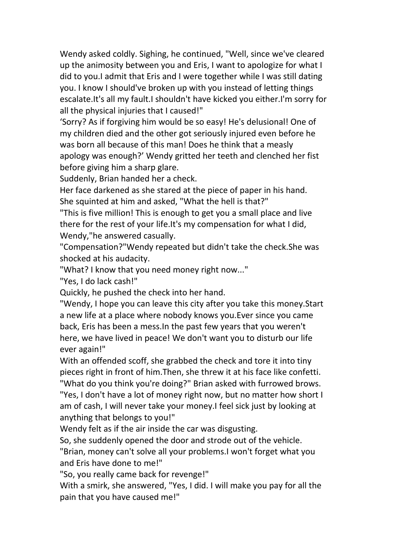Wendy asked coldly. Sighing, he continued, "Well, since we've cleared up the animosity between you and Eris, I want to apologize for what I did to you.I admit that Eris and I were together while I was still dating you. I know I should've broken up with you instead of letting things escalate.It's all my fault.I shouldn't have kicked you either.I'm sorry for all the physical injuries that I caused!"

'Sorry? As if forgiving him would be soeasy! He's delusional! One of my children died and the other got seriously injured even before he was born all because of this man! Does he think that a measly apology was enough?' Wendy gritted her teeth and clenched her fist before giving him a sharp glare.

Suddenly, Brian handed her a check.

Her face darkened as she stared at the piece of paper in his hand. She squinted at him and asked, "What the hell is that?"

"This is five million!This is enough to get you a small place and live there for the rest of your life.It's my compensation for what I did, Wendy,"he answered casually.

"Compensation?"Wendy repeated but didn't take the check.She was shocked at his audacity.

"What? I know that you need money right now..."

"Yes, I do lack cash!"

Quickly, he pushed the check into her hand.

"Wendy, I hope you can leave this city after you take this money.Start a new life at a place where nobody knows you.Ever since you came back, Eris has been a mess.In the past few years that you weren't here, we have lived in peace! We don't want you to disturb our life ever again!"

With an offended scoff, she grabbed the check and tore it into tiny pieces right in front of him.Then, she threw it at his face like confetti. "What do you think you're doing?" Brian asked with furrowed brows. "Yes, I don't have a lot of money right now, but no matter how short I am of cash, I will never take your money.I feel sick just by looking at anything that belongs to you!"<br>Wendy felt as if the air inside the car was disgusting.

So, she suddenly opened the door and strode out of the vehicle.

"Brian, money can't solve all your problems.I won't forget what you and Eris have done to me!"

"So, you really came back for revenge!"

With a smirk, she answered, "Yes, I did. I will make you pay for all the pain that you have caused me!"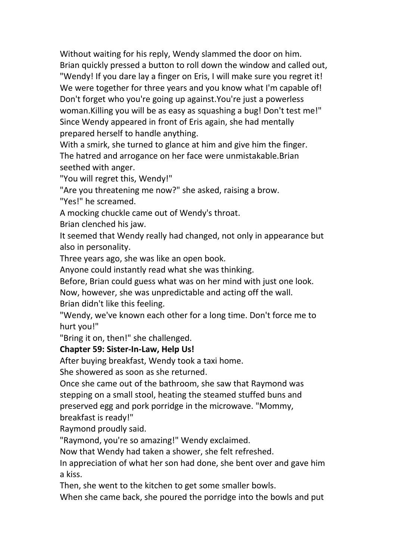Without waiting for his reply, Wendy slammed the door on him. Brian quickly pressed a button to roll down the window and called out, "Wendy! If you dare lay a finger on Eris, I will make sure you regret it! We were together for three years and you know what I'm capable of! Don't forget who you're going up against.You're just a powerless woman. Killing you will be as easy as squashing a bug! Don't test me!" Since Wendy appeared in front of Eris again, she had mentally prepared herself to handle anything.

With a smirk, she turned to glance at him and give him the finger. The hatred and arrogance on her face were unmistakable.Brian seethed with anger.

"You will regret this, Wendy!"

"Are you threatening me now?" she asked, raising a brow.

"Yes!" he screamed.

A mocking chuckle came out of Wendy's throat.

Brian clenched his jaw.

It seemed that Wendy really had changed, not only in appearance but also in personality.

Three years ago, she was like an open book.

Anyone could instantly read what she was thinking.

Before, Brian could guess what was on her mind with just one look.

Now, however, she was unpredictable and acting off the wall.

Brian didn't like this feeling.

"Wendy, we've known each other for a long time. Don't force me to hurt you!"

"Bring it on, then!" she challenged.

## **Chapter 59:Sister-In-Law, Help Us!**

After buying breakfast, Wendy took a taxi home.

She showered as soon as she returned.

Once she came out of the bathroom, she saw that Raymond was stepping on a small stool, heating the steamed stuffed buns and preserved egg and pork porridge in the microwave. "Mommy,

breakfast is ready!"

Raymond proudly said.

"Raymond, you're so amazing!" Wendy exclaimed.

Now that Wendy had taken a shower, she felt refreshed.

In appreciation of what her son had done, she bent over and gave him a kiss.

Then, she went to the kitchen to get some smaller bowls.

When she came back, she poured the porridge into the bowls and put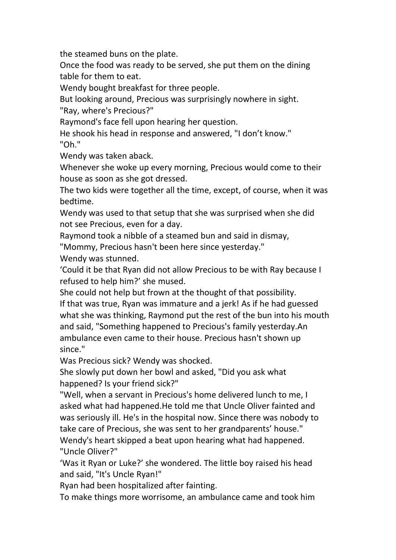the steamed buns on the plate.

Once the food was ready to be served, she put them on the dining table for them to eat.

Wendy bought breakfast for three people.

But looking around, Precious was surprisingly nowhere in sight.

"Ray, where's Precious?"

Raymond's face fell upon hearing her question.

He shook his head in response and answered, "I don't know." "Oh."

Wendy was taken aback.

Whenever she woke up every morning, Precious would come to their house as soon as she got dressed.

The two kids were together all the time, except, of course, when it was bedtime.

Wendy was used to that setup that she was surprised when she did not see Precious, even for a day.

Raymond took a nibble of a steamed bun and said in dismay,

"Mommy, Precious hasn't been here since yesterday."

Wendy was stunned.

'Could it be that Ryan did not allow Precious to be with Ray because I refused to help him?' she mused.

She could not help but frown at the thought of that possibility. If that was true, Ryan was immature and a jerk! As if he had guessed what she was thinking, Raymond put the rest of the bun into his mouth and said, "Something happened to Precious's family yesterday.An ambulance even came to their house. Precious hasn't shown up since."

Was Precious sick? Wendy was shocked.

She slowly put down her bowl and asked, "Did you ask what happened? Is your friend sick?"

"Well, when a servant in Precious's home delivered lunch to me, I asked what had happened.He told me that Uncle Oliver fainted and was seriously ill. He's in the hospital now. Since there was nobody to take care of Precious, she was sent to her grandparents' house." Wendy's heart skipped a beat upon hearing what had happened. "Uncle Oliver?"

'Was it Ryan or Luke?' she wondered.The little boy raised his head and said, "It's Uncle Ryan!"

Ryan had been hospitalized after fainting.

To make things more worrisome, an ambulance came and took him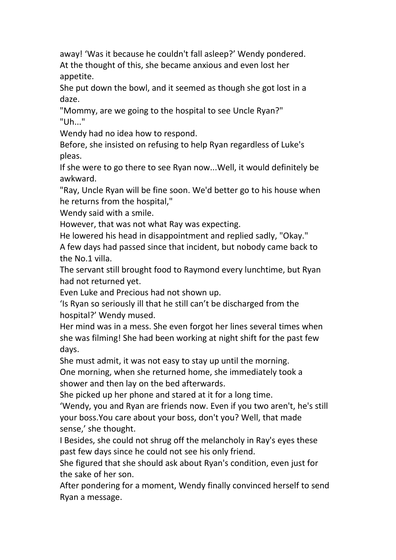away! 'Was it because he couldn't fall asleep?' Wendy pondered. At the thought of this, she became anxious and even lost her appetite.

She put down the bowl, and it seemed as though she got lost in a daze.

"Mommy, are we going to the hospital to see Uncle Ryan?" "Uh..."

Wendy had no idea how to respond.

Before, she insisted on refusing to help Ryan regardless of Luke's pleas.

If she were to go there to see Ryan now...Well, it would definitely be awkward.

"Ray, Uncle Ryan will be fine soon. We'd better go to his house when he returns from the hospital,"

Wendy said with a smile.

However, that was not what Ray was expecting.

He lowered his head in disappointment and replied sadly, "Okay."

A few days had passed since that incident, but nobody came back to the No.1 villa.

The servant still brought food to Raymond every lunchtime, but Ryan had not returned yet.

Even Luke and Precious had not shown up.

'Is Ryan so seriously ill that he still can't be discharged from the hospital?' Wendy mused.

Her mind was in a mess. She even forgot her lines several times when she was filming! She had been working at night shift for the past few days.

She must admit, it was not easy to stay up until the morning.

One morning, when she returned home, she immediately took a shower and then lay on the bed afterwards.

She picked up her phone and stared at it for a long time.

'Wendy, you and Ryan are friends now. Even if you two aren't, he's still your boss.You care about your boss, don't you? Well, that made sense,' she thought.

I Besides, she could not shrug off the melancholy in Ray's eyes these past few days since he could not see his only friend.

She figured that she should ask about Ryan's condition, even just for the sake of her son.

After pondering for a moment, Wendy finally convinced herself to send Ryan a message.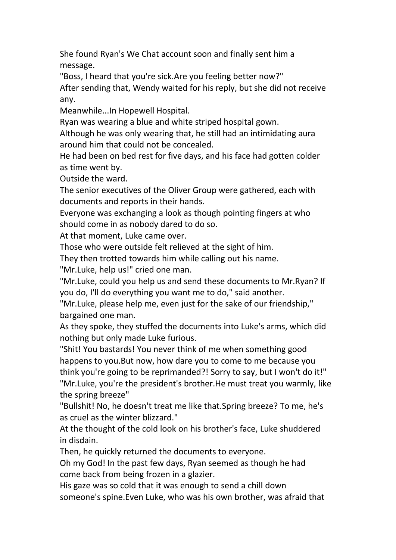She found Ryan's We Chat account soon and finally sent him a message.

"Boss, I heard that you're sick.Are you feeling better now?" After sending that, Wendy waited for his reply, but she did not receive any.

Meanwhile...In Hopewell Hospital.

Ryan was wearing a blue and white striped hospital gown.

Although he was only wearing that, he still had an intimidating aura around him that could not be concealed.

He had been on bed rest for five days, and his face had gotten colder as time went by.

Outside the ward.

The senior executives of the Oliver Group were gathered, each with documents and reports in their hands.

Everyone was exchanging a look as though pointing fingers at who should come in as nobody dared to do so.

At that moment, Luke came over.

Those who were outside felt relieved at the sight of him.

They then trotted towards him while calling out his name.

"Mr.Luke, help us!" cried one man.

"Mr.Luke, could you help us and send these documents to Mr.Ryan? If you do, I'll do everything you want me to do," said another.

"Mr.Luke, please help me, even just for the sake of our friendship," bargained one man.

As they spoke, they stuffed the documents into Luke's arms, which did nothing but only made Luke furious.

"Shit! You bastards! You never think of me when something good happens to you.But now, how dare you to come to me because you think you're going to be reprimanded?! Sorry to say, but I won't do it!" "Mr.Luke, you're the president's brother.He must treat you warmly, like the spring breeze"

"Bullshit! No, he doesn't treat me like that.Spring breeze? To me, he's as cruel as the winter blizzard."

At the thought of the cold look on his brother's face, Luke shuddered in disdain.

Then, he quickly returned the documents to everyone.

Oh my God! In the past few days, Ryan seemed as though he had come back from being frozen in a glazier.

His gaze was so cold that it was enough to send a chill down someone's spine.Even Luke, who was his own brother, was afraid that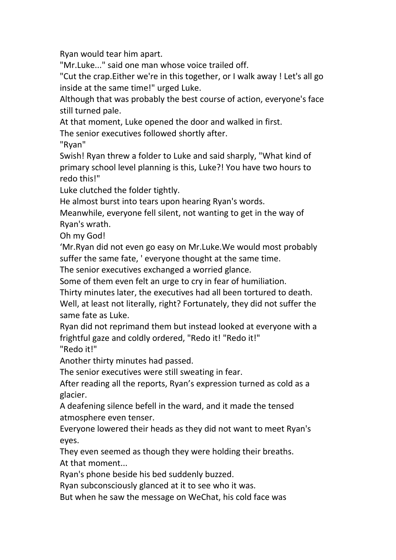Ryan would tear him apart.

"Mr.Luke..." said one man whose voice trailed off.

"Cut the crap.Either we're in this together, or I walk away ! Let's all go inside at the same time!" urged Luke.

Although that was probably the best course of action, everyone's face still turned pale.

At that moment, Luke opened the door and walked in first.

The senior executives followed shortly after.

"Ryan"

Swish! Ryan threw a folder to Luke and said sharply,"What kind of primary school level planning is this, Luke?! You have two hours to

redo this!"<br>Luke clutched the folder tightly.

He almost burst into tears upon hearing Ryan's words.

Meanwhile, everyone fell silent, not wanting to get in the way of Ryan's wrath.

Oh my God!

'Mr.Ryan did not even go easy on Mr.Luke.We would most probably suffer the same fate, ' everyone thought at the same time.

The senior executives exchanged a worried glance.

Some of them even felt an urge to cry in fear of humiliation.

Thirty minutes later, the executives had all been tortured to death.

Well, at least not literally, right? Fortunately, they did not suffer the same fate as Luke.

Ryan did not reprimand them but instead looked at everyone with a frightful gaze and coldly ordered, "Redo it! "Redo it!" "Redo it!"

Another thirty minutes had passed.

The senior executives were still sweating in fear.

After reading all the reports, Ryan's expression turned as cold as a glacier.

A deafening silence befell in the ward, and it made the tensed atmosphere even tenser.

Everyone lowered their heads as they did not want to meet Ryan's eyes.

They even seemed as though they were holding their breaths. At that moment...

Ryan's phone beside his bed suddenly buzzed.

Ryan subconsciously glanced at it to see who it was.

But when he saw the message on WeChat, his cold face was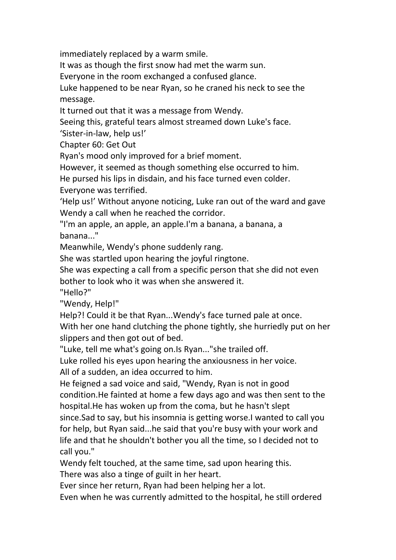immediately replaced by a warm smile.

It was as though the first snow had met the warm sun.

Everyone in the room exchanged a confused glance.

Luke happened to be near Ryan, so he craned his neck to see the message.

It turned out that it was a message from Wendy.

Seeing this, grateful tears almost streamed down Luke's face.

'Sister-in-law, help us!'

Chapter 60:Get Out

Ryan's mood only improved for a brief moment.

However, it seemed as though something else occurred to him.

He pursed his lips in disdain, and his face turned even colder.<br>Everyone was terrified.

'Help us!' Without anyone noticing, Luke ran out of the ward and gave Wendy a call when he reached the corridor.

"I'm an apple, an apple, an apple.I'm a banana, a banana, a banana..."

Meanwhile, Wendy's phone suddenly rang.

She was startled upon hearing the joyful ringtone.

She was expecting a call from a specific person that she did not even bother to look who it was when she answered it.

"Hello?"

"Wendy, Help!"

Help?! Could it be that Ryan...Wendy's face turned pale at once.

With her one hand clutching the phone tightly, she hurriedly put on her slippers and then got out of bed.

"Luke, tell me what's going on.Is Ryan..."she trailed off.

Luke rolled his eyes upon hearing the anxiousness in her voice.

All of a sudden, an idea occurred to him.

He feigned a sad voice and said, "Wendy, Ryan is not in good condition.He fainted at home a few days ago and was then sent to the hospital.He has woken up from the coma, but he hasn't slept

since.Sad to say, but his insomnia is getting worse.I wanted to call you for help, but Ryan said...he said that you're busy with your work and life and that he shouldn't bother you all the time, so I decided not to call you."

Wendy felt touched, at the same time, sad upon hearing this. There was also a tinge of guilt in her heart.

Ever since her return, Ryan had been helping her a lot.

Even when he was currently admitted to the hospital, he still ordered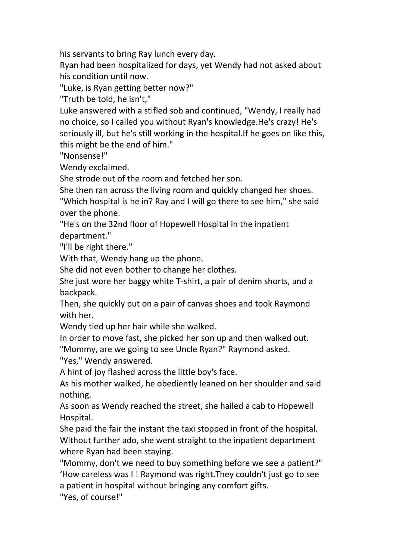his servants to bring Ray lunch every day.

Ryan had been hospitalized for days, yet Wendy had not asked about his condition until now.

"Luke, is Ryan getting better now?"

"Truth be told, he isn't,"

Luke answered with a stifled sob and continued, "Wendy, I really had no choice, so I called you without Ryan's knowledge.He's crazy! He's seriously ill, but he's still working in the hospital.If he goes on like this, this might be the end of him."

"Nonsense!"

Wendy exclaimed.

She strode out of the room and fetched her son.

She then ran across the living room and quickly changed her shoes.

"Which hospital is he in? Ray and I will go there to see him," she said over the phone.

"He's on the 32nd floor of Hopewell Hospital in the inpatient department."

"I'll be right there."

With that, Wendy hang up the phone.

She did not even bother to change her clothes.

She just wore her baggy white T-shirt, a pair of denim shorts, and a backpack.

Then, she quickly put on a pair of canvas shoes and took Raymond with her.

Wendy tied up her hair while she walked.

In order to move fast, she picked her son up and then walked out.

"Mommy, are we going to see Uncle Ryan?" Raymond asked.

"Yes," Wendy answered.

A hint of joy flashed across the little boy's face.

As his mother walked, he obediently leaned on her shoulder and said nothing.

As soon as Wendy reached the street, she hailed a cab to Hopewell Hospital.

She paid the fair the instant the taxi stopped in front of the hospital. Without further ado, she went straight to the inpatient department where Ryan had been staying.

"Mommy, don't we need to buy something before we see a patient?" 'How careless was I ! Raymond was right.They couldn't just go to see a patient in hospital without bringing any comfort gifts.

"Yes, of course!"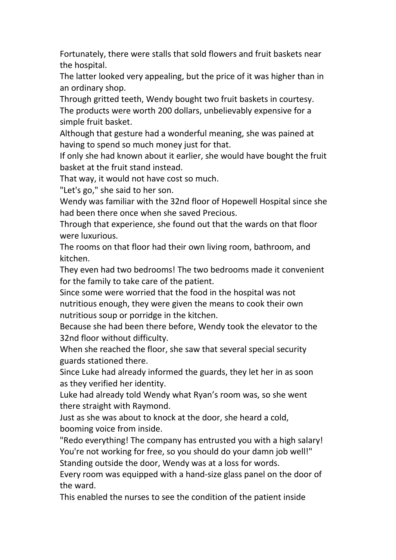Fortunately, there were stalls that sold flowers and fruit baskets near the hospital.

The latter looked very appealing, but the price of it was higher than in an ordinary shop.

Through gritted teeth, Wendy bought two fruit baskets in courtesy. The products were worth 200 dollars, unbelievably expensive for a simple fruit basket.

Although that gesture had a wonderful meaning, she was pained at having to spend so much money just for that.

If only she had known about it earlier, she would have bought the fruit basket at the fruit stand instead.

That way, it would not have cost so much.

"Let's go," she said to her son.

Wendy was familiar with the 32nd floor of Hopewell Hospital since she had been there once when she saved Precious.

Through that experience, she found out that the wards on that floor were luxurious.

The rooms on that floor had their own living room, bathroom, and kitchen.

They even had two bedrooms! The two bedrooms made it convenient for the family to take care of the patient.

Since some were worried that the food in the hospital was not nutritious enough, they were given the means to cook their own nutritious soup or porridge in the kitchen.

Because she had been there before, Wendy took the elevator to the 32nd floor without difficulty.

When she reached the floor, she saw that several special security guards stationed there.

Since Luke had already informed the guards, they let her in as soon as they verified her identity.<br>Luke had already told Wendy what Ryan's room was, so she went

there straight with Raymond.

Just as she was about to knock at the door, she heard a cold, booming voice from inside.

"Redo everything! The company has entrusted you with a high salary! You're not working for free, so you should do your damn job well!" Standing outside the door, Wendy was at a loss for words.

Every room was equipped with a hand-size glass panel on the door of the ward.

This enabled the nurses to see the condition of the patient inside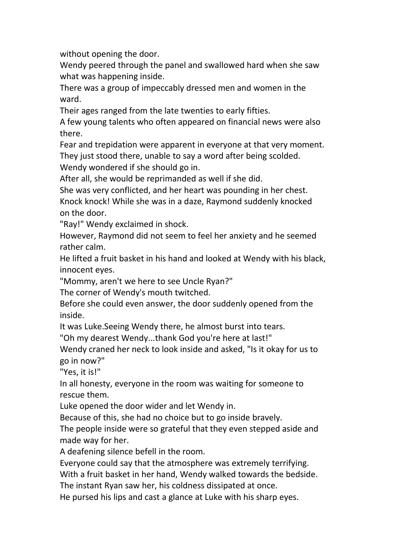without opening the door.

Wendy peered through the panel and swallowed hard when she saw what was happening inside.

There was a group of impeccably dressed men and women in the ward.

Their ages ranged from the late twenties to early fifties.

A few young talents who often appeared on financial news were also there.

Fear and trepidation were apparent in everyone at that very moment. They just stood there, unable to say a word after being scolded.

Wendy wondered if she should go in.

After all, she would be reprimanded as well if she did.

She was very conflicted, and her heart was pounding in her chest.

Knock knock! While she was in a daze, Raymond suddenly knocked on the door.

"Ray!" Wendy exclaimed in shock.

However, Raymond did not seem to feel her anxiety and he seemed rather calm.

He lifted a fruit basket in his hand and looked at Wendy with his black, innocent eyes.

"Mommy, aren't we here to see Uncle Ryan?"

The corner of Wendy's mouth twitched.

Before she could even answer, the door suddenly opened from the inside.

It was Luke.Seeing Wendy there, he almost burst into tears.

"Oh my dearest Wendy...thank God you're here at last!"

Wendy craned her neck to look inside and asked, "Is it okay for us to go in now?"

"Yes, it is!"

In all honesty, everyone in the room was waiting for someone to rescue them.

Luke opened the door wider and let Wendy in.

Because of this, she had no choice but to go inside bravely.

The people inside were so grateful that they even stepped aside and made way for her.<br>A deafening silence befell in the room.

Everyone could say that the atmosphere was extremely terrifying.

With a fruit basket in her hand, Wendy walked towards the bedside.

The instant Ryan saw her, his coldness dissipated at once.

He pursed his lips and cast a glance at Luke with his sharp eyes.